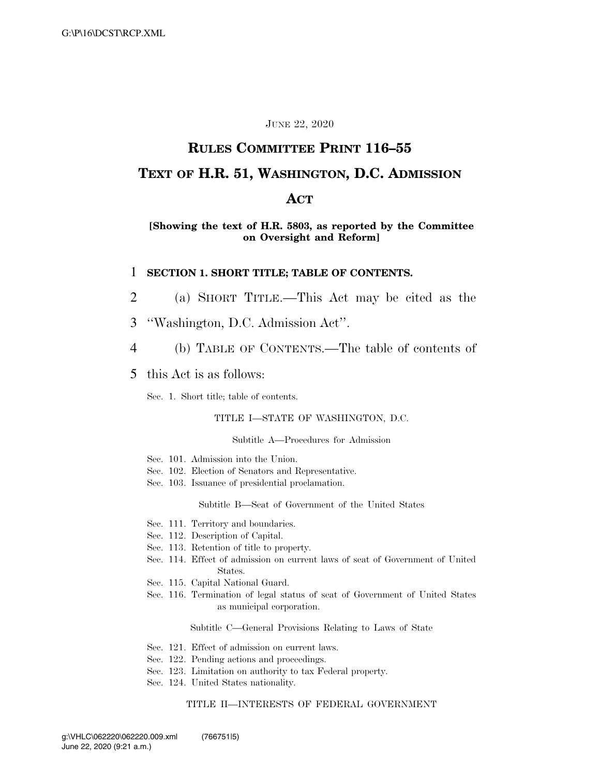#### JUNE 22, 2020

# **RULES COMMITTEE PRINT 116–55**

## **TEXT OF H.R. 51, WASHINGTON, D.C. ADMISSION**

### **ACT**

#### **[Showing the text of H.R. 5803, as reported by the Committee on Oversight and Reform]**

#### 1 **SECTION 1. SHORT TITLE; TABLE OF CONTENTS.**

- 2 (a) SHORT TITLE.—This Act may be cited as the
- 3 ''Washington, D.C. Admission Act''.
- 4 (b) TABLE OF CONTENTS.—The table of contents of
- 5 this Act is as follows:

Sec. 1. Short title; table of contents.

#### TITLE I—STATE OF WASHINGTON, D.C.

#### Subtitle A—Procedures for Admission

- Sec. 101. Admission into the Union.
- Sec. 102. Election of Senators and Representative.
- Sec. 103. Issuance of presidential proclamation.

Subtitle B—Seat of Government of the United States

- Sec. 111. Territory and boundaries.
- Sec. 112. Description of Capital.
- Sec. 113. Retention of title to property.
- Sec. 114. Effect of admission on current laws of seat of Government of United States.
- Sec. 115. Capital National Guard.
- Sec. 116. Termination of legal status of seat of Government of United States as municipal corporation.

Subtitle C—General Provisions Relating to Laws of State

- Sec. 121. Effect of admission on current laws.
- Sec. 122. Pending actions and proceedings.
- Sec. 123. Limitation on authority to tax Federal property.
- Sec. 124. United States nationality.

#### TITLE II—INTERESTS OF FEDERAL GOVERNMENT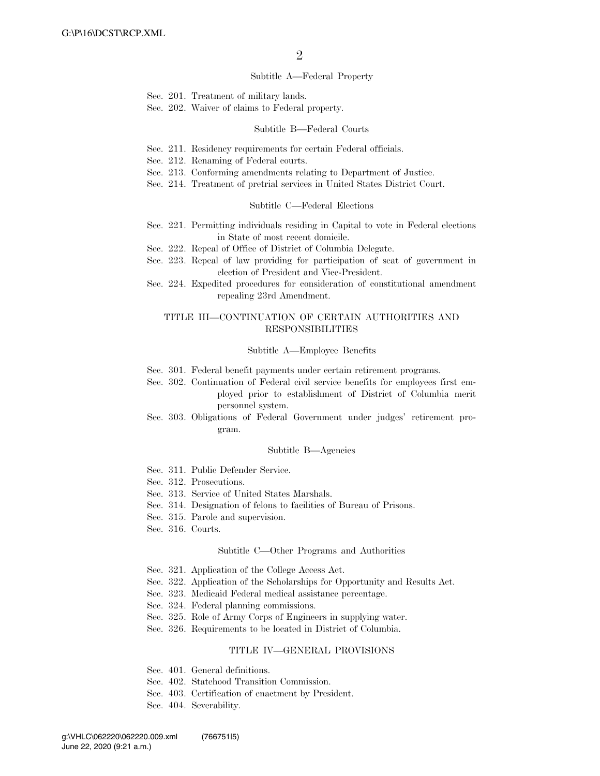#### Subtitle A—Federal Property

- Sec. 201. Treatment of military lands.
- Sec. 202. Waiver of claims to Federal property.

#### Subtitle B—Federal Courts

- Sec. 211. Residency requirements for certain Federal officials.
- Sec. 212. Renaming of Federal courts.
- Sec. 213. Conforming amendments relating to Department of Justice.
- Sec. 214. Treatment of pretrial services in United States District Court.

#### Subtitle C—Federal Elections

- Sec. 221. Permitting individuals residing in Capital to vote in Federal elections in State of most recent domicile.
- Sec. 222. Repeal of Office of District of Columbia Delegate.
- Sec. 223. Repeal of law providing for participation of seat of government in election of President and Vice-President.
- Sec. 224. Expedited procedures for consideration of constitutional amendment repealing 23rd Amendment.

#### TITLE III—CONTINUATION OF CERTAIN AUTHORITIES AND RESPONSIBILITIES

#### Subtitle A—Employee Benefits

- Sec. 301. Federal benefit payments under certain retirement programs.
- Sec. 302. Continuation of Federal civil service benefits for employees first employed prior to establishment of District of Columbia merit personnel system.
- Sec. 303. Obligations of Federal Government under judges' retirement program.

#### Subtitle B—Agencies

- Sec. 311. Public Defender Service.
- Sec. 312. Prosecutions.
- Sec. 313. Service of United States Marshals.
- Sec. 314. Designation of felons to facilities of Bureau of Prisons.
- Sec. 315. Parole and supervision.
- Sec. 316. Courts.

#### Subtitle C—Other Programs and Authorities

- Sec. 321. Application of the College Access Act.
- Sec. 322. Application of the Scholarships for Opportunity and Results Act.
- Sec. 323. Medicaid Federal medical assistance percentage.
- Sec. 324. Federal planning commissions.
- Sec. 325. Role of Army Corps of Engineers in supplying water.
- Sec. 326. Requirements to be located in District of Columbia.

#### TITLE IV—GENERAL PROVISIONS

- Sec. 401. General definitions.
- Sec. 402. Statehood Transition Commission.
- Sec. 403. Certification of enactment by President.
- Sec. 404. Severability.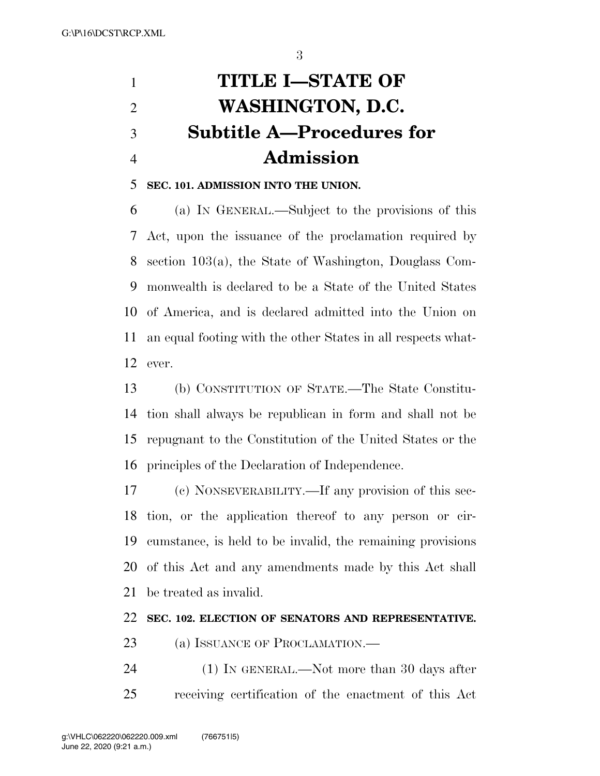# **TITLE I—STATE OF WASHINGTON, D.C. Subtitle A—Procedures for Admission**

## **SEC. 101. ADMISSION INTO THE UNION.**

 (a) IN GENERAL.—Subject to the provisions of this Act, upon the issuance of the proclamation required by section 103(a), the State of Washington, Douglass Com- monwealth is declared to be a State of the United States of America, and is declared admitted into the Union on an equal footing with the other States in all respects what-ever.

 (b) CONSTITUTION OF STATE.—The State Constitu- tion shall always be republican in form and shall not be repugnant to the Constitution of the United States or the principles of the Declaration of Independence.

 (c) NONSEVERABILITY.—If any provision of this sec- tion, or the application thereof to any person or cir- cumstance, is held to be invalid, the remaining provisions of this Act and any amendments made by this Act shall be treated as invalid.

#### **SEC. 102. ELECTION OF SENATORS AND REPRESENTATIVE.**

- 23 (a) ISSUANCE OF PROCLAMATION.—
- 24 (1) IN GENERAL.—Not more than 30 days after receiving certification of the enactment of this Act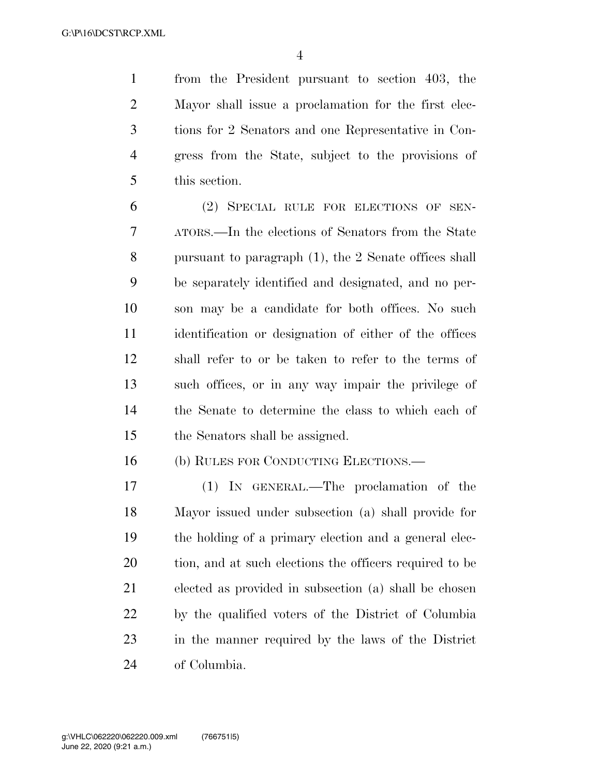from the President pursuant to section 403, the Mayor shall issue a proclamation for the first elec- tions for 2 Senators and one Representative in Con- gress from the State, subject to the provisions of this section.

 (2) SPECIAL RULE FOR ELECTIONS OF SEN- ATORS.—In the elections of Senators from the State pursuant to paragraph (1), the 2 Senate offices shall be separately identified and designated, and no per- son may be a candidate for both offices. No such identification or designation of either of the offices shall refer to or be taken to refer to the terms of such offices, or in any way impair the privilege of the Senate to determine the class to which each of the Senators shall be assigned.

(b) RULES FOR CONDUCTING ELECTIONS.—

 (1) IN GENERAL.—The proclamation of the Mayor issued under subsection (a) shall provide for the holding of a primary election and a general elec- tion, and at such elections the officers required to be elected as provided in subsection (a) shall be chosen by the qualified voters of the District of Columbia in the manner required by the laws of the District of Columbia.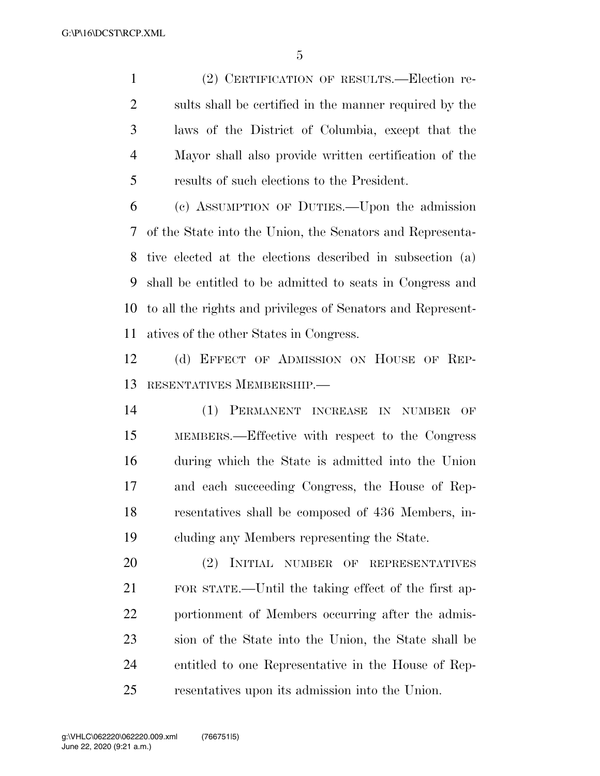(2) CERTIFICATION OF RESULTS.—Election re- sults shall be certified in the manner required by the laws of the District of Columbia, except that the Mayor shall also provide written certification of the results of such elections to the President.

 (c) ASSUMPTION OF DUTIES.—Upon the admission of the State into the Union, the Senators and Representa- tive elected at the elections described in subsection (a) shall be entitled to be admitted to seats in Congress and to all the rights and privileges of Senators and Represent-atives of the other States in Congress.

 (d) EFFECT OF ADMISSION ON HOUSE OF REP-RESENTATIVES MEMBERSHIP.—

 (1) PERMANENT INCREASE IN NUMBER OF MEMBERS.—Effective with respect to the Congress during which the State is admitted into the Union and each succeeding Congress, the House of Rep- resentatives shall be composed of 436 Members, in-cluding any Members representing the State.

 (2) INITIAL NUMBER OF REPRESENTATIVES FOR STATE.—Until the taking effect of the first ap- portionment of Members occurring after the admis- sion of the State into the Union, the State shall be entitled to one Representative in the House of Rep-resentatives upon its admission into the Union.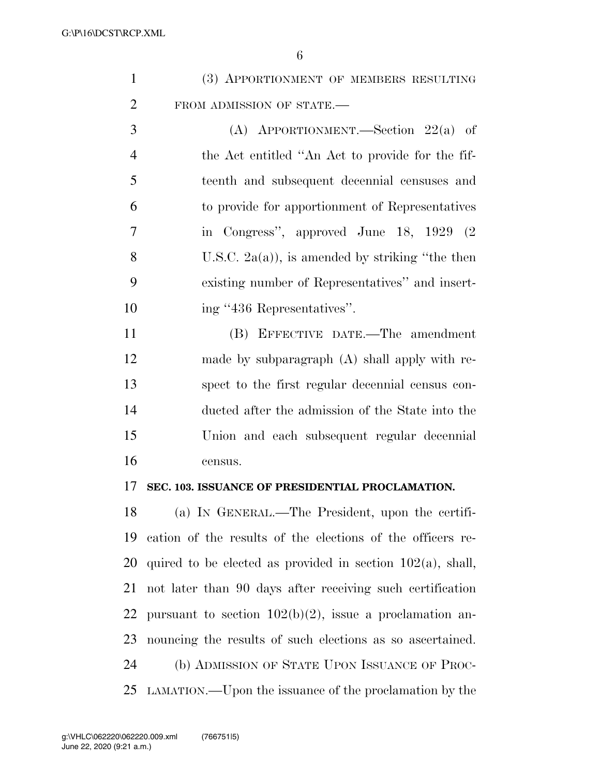| (3) APPORTIONMENT OF MEMBERS RESULTING |
|----------------------------------------|
| FROM ADMISSION OF STATE.-              |

 (A) APPORTIONMENT.—Section 22(a) of the Act entitled ''An Act to provide for the fif- teenth and subsequent decennial censuses and to provide for apportionment of Representatives in Congress'', approved June 18, 1929 (2 8 U.S.C.  $2a(a)$ , is amended by striking "the then existing number of Representatives'' and insert-10 ing "436 Representatives".

 (B) EFFECTIVE DATE.—The amendment made by subparagraph (A) shall apply with re- spect to the first regular decennial census con- ducted after the admission of the State into the Union and each subsequent regular decennial census.

## **SEC. 103. ISSUANCE OF PRESIDENTIAL PROCLAMATION.**

 (a) IN GENERAL.—The President, upon the certifi- cation of the results of the elections of the officers re-20 quired to be elected as provided in section  $102(a)$ , shall, not later than 90 days after receiving such certification 22 pursuant to section  $102(b)(2)$ , issue a proclamation an- nouncing the results of such elections as so ascertained. (b) ADMISSION OF STATE UPON ISSUANCE OF PROC-LAMATION.—Upon the issuance of the proclamation by the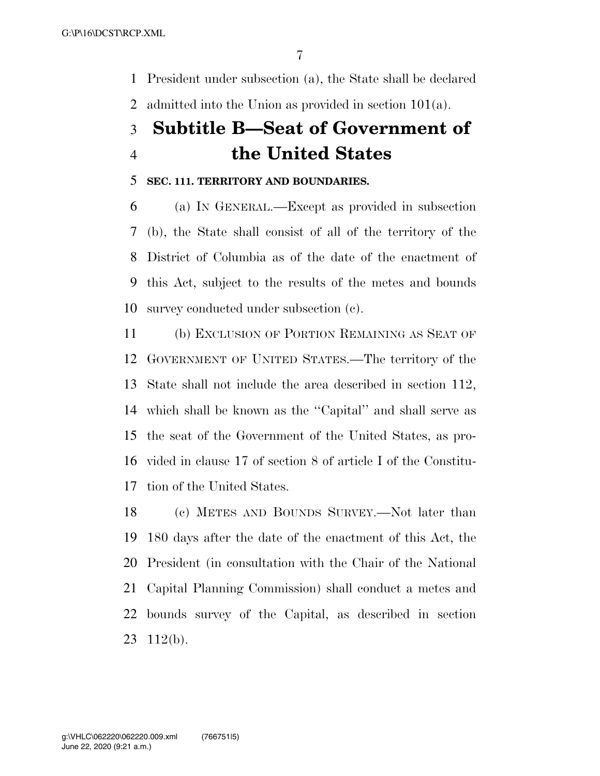President under subsection (a), the State shall be declared admitted into the Union as provided in section 101(a).

# **Subtitle B—Seat of Government of the United States**

## **SEC. 111. TERRITORY AND BOUNDARIES.**

 (a) IN GENERAL.—Except as provided in subsection (b), the State shall consist of all of the territory of the District of Columbia as of the date of the enactment of this Act, subject to the results of the metes and bounds survey conducted under subsection (c).

 (b) EXCLUSION OF PORTION REMAINING AS SEAT OF GOVERNMENT OF UNITED STATES.—The territory of the State shall not include the area described in section 112, which shall be known as the ''Capital'' and shall serve as the seat of the Government of the United States, as pro- vided in clause 17 of section 8 of article I of the Constitu-tion of the United States.

 (c) METES AND BOUNDS SURVEY.—Not later than 180 days after the date of the enactment of this Act, the President (in consultation with the Chair of the National Capital Planning Commission) shall conduct a metes and bounds survey of the Capital, as described in section 112(b).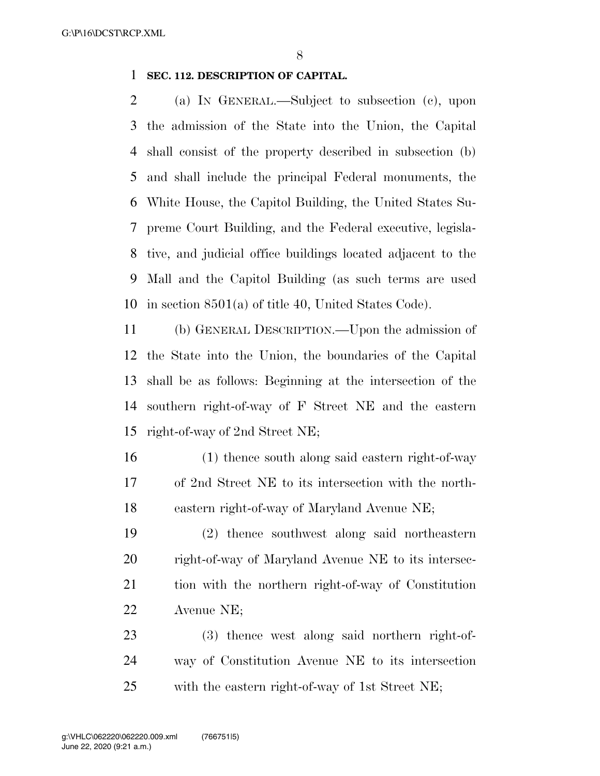## **SEC. 112. DESCRIPTION OF CAPITAL.**

 (a) IN GENERAL.—Subject to subsection (c), upon the admission of the State into the Union, the Capital shall consist of the property described in subsection (b) and shall include the principal Federal monuments, the White House, the Capitol Building, the United States Su- preme Court Building, and the Federal executive, legisla- tive, and judicial office buildings located adjacent to the Mall and the Capitol Building (as such terms are used in section 8501(a) of title 40, United States Code).

 (b) GENERAL DESCRIPTION.—Upon the admission of the State into the Union, the boundaries of the Capital shall be as follows: Beginning at the intersection of the southern right-of-way of F Street NE and the eastern right-of-way of 2nd Street NE;

 (1) thence south along said eastern right-of-way of 2nd Street NE to its intersection with the north-eastern right-of-way of Maryland Avenue NE;

 (2) thence southwest along said northeastern right-of-way of Maryland Avenue NE to its intersec- tion with the northern right-of-way of Constitution Avenue NE;

 (3) thence west along said northern right-of- way of Constitution Avenue NE to its intersection with the eastern right-of-way of 1st Street NE;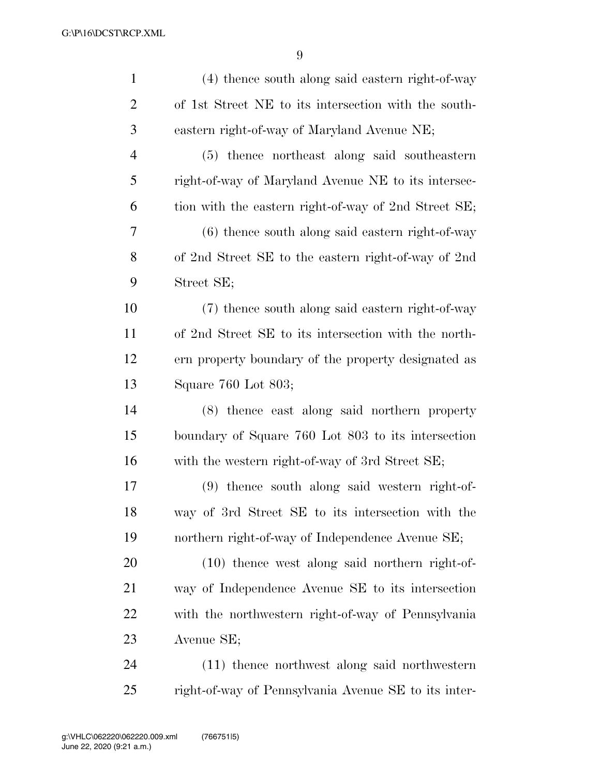| $\mathbf{1}$   | (4) thence south along said eastern right-of-way     |
|----------------|------------------------------------------------------|
| $\overline{2}$ | of 1st Street NE to its intersection with the south- |
| $\mathfrak{Z}$ | eastern right-of-way of Maryland Avenue NE;          |
| $\overline{4}$ | (5) thence northeast along said southeastern         |
| 5              | right-of-way of Maryland Avenue NE to its intersec-  |
| 6              | tion with the eastern right-of-way of 2nd Street SE; |
| 7              | $(6)$ thence south along said eastern right-of-way   |
| 8              | of 2nd Street SE to the eastern right-of-way of 2nd  |
| 9              | Street SE;                                           |
| 10             | (7) thence south along said eastern right-of-way     |
| 11             | of 2nd Street SE to its intersection with the north- |
| 12             | ern property boundary of the property designated as  |
| 13             | Square 760 Lot 803;                                  |
| 14             | (8) thence east along said northern property         |
| 15             | boundary of Square 760 Lot 803 to its intersection   |
| 16             | with the western right-of-way of 3rd Street SE;      |
| 17             | (9) thence south along said western right-of-        |
| 18             | way of 3rd Street SE to its intersection with the    |
| 19             | northern right-of-way of Independence Avenue SE;     |
| 20             | $(10)$ thence west along said northern right-of-     |
| 21             | way of Independence Avenue SE to its intersection    |
| 22             | with the northwestern right-of-way of Pennsylvania   |
| 23             | Avenue SE;                                           |
| 24             | (11) thence northwest along said northwestern        |
| 25             | right-of-way of Pennsylvania Avenue SE to its inter- |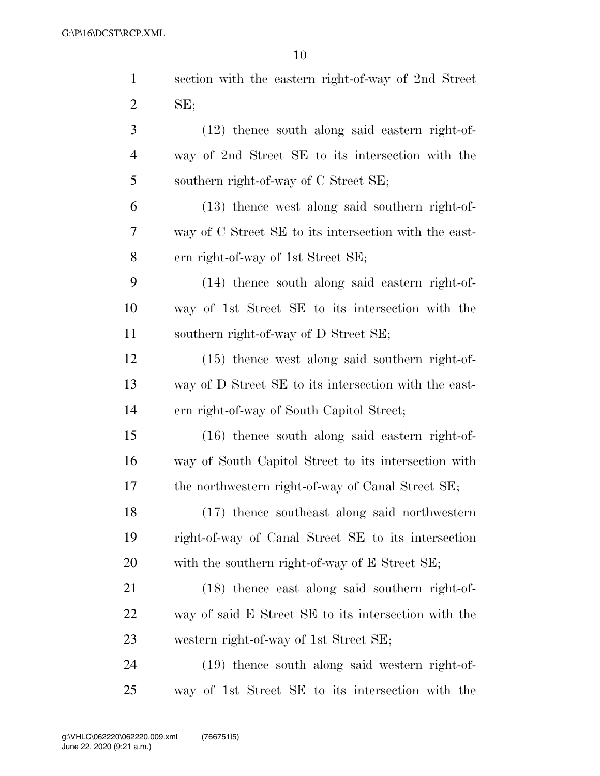| $\mathbf{1}$   | section with the eastern right-of-way of 2nd Street   |
|----------------|-------------------------------------------------------|
| $\overline{2}$ | SE;                                                   |
| 3              | $(12)$ thence south along said eastern right-of-      |
| $\overline{4}$ | way of 2nd Street SE to its intersection with the     |
| 5              | southern right-of-way of C Street SE;                 |
| 6              | (13) thence west along said southern right-of-        |
| 7              | way of C Street SE to its intersection with the east- |
| 8              | ern right-of-way of 1st Street SE;                    |
| 9              | (14) thence south along said eastern right-of-        |
| 10             | way of 1st Street SE to its intersection with the     |
| 11             | southern right-of-way of D Street SE;                 |
| 12             | $(15)$ thence west along said southern right-of-      |
| 13             | way of D Street SE to its intersection with the east- |
| 14             | ern right-of-way of South Capitol Street;             |
| 15             | $(16)$ thence south along said eastern right-of-      |
| 16             | way of South Capitol Street to its intersection with  |
| 17             | the northwestern right-of-way of Canal Street SE;     |
| 18             | (17) thence southeast along said northwestern         |
| 19             | right-of-way of Canal Street SE to its intersection   |
| <b>20</b>      | with the southern right-of-way of E Street SE;        |
| 21             | (18) thence east along said southern right-of-        |
| 22             | way of said E Street SE to its intersection with the  |
| 23             | western right-of-way of 1st Street SE;                |
| 24             | (19) thence south along said western right-of-        |
| 25             | way of 1st Street SE to its intersection with the     |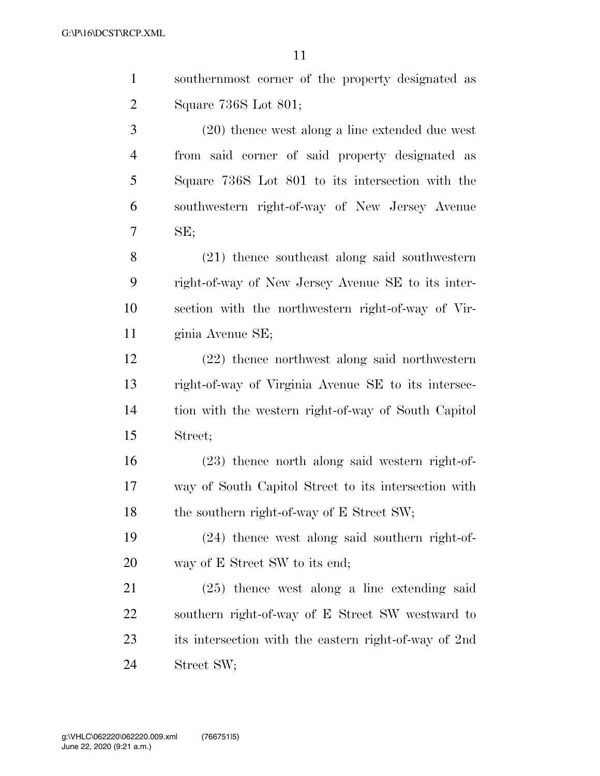| $\mathbf{1}$   | southernmost corner of the property designated as     |
|----------------|-------------------------------------------------------|
| 2              | Square 736S Lot 801;                                  |
| 3              | (20) thence west along a line extended due west       |
| $\overline{4}$ | from said corner of said property designated as       |
| 5              | Square 736S Lot 801 to its intersection with the      |
| 6              | southwestern right-of-way of New Jersey Avenue        |
| 7              | SE;                                                   |
| 8              | (21) thence southeast along said southwestern         |
| 9              | right-of-way of New Jersey Avenue SE to its inter-    |
| 10             | section with the northwestern right-of-way of Vir-    |
| 11             | ginia Avenue SE;                                      |
| 12             | $(22)$ thence northwest along said northwestern       |
| 13             | right-of-way of Virginia Avenue SE to its intersec-   |
| 14             | tion with the western right-of-way of South Capitol   |
| 15             | Street;                                               |
| 16             | $(23)$ thence north along said western right-of-      |
| 17             | way of South Capitol Street to its intersection with  |
| 18             | the southern right-of-way of E Street SW;             |
| 19             | $(24)$ thence west along said southern right-of-      |
| 20             | way of E Street SW to its end;                        |
| 21             | $(25)$ thence west along a line extending said        |
| 22             | southern right-of-way of E Street SW westward to      |
| 23             | its intersection with the eastern right-of-way of 2nd |

Street SW;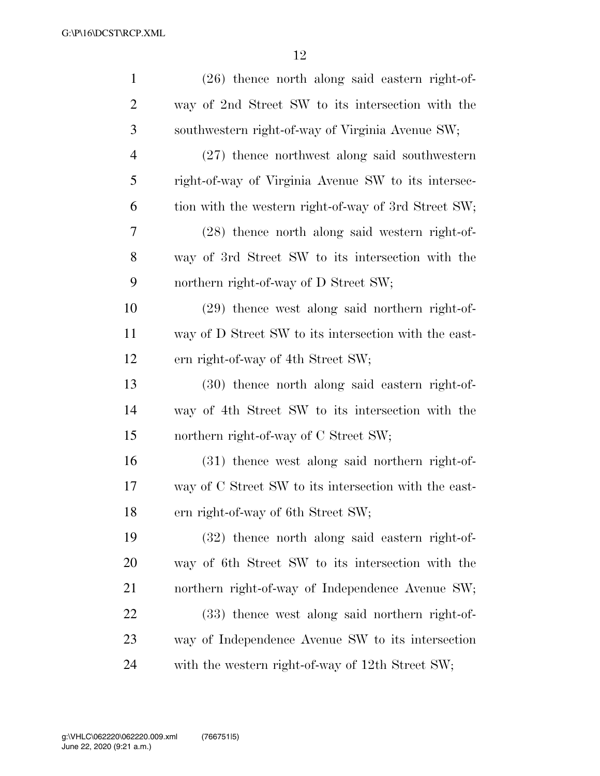| $\mathbf{1}$   | $(26)$ thence north along said eastern right-of-      |
|----------------|-------------------------------------------------------|
| $\overline{2}$ | way of 2nd Street SW to its intersection with the     |
| 3              | southwestern right-of-way of Virginia Avenue SW;      |
| $\overline{4}$ | $(27)$ thence northwest along said southwestern       |
| 5              | right-of-way of Virginia Avenue SW to its intersec-   |
| 6              | tion with the western right-of-way of 3rd Street SW;  |
| 7              | (28) thence north along said western right-of-        |
| 8              | way of 3rd Street SW to its intersection with the     |
| 9              | northern right-of-way of D Street SW;                 |
| 10             | (29) thence west along said northern right-of-        |
| 11             | way of D Street SW to its intersection with the east- |
| 12             | ern right-of-way of 4th Street SW;                    |
| 13             | (30) thence north along said eastern right-of-        |
| 14             | way of 4th Street SW to its intersection with the     |
| 15             | northern right-of-way of C Street SW;                 |
| 16             | (31) thence west along said northern right-of-        |
| 17             | way of C Street SW to its intersection with the east- |
| 18             | ern right-of-way of 6th Street SW;                    |
| 19             | (32) thence north along said eastern right-of-        |
| 20             | way of 6th Street SW to its intersection with the     |
| 21             | northern right-of-way of Independence Avenue SW;      |
| 22             | (33) thence west along said northern right-of-        |
| 23             | way of Independence Avenue SW to its intersection     |
| 24             | with the western right-of-way of 12th Street SW;      |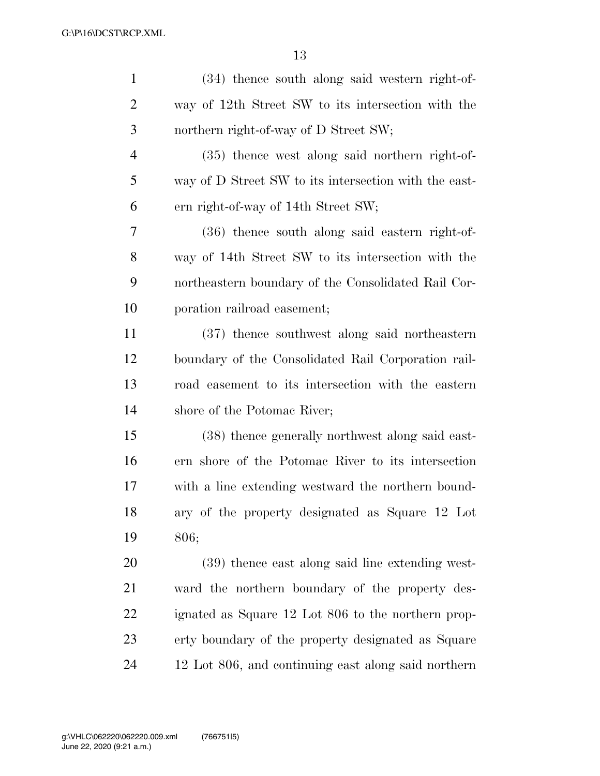| $\mathbf{1}$   | (34) thence south along said western right-of-        |
|----------------|-------------------------------------------------------|
| $\overline{2}$ | way of 12th Street SW to its intersection with the    |
| 3              | northern right-of-way of D Street SW;                 |
| $\overline{4}$ | (35) thence west along said northern right-of-        |
| 5              | way of D Street SW to its intersection with the east- |
| 6              | ern right-of-way of 14th Street SW;                   |
| 7              | (36) thence south along said eastern right-of-        |
| 8              | way of 14th Street SW to its intersection with the    |
| 9              | northeastern boundary of the Consolidated Rail Cor-   |
| 10             | poration railroad easement;                           |
| 11             | (37) thence southwest along said northeastern         |
| 12             | boundary of the Consolidated Rail Corporation rail-   |
| 13             | road easement to its intersection with the eastern    |
| 14             | shore of the Potomac River;                           |
| 15             | (38) thence generally northwest along said east-      |
| 16             | ern shore of the Potomac River to its intersection    |
| 17             | with a line extending westward the northern bound-    |
| 18             | ary of the property designated as Square 12 Lot       |
| 19             | 806;                                                  |
| 20             | (39) thence east along said line extending west-      |
| 21             | ward the northern boundary of the property des-       |
| 22             | ignated as Square 12 Lot 806 to the northern prop-    |
| 23             | erty boundary of the property designated as Square    |
| 24             | 12 Lot 806, and continuing east along said northern   |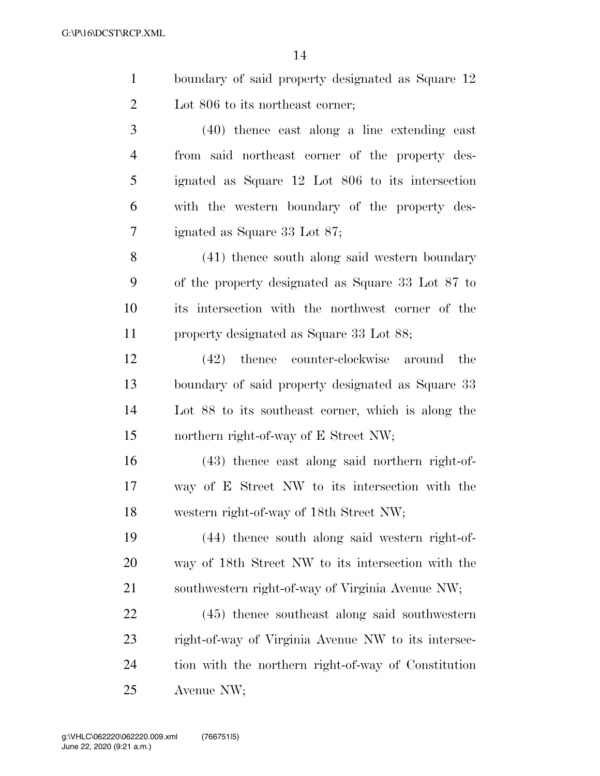| $\mathbf{1}$   | boundary of said property designated as Square 12   |
|----------------|-----------------------------------------------------|
| $\overline{2}$ | Lot 806 to its northeast corner;                    |
| 3              | $(40)$ thence east along a line extending east      |
| $\overline{4}$ | from said northeast corner of the property des-     |
| 5              | ignated as Square 12 Lot 806 to its intersection    |
| 6              | with the western boundary of the property des-      |
| 7              | ignated as Square 33 Lot 87;                        |
| 8              | (41) thence south along said western boundary       |
| 9              | of the property designated as Square 33 Lot 87 to   |
| 10             | its intersection with the northwest corner of the   |
| 11             | property designated as Square 33 Lot 88;            |
| 12             | counter-clockwise around<br>$(42)$ thence<br>the    |
| 13             | boundary of said property designated as Square 33   |
| 14             | Lot 88 to its southeast corner, which is along the  |
| 15             | northern right-of-way of E Street NW;               |
| 16             | (43) thence east along said northern right-of-      |
| 17             | way of E Street NW to its intersection with the     |
| 18             | western right-of-way of 18th Street NW;             |
| 19             | (44) thence south along said western right-of-      |
| 20             | way of 18th Street NW to its intersection with the  |
| 21             | southwestern right-of-way of Virginia Avenue NW;    |
| 22             | $(45)$ thence southeast along said southwestern     |
| 23             | right-of-way of Virginia Avenue NW to its intersec- |

 tion with the northern right-of-way of Constitution Avenue NW;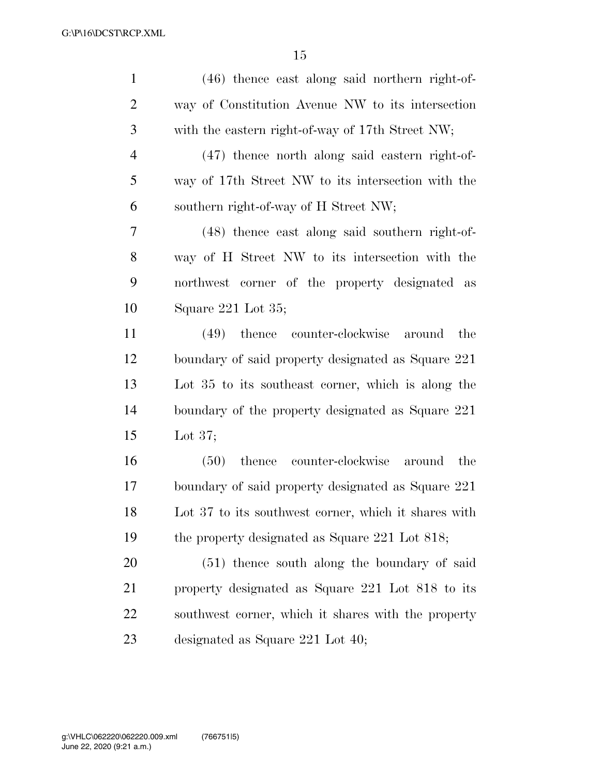| $\mathbf{1}$   | $(46)$ thence east along said northern right-of-     |
|----------------|------------------------------------------------------|
| $\overline{2}$ | way of Constitution Avenue NW to its intersection    |
| 3              | with the eastern right-of-way of 17th Street NW;     |
| $\overline{4}$ | $(47)$ thence north along said eastern right-of-     |
| 5              | way of 17th Street NW to its intersection with the   |
| 6              | southern right-of-way of H Street NW;                |
| 7              | (48) thence east along said southern right-of-       |
| 8              | way of H Street NW to its intersection with the      |
| 9              | northwest corner of the property designated as       |
| 10             | Square 221 Lot 35;                                   |
| 11             | (49) thence counter-clockwise<br>the<br>around       |
| 12             | boundary of said property designated as Square 221   |
| 13             | Lot 35 to its southeast corner, which is along the   |
| 14             | boundary of the property designated as Square 221    |
| 15             | Lot $37$ ;                                           |
| 16             | counter-clockwise around<br>$(50)$ thence<br>the     |
| 17             | boundary of said property designated as Square 221   |
| 18             | Lot 37 to its southwest corner, which it shares with |
| 19             | the property designated as Square 221 Lot 818;       |
| <b>20</b>      | (51) thence south along the boundary of said         |
| 21             | property designated as Square 221 Lot 818 to its     |
| 22             | southwest corner, which it shares with the property  |
| 23             | designated as Square $221$ Lot $40$ ;                |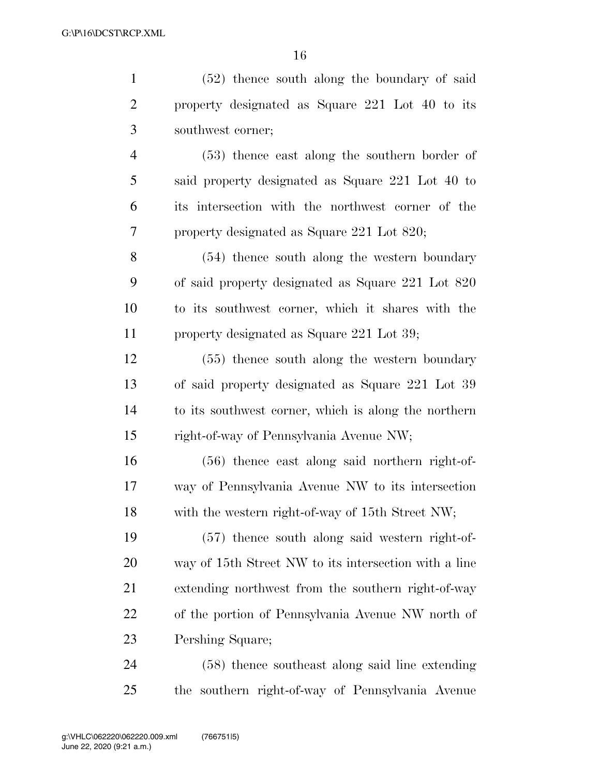| $\mathbf{1}$   | $(52)$ thence south along the boundary of said        |
|----------------|-------------------------------------------------------|
| $\overline{2}$ | property designated as Square 221 Lot 40 to its       |
| 3              | southwest corner;                                     |
| $\overline{4}$ | $(53)$ thence east along the southern border of       |
| 5              | said property designated as Square 221 Lot 40 to      |
| 6              | its intersection with the northwest corner of the     |
| 7              | property designated as Square 221 Lot 820;            |
| 8              | (54) thence south along the western boundary          |
| 9              | of said property designated as Square 221 Lot 820     |
| 10             | to its southwest corner, which it shares with the     |
| 11             | property designated as Square 221 Lot 39;             |
| 12             | $(55)$ thence south along the western boundary        |
| 13             | of said property designated as Square 221 Lot 39      |
| 14             | to its southwest corner, which is along the northern  |
| 15             | right-of-way of Pennsylvania Avenue NW;               |
| 16             | $(56)$ thence east along said northern right-of-      |
| 17             | way of Pennsylvania Avenue NW to its intersection     |
| 18             | with the western right-of-way of 15th Street NW;      |
| 19             | $(57)$ thence south along said western right-of-      |
| <b>20</b>      | way of 15th Street NW to its intersection with a line |
| 21             | extending northwest from the southern right-of-way    |
| 22             | of the portion of Pennsylvania Avenue NW north of     |
| 23             | Pershing Square;                                      |
| 24             | (58) thence southeast along said line extending       |
| 25             | the southern right-of-way of Pennsylvania Avenue      |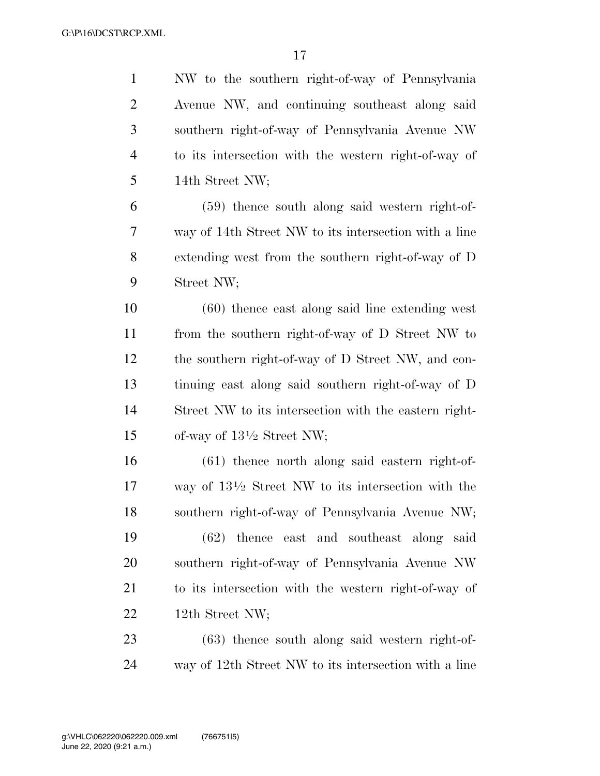| $\mathbf{1}$   | NW to the southern right-of-way of Pennsylvania               |
|----------------|---------------------------------------------------------------|
| $\overline{2}$ | Avenue NW, and continuing southeast along said                |
| 3              | southern right-of-way of Pennsylvania Avenue NW               |
| $\overline{4}$ | to its intersection with the western right-of-way of          |
| 5              | 14th Street NW;                                               |
| 6              | $(59)$ thence south along said western right-of-              |
| 7              | way of 14th Street NW to its intersection with a line         |
| 8              | extending west from the southern right-of-way of D            |
| 9              | Street NW;                                                    |
| 10             | $(60)$ thence east along said line extending west             |
| 11             | from the southern right-of-way of D Street NW to              |
| 12             | the southern right-of-way of D Street NW, and con-            |
| 13             | tinuing east along said southern right-of-way of D            |
| 14             | Street NW to its intersection with the eastern right-         |
| 15             | of-way of $13\frac{1}{2}$ Street NW;                          |
| 16             | $(61)$ thence north along said eastern right-of-              |
| 17             | way of $13\frac{1}{2}$ Street NW to its intersection with the |
| 18             | southern right-of-way of Pennsylvania Avenue NW;              |
| 19             | $(62)$ thence east and southeast along said                   |
| 20             | southern right-of-way of Pennsylvania Avenue NW               |
| 21             | to its intersection with the western right-of-way of          |
| 22             | 12th Street NW;                                               |
| 23             | $(63)$ thence south along said western right-of-              |
| 24             | way of 12th Street NW to its intersection with a line         |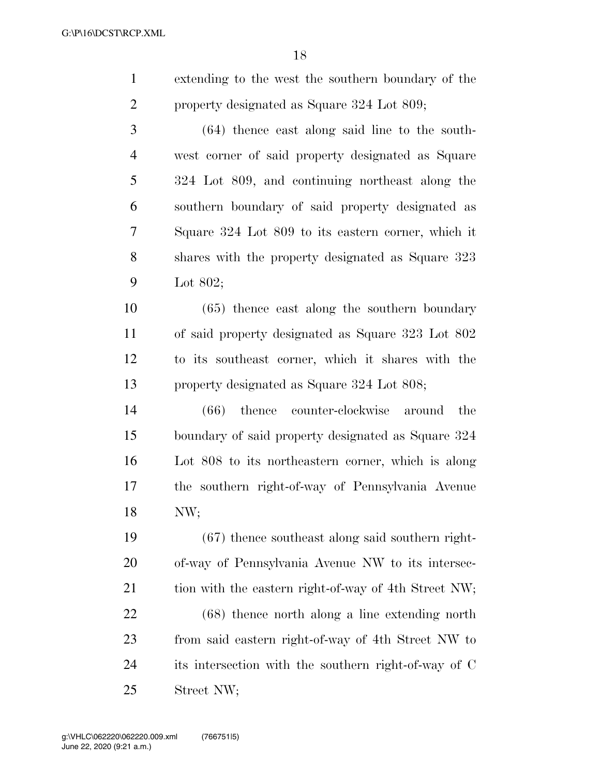|   | extending to the west the southern boundary of the |
|---|----------------------------------------------------|
| 2 | property designated as Square 324 Lot 809;         |
|   |                                                    |

 (64) thence east along said line to the south- west corner of said property designated as Square 324 Lot 809, and continuing northeast along the southern boundary of said property designated as Square 324 Lot 809 to its eastern corner, which it shares with the property designated as Square 323 Lot 802;

 (65) thence east along the southern boundary of said property designated as Square 323 Lot 802 to its southeast corner, which it shares with the property designated as Square 324 Lot 808;

 (66) thence counter-clockwise around the boundary of said property designated as Square 324 Lot 808 to its northeastern corner, which is along the southern right-of-way of Pennsylvania Avenue NW;

 (67) thence southeast along said southern right- of-way of Pennsylvania Avenue NW to its intersec-21 tion with the eastern right-of-way of 4th Street NW;

 (68) thence north along a line extending north from said eastern right-of-way of 4th Street NW to its intersection with the southern right-of-way of C Street NW;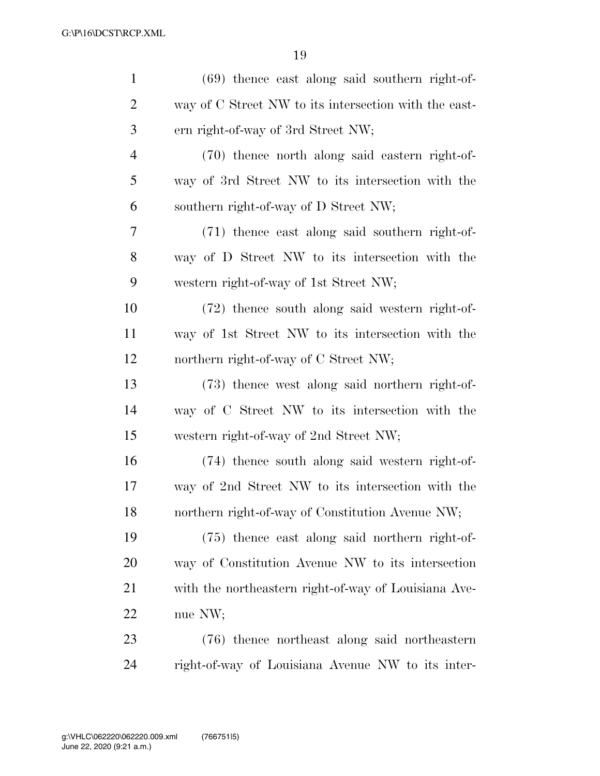| $\mathbf{1}$   | $(69)$ thence east along said southern right-of-      |
|----------------|-------------------------------------------------------|
| $\overline{2}$ | way of C Street NW to its intersection with the east- |
| 3              | ern right-of-way of 3rd Street NW;                    |
| $\overline{4}$ | (70) thence north along said eastern right-of-        |
| 5              | way of 3rd Street NW to its intersection with the     |
| 6              | southern right-of-way of D Street NW;                 |
| 7              | (71) thence east along said southern right-of-        |
| 8              | way of D Street NW to its intersection with the       |
| 9              | western right-of-way of 1st Street NW;                |
| 10             | (72) thence south along said western right-of-        |
| 11             | way of 1st Street NW to its intersection with the     |
| 12             | northern right-of-way of C Street NW;                 |
| 13             | (73) thence west along said northern right-of-        |
| 14             | way of C Street NW to its intersection with the       |
| 15             | western right-of-way of 2nd Street NW;                |
| 16             | (74) thence south along said western right-of-        |
| 17             | way of 2nd Street NW to its intersection with the     |
| 18             | northern right-of-way of Constitution Avenue NW;      |
| 19             | (75) thence east along said northern right-of-        |
| 20             | way of Constitution Avenue NW to its intersection     |
| 21             | with the northeastern right-of-way of Louisiana Ave-  |
| 22             | nue NW;                                               |
| 23             | (76) thence northeast along said northeastern         |
| 24             | right-of-way of Louisiana Avenue NW to its inter-     |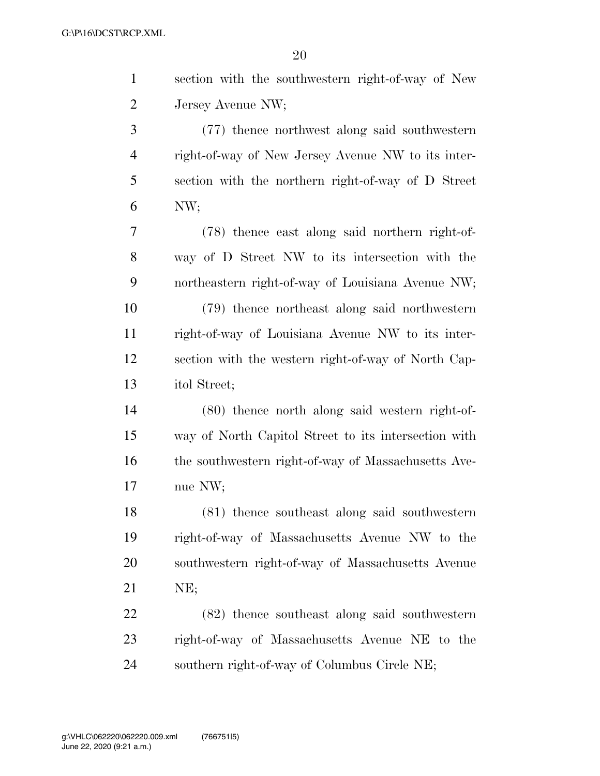| $\mathbf{1}$   | section with the southwestern right-of-way of New    |
|----------------|------------------------------------------------------|
| $\overline{2}$ | Jersey Avenue NW;                                    |
| 3              | (77) thence northwest along said southwestern        |
| $\overline{4}$ | right-of-way of New Jersey Avenue NW to its inter-   |
| 5              | section with the northern right-of-way of D Street   |
| 6              | NW;                                                  |
| $\tau$         | (78) thence east along said northern right-of-       |
| 8              | way of D Street NW to its intersection with the      |
| 9              | northeastern right-of-way of Louisiana Avenue NW;    |
| 10             | (79) thence northeast along said northwestern        |
| 11             | right-of-way of Louisiana Avenue NW to its inter-    |
| 12             | section with the western right-of-way of North Cap-  |
| 13             | itol Street;                                         |
| 14             | (80) thence north along said western right-of-       |
| 15             | way of North Capitol Street to its intersection with |
| 16             | the southwestern right-of-way of Massachusetts Ave-  |
| 17             | nue NW;                                              |
| 18             | (81) thence southeast along said southwestern        |
| 19             | right-of-way of Massachusetts Avenue NW to the       |
| 20             | southwestern right-of-way of Massachusetts Avenue    |
| 21             | NE;                                                  |
| 22             | (82) thence southeast along said southwestern        |
| 23             | right-of-way of Massachusetts Avenue NE to the       |
| 24             | southern right-of-way of Columbus Circle NE;         |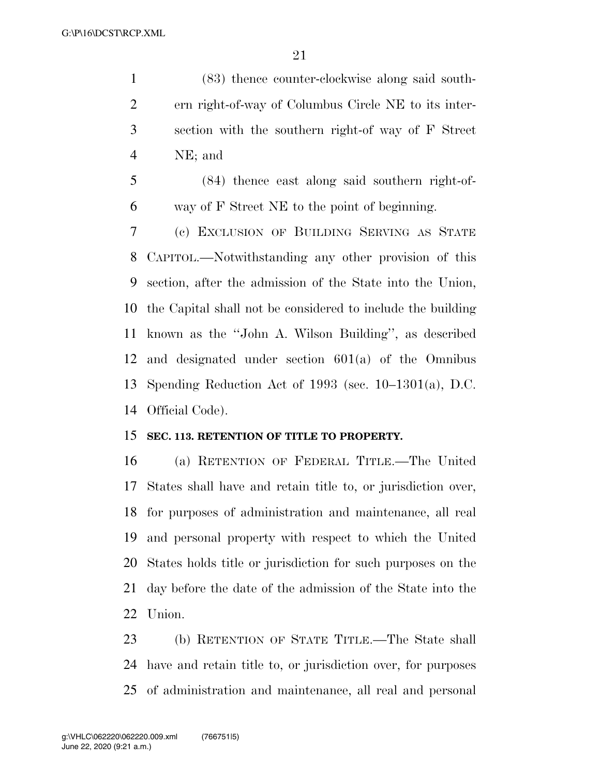(83) thence counter-clockwise along said south- ern right-of-way of Columbus Circle NE to its inter- section with the southern right-of way of F Street NE; and

 (84) thence east along said southern right-of-way of F Street NE to the point of beginning.

 (c) EXCLUSION OF BUILDING SERVING AS STATE CAPITOL.—Notwithstanding any other provision of this section, after the admission of the State into the Union, the Capital shall not be considered to include the building known as the ''John A. Wilson Building'', as described and designated under section 601(a) of the Omnibus Spending Reduction Act of 1993 (sec. 10–1301(a), D.C. Official Code).

## **SEC. 113. RETENTION OF TITLE TO PROPERTY.**

 (a) RETENTION OF FEDERAL TITLE.—The United States shall have and retain title to, or jurisdiction over, for purposes of administration and maintenance, all real and personal property with respect to which the United States holds title or jurisdiction for such purposes on the day before the date of the admission of the State into the Union.

 (b) RETENTION OF STATE TITLE.—The State shall have and retain title to, or jurisdiction over, for purposes of administration and maintenance, all real and personal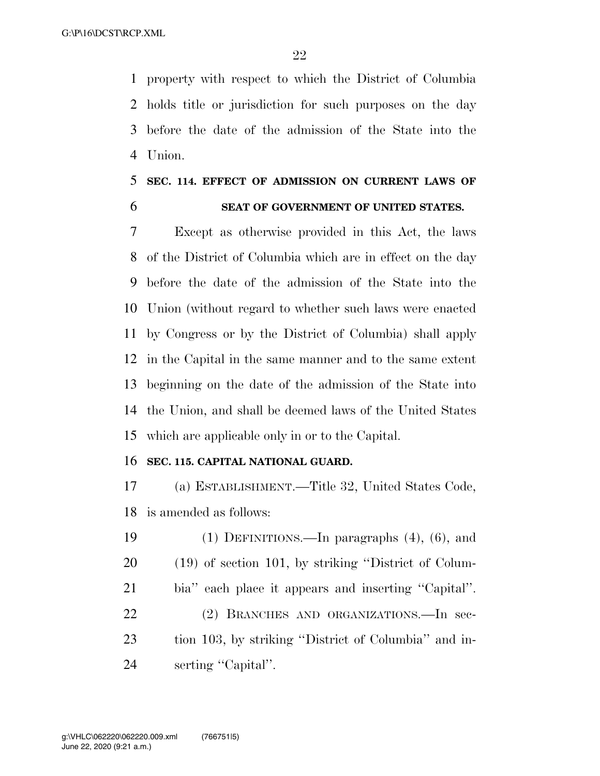property with respect to which the District of Columbia holds title or jurisdiction for such purposes on the day before the date of the admission of the State into the Union.

## **SEC. 114. EFFECT OF ADMISSION ON CURRENT LAWS OF SEAT OF GOVERNMENT OF UNITED STATES.**

 Except as otherwise provided in this Act, the laws of the District of Columbia which are in effect on the day before the date of the admission of the State into the Union (without regard to whether such laws were enacted by Congress or by the District of Columbia) shall apply in the Capital in the same manner and to the same extent beginning on the date of the admission of the State into the Union, and shall be deemed laws of the United States which are applicable only in or to the Capital.

### **SEC. 115. CAPITAL NATIONAL GUARD.**

 (a) ESTABLISHMENT.—Title 32, United States Code, is amended as follows:

 (1) DEFINITIONS.—In paragraphs (4), (6), and (19) of section 101, by striking ''District of Colum- bia'' each place it appears and inserting ''Capital''. (2) BRANCHES AND ORGANIZATIONS.—In sec- tion 103, by striking ''District of Columbia'' and in-24 serting "Capital".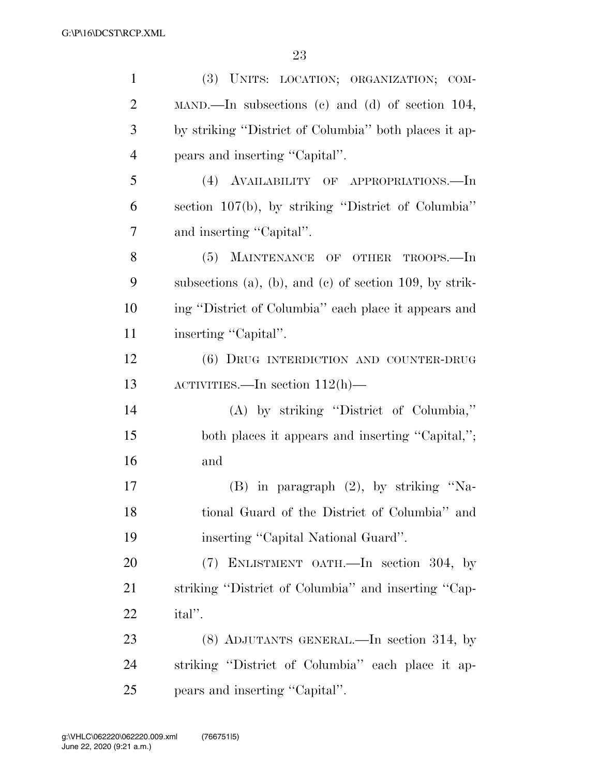| $\mathbf{1}$   | (3) UNITS: LOCATION; ORGANIZATION; COM-                 |
|----------------|---------------------------------------------------------|
| $\overline{2}$ | MAND.—In subsections (c) and (d) of section 104,        |
| 3              | by striking "District of Columbia" both places it ap-   |
| $\overline{4}$ | pears and inserting "Capital".                          |
| 5              | (4) AVAILABILITY OF APPROPRIATIONS.—In                  |
| 6              | section 107(b), by striking "District of Columbia"      |
| 7              | and inserting "Capital".                                |
| 8              | (5) MAINTENANCE OF OTHER TROOPS.—In                     |
| 9              | subsections (a), (b), and (c) of section 109, by strik- |
| 10             | ing "District of Columbia" each place it appears and    |
| 11             | inserting "Capital".                                    |
| 12             | (6) DRUG INTERDICTION AND COUNTER-DRUG                  |
| 13             | ACTIVITIES.—In section $112(h)$ —                       |
| 14             | (A) by striking "District of Columbia,"                 |
| 15             | both places it appears and inserting "Capital,";        |
| 16             | and                                                     |
| 17             | $(B)$ in paragraph $(2)$ , by striking "Na-             |
| 18             | tional Guard of the District of Columbia" and           |
| 19             | inserting "Capital National Guard".                     |
| 20             | (7) ENLISTMENT OATH.—In section 304, by                 |
| 21             | striking "District of Columbia" and inserting "Cap-     |
| 22             | ital''.                                                 |
| 23             | (8) ADJUTANTS GENERAL.—In section 314, by               |
| 24             | striking "District of Columbia" each place it ap-       |
| 25             | pears and inserting "Capital".                          |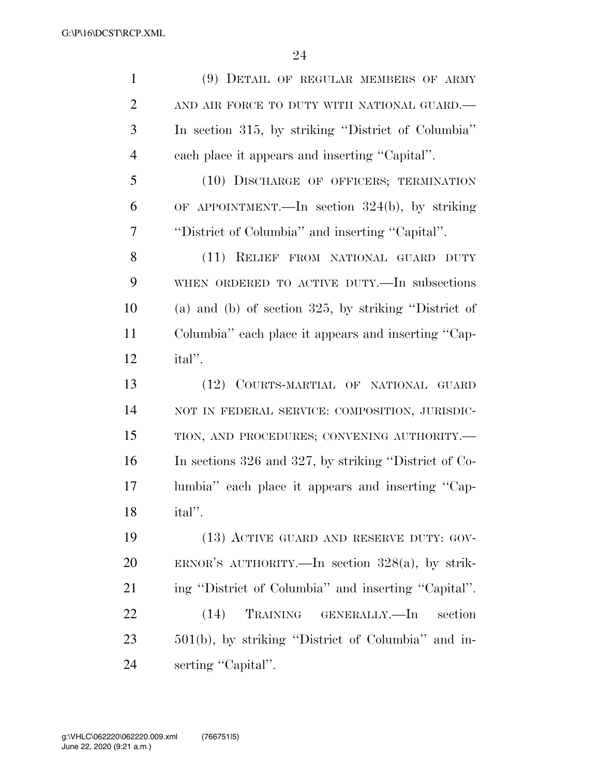| $\mathbf{1}$   | (9) DETAIL OF REGULAR MEMBERS OF ARMY                   |
|----------------|---------------------------------------------------------|
| $\overline{2}$ | AND AIR FORCE TO DUTY WITH NATIONAL GUARD.-             |
| 3              | In section 315, by striking "District of Columbia"      |
| $\overline{4}$ | each place it appears and inserting "Capital".          |
| 5              | (10) DISCHARGE OF OFFICERS; TERMINATION                 |
| 6              | OF APPOINTMENT.—In section $324(b)$ , by striking       |
| 7              | "District of Columbia" and inserting "Capital".         |
| 8              | (11) RELIEF FROM NATIONAL GUARD DUTY                    |
| 9              | WHEN ORDERED TO ACTIVE DUTY.—In subsections             |
| 10             | (a) and (b) of section $325$ , by striking "District of |
| 11             | Columbia" each place it appears and inserting "Cap-     |
| 12             | ital".                                                  |
| 13             | (12) COURTS-MARTIAL OF NATIONAL GUARD                   |
| 14             | NOT IN FEDERAL SERVICE: COMPOSITION, JURISDIC-          |
| 15             | TION, AND PROCEDURES; CONVENING AUTHORITY.-             |
| 16             | In sections 326 and 327, by striking "District of Co-   |
| 17             | lumbia" each place it appears and inserting "Cap-       |
| 18             | ital".                                                  |
| 19             | (13) ACTIVE GUARD AND RESERVE DUTY: GOV-                |
| 20             | ERNOR'S AUTHORITY.—In section $328(a)$ , by strik-      |
| 21             | ing "District of Columbia" and inserting "Capital".     |
| 22             | (14)<br>TRAINING GENERALLY.—In<br>section               |
| 23             | 501(b), by striking "District of Columbia" and in-      |
| 24             | serting "Capital".                                      |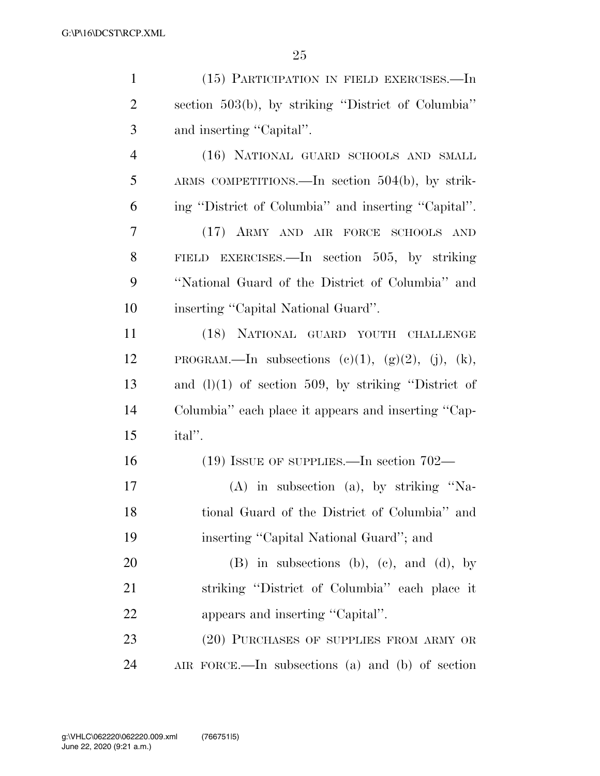| $\mathbf{1}$   | (15) PARTICIPATION IN FIELD EXERCISES.-In                     |
|----------------|---------------------------------------------------------------|
| $\overline{2}$ | section 503(b), by striking "District of Columbia"            |
| 3              | and inserting "Capital".                                      |
| $\overline{4}$ | (16) NATIONAL GUARD SCHOOLS AND SMALL                         |
| 5              | ARMS COMPETITIONS.—In section $504(b)$ , by strik-            |
| 6              | ing "District of Columbia" and inserting "Capital".           |
| $\overline{7}$ | (17) ARMY AND AIR FORCE SCHOOLS AND                           |
| 8              | FIELD EXERCISES.—In section 505, by striking                  |
| 9              | "National Guard of the District of Columbia" and              |
| 10             | inserting "Capital National Guard".                           |
| 11             | (18) NATIONAL GUARD YOUTH CHALLENGE                           |
| 12             | PROGRAM.—In subsections $(c)(1)$ , $(g)(2)$ , $(j)$ , $(k)$ , |
| 13             | and $(l)(1)$ of section 509, by striking "District of         |
| 14             | Columbia" each place it appears and inserting "Cap-           |
| 15             | ital''.                                                       |
| 16             | $(19)$ ISSUE OF SUPPLIES.—In section 702—                     |
| 17             | $(A)$ in subsection $(a)$ , by striking "Na-                  |
| 18             | tional Guard of the District of Columbia" and                 |
| 19             | inserting "Capital National Guard"; and                       |
| 20             | (B) in subsections (b), (c), and (d), by                      |
| 21             | striking "District of Columbia" each place it                 |
| 22             | appears and inserting "Capital".                              |
| 23             | (20) PURCHASES OF SUPPLIES FROM ARMY OR                       |
| 24             | AIR FORCE.—In subsections (a) and (b) of section              |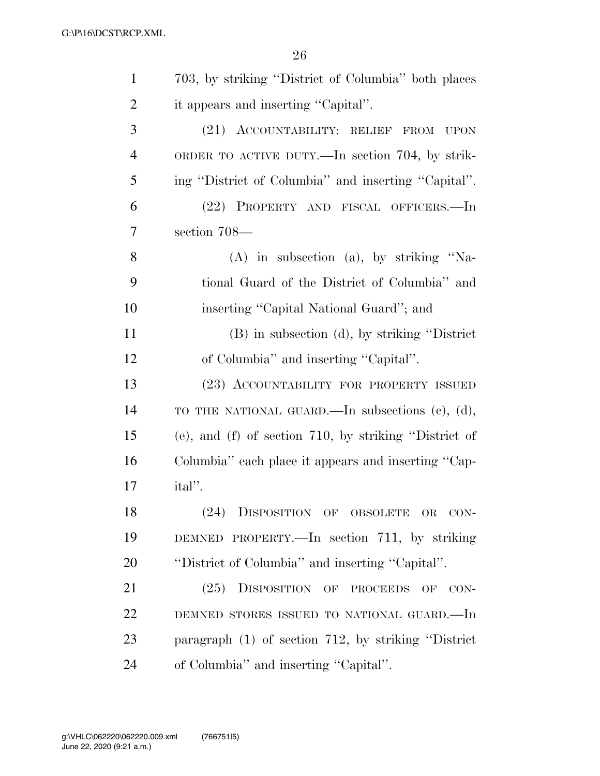| $\mathbf{1}$   | 703, by striking "District of Columbia" both places        |
|----------------|------------------------------------------------------------|
| $\overline{2}$ | it appears and inserting "Capital".                        |
| 3              | (21) ACCOUNTABILITY: RELIEF FROM<br><b>UPON</b>            |
| $\overline{4}$ | ORDER TO ACTIVE DUTY.—In section 704, by strik-            |
| 5              | ing "District of Columbia" and inserting "Capital".        |
| 6              | (22) PROPERTY AND FISCAL OFFICERS.—In                      |
| 7              | section 708—                                               |
| 8              | $(A)$ in subsection $(a)$ , by striking "Na-               |
| 9              | tional Guard of the District of Columbia" and              |
| 10             | inserting "Capital National Guard"; and                    |
| 11             | (B) in subsection (d), by striking "District"              |
| 12             | of Columbia" and inserting "Capital".                      |
| 13             | (23) ACCOUNTABILITY FOR PROPERTY ISSUED                    |
| 14             | TO THE NATIONAL GUARD.—In subsections (c), (d),            |
| 15             | $(e)$ , and $(f)$ of section 710, by striking "District of |
| 16             | Columbia" each place it appears and inserting "Cap-        |
| 17             | ital''.                                                    |
| 18             | (24)<br>DISPOSITION OF OBSOLETE OR<br>CON-                 |
| 19             | DEMNED PROPERTY.—In section 711, by striking               |
| 20             | "District of Columbia" and inserting "Capital".            |
| 21             | (25) DISPOSITION OF PROCEEDS OF CON-                       |
| 22             | DEMNED STORES ISSUED TO NATIONAL GUARD.—In                 |
| 23             | paragraph $(1)$ of section 712, by striking "District"     |
| 24             | of Columbia" and inserting "Capital".                      |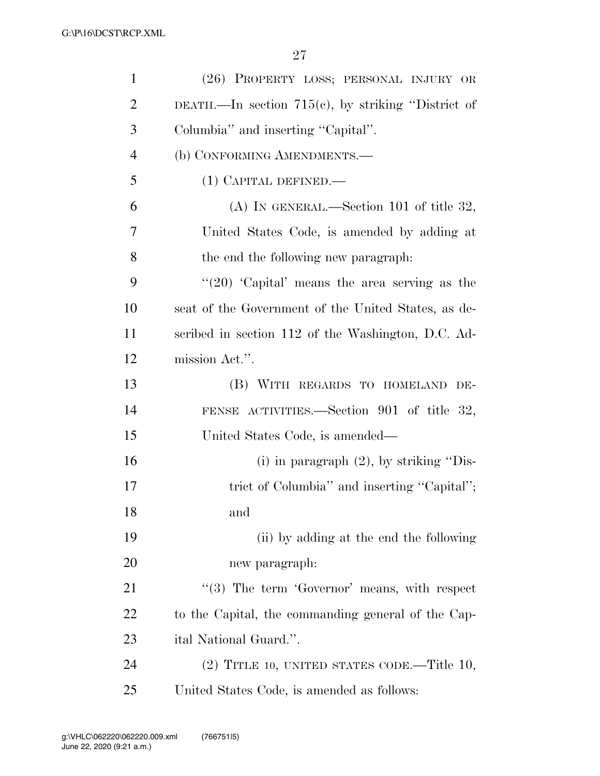| $\mathbf{1}$   | (26) PROPERTY LOSS; PERSONAL INJURY OR                |
|----------------|-------------------------------------------------------|
| $\overline{2}$ | DEATH.—In section $715(e)$ , by striking "District of |
| 3              | Columbia" and inserting "Capital".                    |
| $\overline{4}$ | (b) CONFORMING AMENDMENTS.-                           |
| 5              | (1) CAPITAL DEFINED.—                                 |
| 6              | (A) IN GENERAL.—Section 101 of title 32,              |
| $\overline{7}$ | United States Code, is amended by adding at           |
| 8              | the end the following new paragraph.                  |
| 9              | " $(20)$ 'Capital' means the area serving as the      |
| 10             | seat of the Government of the United States, as de-   |
| 11             | scribed in section 112 of the Washington, D.C. Ad-    |
| 12             | mission Act.".                                        |
| 13             | (B) WITH REGARDS TO HOMELAND DE-                      |
| 14             | FENSE ACTIVITIES.—Section 901 of title 32,            |
| 15             | United States Code, is amended—                       |
| 16             | (i) in paragraph $(2)$ , by striking "Dis-            |
| 17             | trict of Columbia" and inserting "Capital";           |
| 18             | and                                                   |
| 19             | (ii) by adding at the end the following               |
| 20             | new paragraph:                                        |
| 21             | $(3)$ The term 'Governor' means, with respect         |
| 22             | to the Capital, the commanding general of the Cap-    |
| 23             | ital National Guard.".                                |
| 24             | $(2)$ TITLE 10, UNITED STATES CODE.—Title 10,         |
| 25             | United States Code, is amended as follows:            |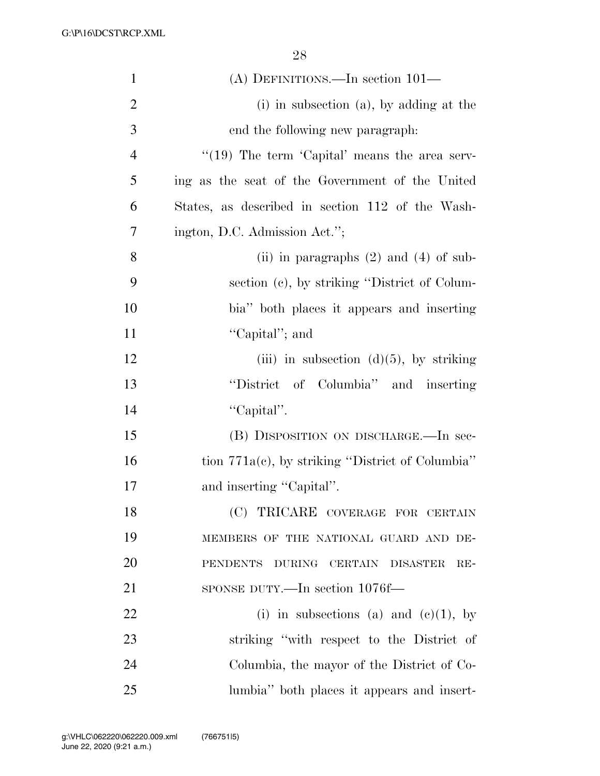| $\mathbf{1}$   | (A) DEFINITIONS.—In section $101-$                  |
|----------------|-----------------------------------------------------|
| $\overline{2}$ | $(i)$ in subsection $(a)$ , by adding at the        |
| 3              | end the following new paragraph:                    |
| $\overline{4}$ | " $(19)$ The term 'Capital' means the area serv-    |
| 5              | ing as the seat of the Government of the United     |
| 6              | States, as described in section 112 of the Wash-    |
| 7              | ington, D.C. Admission Act.";                       |
| 8              | (ii) in paragraphs $(2)$ and $(4)$ of sub-          |
| 9              | section (c), by striking "District of Colum-        |
| 10             | bia" both places it appears and inserting           |
| 11             | "Capital"; and                                      |
| 12             | (iii) in subsection $(d)(5)$ , by striking          |
| 13             | "District of Columbia" and inserting                |
| 14             | "Capital".                                          |
| 15             | (B) DISPOSITION ON DISCHARGE.—In sec-               |
| 16             | tion $771a(c)$ , by striking "District of Columbia" |
| 17             | and inserting "Capital".                            |
| 18             | (C) TRICARE COVERAGE FOR CERTAIN                    |
| 19             | MEMBERS OF THE NATIONAL GUARD AND DE-               |
| 20             | PENDENTS DURING CERTAIN DISASTER<br>$RE-$           |
| 21             | SPONSE DUTY.—In section 1076f—                      |
| 22             | (i) in subsections (a) and $(e)(1)$ , by            |
| 23             | striking "with respect to the District of           |
| 24             | Columbia, the mayor of the District of Co-          |
| 25             | lumbia" both places it appears and insert-          |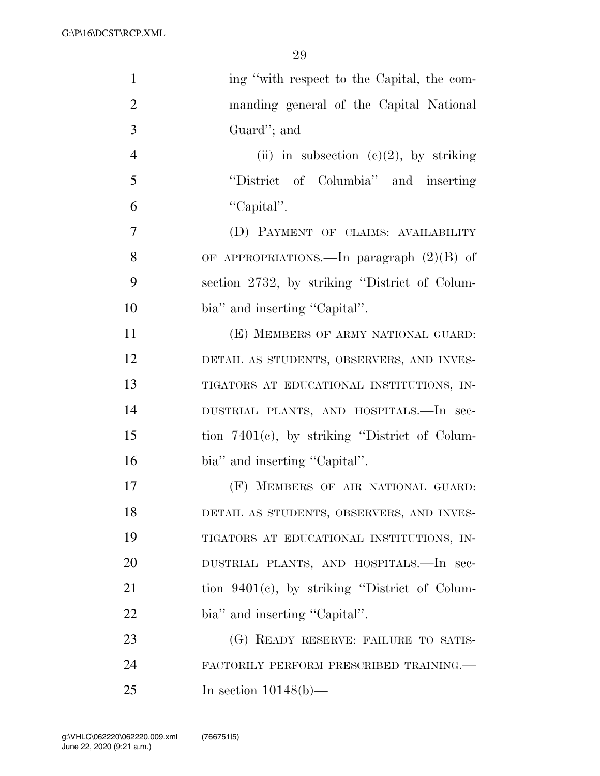| $\mathbf{1}$   | ing "with respect to the Capital, the com-       |
|----------------|--------------------------------------------------|
| $\overline{2}$ | manding general of the Capital National          |
| 3              | Guard"; and                                      |
| $\overline{4}$ | (ii) in subsection (c)(2), by striking           |
| 5              | "District of Columbia" and inserting             |
| 6              | "Capital".                                       |
| 7              | (D) PAYMENT OF CLAIMS: AVAILABILITY              |
| 8              | OF APPROPRIATIONS.—In paragraph $(2)(B)$ of      |
| 9              | section 2732, by striking "District of Colum-    |
| 10             | bia" and inserting "Capital".                    |
| 11             | (E) MEMBERS OF ARMY NATIONAL GUARD:              |
| 12             | DETAIL AS STUDENTS, OBSERVERS, AND INVES-        |
| 13             | TIGATORS AT EDUCATIONAL INSTITUTIONS, IN-        |
| 14             | DUSTRIAL PLANTS, AND HOSPITALS.-In sec-          |
| 15             | tion $7401(c)$ , by striking "District of Colum- |
| 16             | bia" and inserting "Capital".                    |
| 17             | (F) MEMBERS OF AIR NATIONAL GUARD:               |
| 18             | DETAIL AS STUDENTS, OBSERVERS, AND INVES-        |
| 19             | TIGATORS AT EDUCATIONAL INSTITUTIONS, IN-        |
| 20             | DUSTRIAL PLANTS, AND HOSPITALS.—In sec-          |
| 21             | tion $9401(c)$ , by striking "District of Colum- |
| 22             | bia" and inserting "Capital".                    |
| 23             | (G) READY RESERVE: FAILURE TO SATIS-             |
| 24             | FACTORILY PERFORM PRESCRIBED TRAINING.           |
| 25             | In section $10148(b)$ —                          |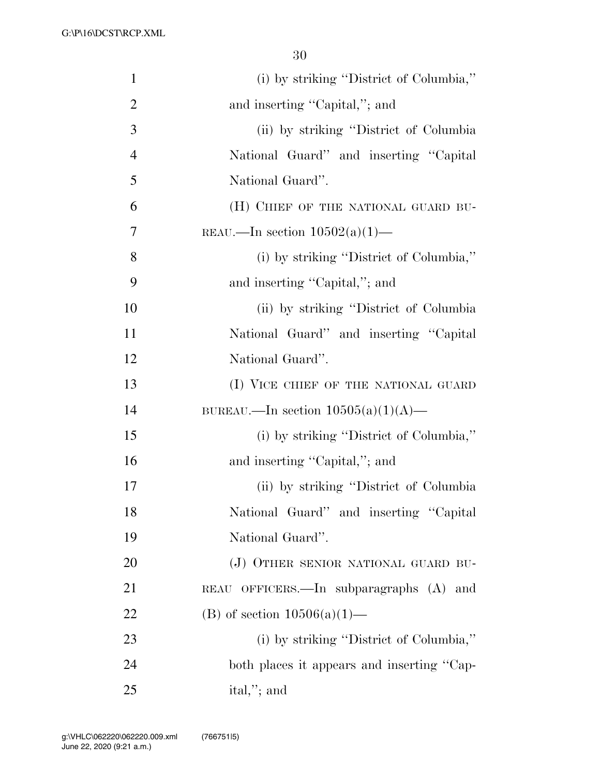| $\mathbf{1}$   | (i) by striking "District of Columbia,"    |
|----------------|--------------------------------------------|
| $\overline{2}$ | and inserting "Capital,"; and              |
| 3              | (ii) by striking "District of Columbia"    |
| $\overline{4}$ | National Guard" and inserting "Capital"    |
| 5              | National Guard".                           |
| 6              | (H) CHIEF OF THE NATIONAL GUARD BU-        |
| 7              | REAU.—In section $10502(a)(1)$ —           |
| 8              | (i) by striking "District of Columbia,"    |
| 9              | and inserting "Capital,"; and              |
| 10             | (ii) by striking "District of Columbia"    |
| 11             | National Guard" and inserting "Capital     |
| 12             | National Guard".                           |
| 13             | (I) VICE CHIEF OF THE NATIONAL GUARD       |
| 14             | BUREAU.—In section $10505(a)(1)(A)$ —      |
| 15             | (i) by striking "District of Columbia,"    |
| 16             | and inserting "Capital,"; and              |
| 17             | (ii) by striking "District of Columbia"    |
| 18             | National Guard" and inserting "Capital     |
| 19             | National Guard".                           |
| 20             | (J) OTHER SENIOR NATIONAL GUARD BU-        |
| 21             | REAU OFFICERS.—In subparagraphs (A) and    |
| 22             | (B) of section $10506(a)(1)$ —             |
| 23             | (i) by striking "District of Columbia,"    |
| 24             | both places it appears and inserting "Cap- |
| 25             | ital,"; and                                |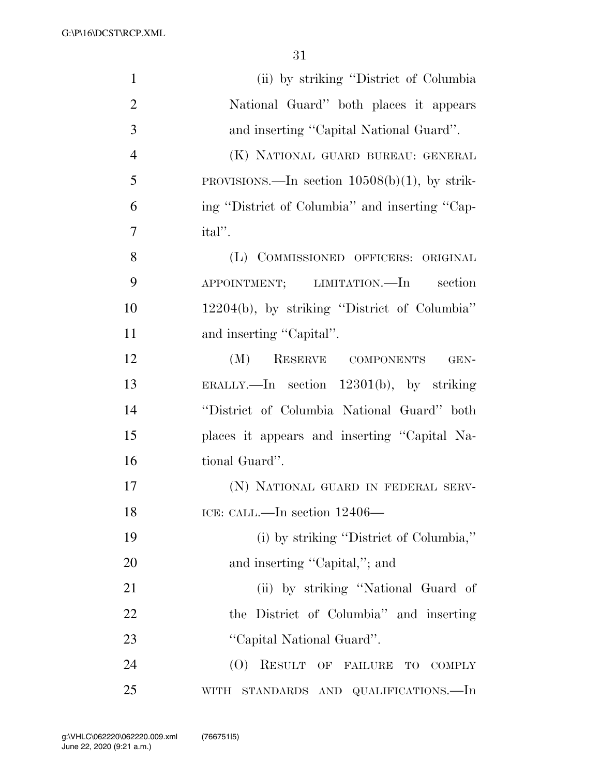| $\mathbf{1}$   | (ii) by striking "District of Columbia"          |
|----------------|--------------------------------------------------|
| $\overline{2}$ | National Guard" both places it appears           |
| 3              | and inserting "Capital National Guard".          |
| $\overline{4}$ | (K) NATIONAL GUARD BUREAU: GENERAL               |
| 5              | PROVISIONS.—In section $10508(b)(1)$ , by strik- |
| 6              | ing "District of Columbia" and inserting "Cap-   |
| 7              | ital''.                                          |
| 8              | (L) COMMISSIONED OFFICERS: ORIGINAL              |
| 9              | APPOINTMENT; LIMITATION.—In section              |
| 10             | $12204(b)$ , by striking "District of Columbia"  |
| 11             | and inserting "Capital".                         |
| 12             | (M)<br>RESERVE COMPONENTS<br>GEN-                |
| 13             | ERALLY.—In section $12301(b)$ , by striking      |
| 14             | "District of Columbia National Guard" both       |
| 15             | places it appears and inserting "Capital Na-     |
| 16             | tional Guard".                                   |
| 17             | (N) NATIONAL GUARD IN FEDERAL SERV-              |
| 18             | ICE: CALL.—In section 12406—                     |
| 19             | (i) by striking "District of Columbia,"          |
| 20             | and inserting "Capital,"; and                    |
| 21             | (ii) by striking "National Guard of              |
| 22             | the District of Columbia" and inserting          |
| 23             | "Capital National Guard".                        |
| 24             | (O) RESULT OF FAILURE TO<br>COMPLY               |
| 25             | WITH STANDARDS AND QUALIFICATIONS.—In            |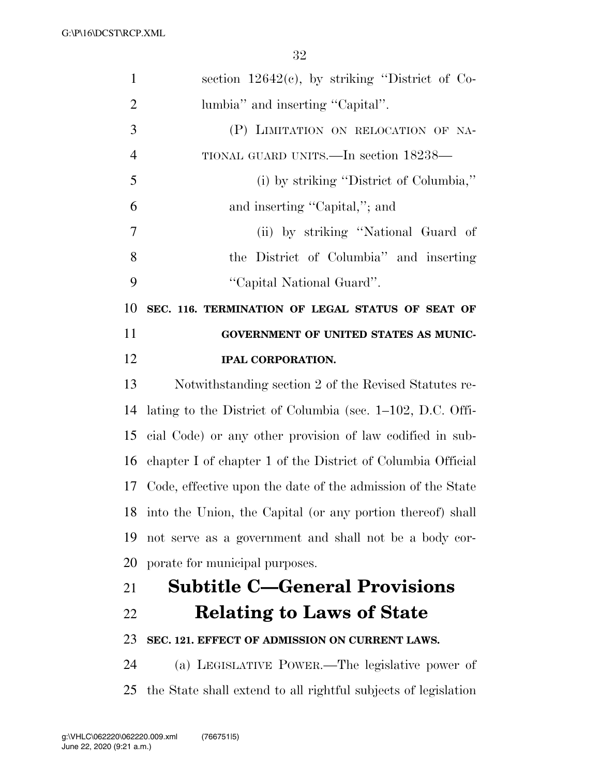| $\mathbf{1}$   | section $12642(c)$ , by striking "District of Co-              |
|----------------|----------------------------------------------------------------|
| $\overline{2}$ | lumbia" and inserting "Capital".                               |
| 3              | (P) LIMITATION ON RELOCATION OF NA-                            |
| $\overline{4}$ | TIONAL GUARD UNITS.—In section 18238—                          |
| 5              | (i) by striking "District of Columbia,"                        |
| 6              | and inserting "Capital,"; and                                  |
| 7              | (ii) by striking "National Guard of                            |
| 8              | the District of Columbia" and inserting                        |
| 9              | "Capital National Guard".                                      |
| 10             | SEC. 116. TERMINATION OF LEGAL STATUS OF SEAT OF               |
| 11             | GOVERNMENT OF UNITED STATES AS MUNIC-                          |
| 12             | <b>IPAL CORPORATION.</b>                                       |
| 13             | Notwithstanding section 2 of the Revised Statutes re-          |
| 14             | lating to the District of Columbia (sec. 1–102, D.C. Offi-     |
| 15             | cial Code) or any other provision of law codified in sub-      |
| 16             | chapter I of chapter 1 of the District of Columbia Official    |
|                | 17 Code, effective upon the date of the admission of the State |
|                | 18 into the Union, the Capital (or any portion thereof) shall  |
| 19             | not serve as a government and shall not be a body cor-         |
| 20             | porate for municipal purposes.                                 |
| 21             | <b>Subtitle C-General Provisions</b>                           |
| 22             | <b>Relating to Laws of State</b>                               |
| 23             | SEC. 121. EFFECT OF ADMISSION ON CURRENT LAWS.                 |
| 24             | (a) LEGISLATIVE POWER.—The legislative power of                |
| 25             | the State shall extend to all rightful subjects of legislation |
|                |                                                                |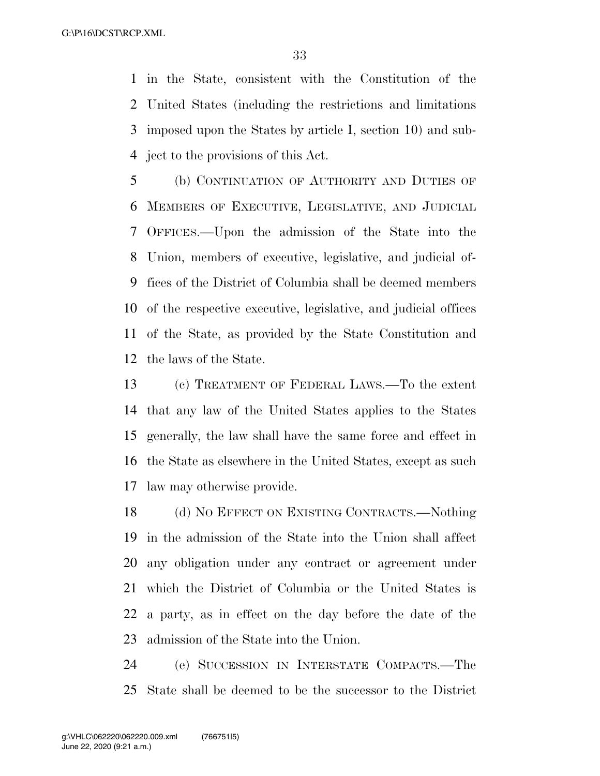in the State, consistent with the Constitution of the United States (including the restrictions and limitations imposed upon the States by article I, section 10) and sub-ject to the provisions of this Act.

 (b) CONTINUATION OF AUTHORITY AND DUTIES OF MEMBERS OF EXECUTIVE, LEGISLATIVE, AND JUDICIAL OFFICES.—Upon the admission of the State into the Union, members of executive, legislative, and judicial of- fices of the District of Columbia shall be deemed members of the respective executive, legislative, and judicial offices of the State, as provided by the State Constitution and the laws of the State.

 (c) TREATMENT OF FEDERAL LAWS.—To the extent that any law of the United States applies to the States generally, the law shall have the same force and effect in the State as elsewhere in the United States, except as such law may otherwise provide.

18 (d) NO EFFECT ON EXISTING CONTRACTS.—Nothing in the admission of the State into the Union shall affect any obligation under any contract or agreement under which the District of Columbia or the United States is a party, as in effect on the day before the date of the admission of the State into the Union.

 (e) SUCCESSION IN INTERSTATE COMPACTS.—The State shall be deemed to be the successor to the District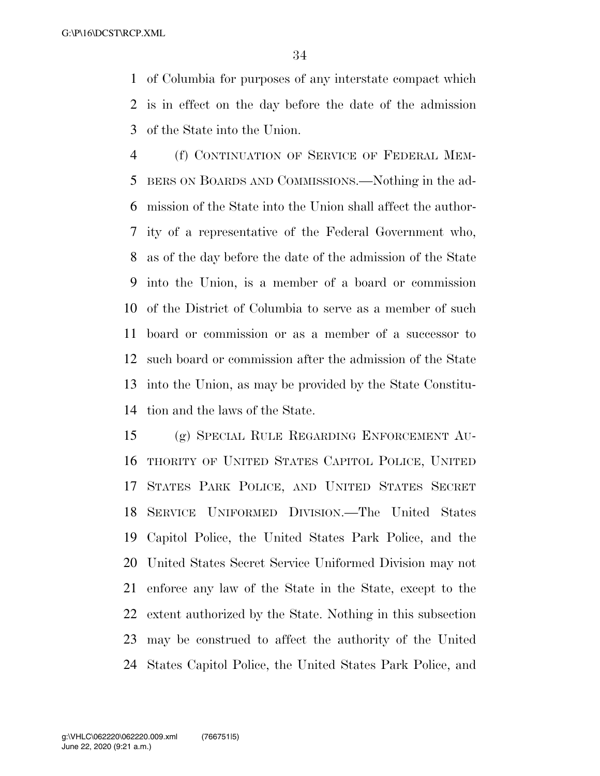of Columbia for purposes of any interstate compact which is in effect on the day before the date of the admission of the State into the Union.

 (f) CONTINUATION OF SERVICE OF FEDERAL MEM- BERS ON BOARDS AND COMMISSIONS.—Nothing in the ad- mission of the State into the Union shall affect the author- ity of a representative of the Federal Government who, as of the day before the date of the admission of the State into the Union, is a member of a board or commission of the District of Columbia to serve as a member of such board or commission or as a member of a successor to such board or commission after the admission of the State into the Union, as may be provided by the State Constitu-tion and the laws of the State.

 (g) SPECIAL RULE REGARDING ENFORCEMENT AU- THORITY OF UNITED STATES CAPITOL POLICE, UNITED STATES PARK POLICE, AND UNITED STATES SECRET SERVICE UNIFORMED DIVISION.—The United States Capitol Police, the United States Park Police, and the United States Secret Service Uniformed Division may not enforce any law of the State in the State, except to the extent authorized by the State. Nothing in this subsection may be construed to affect the authority of the United States Capitol Police, the United States Park Police, and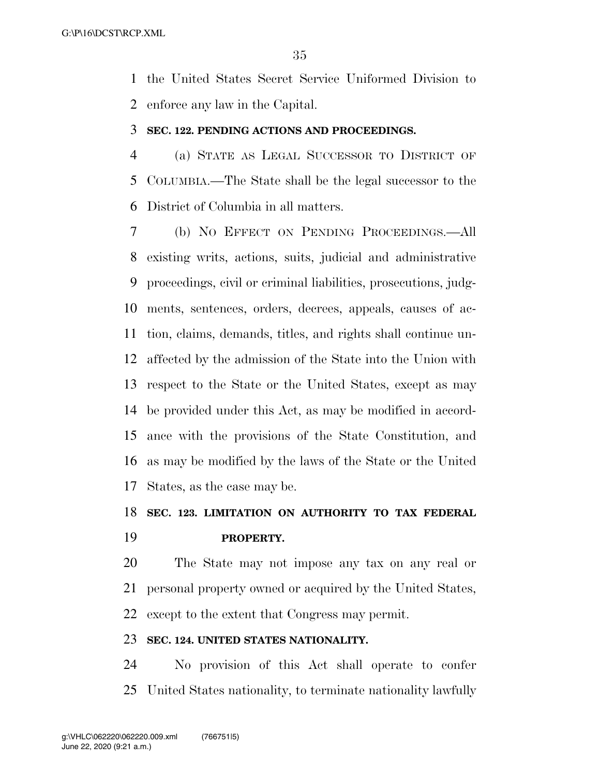the United States Secret Service Uniformed Division to enforce any law in the Capital.

### **SEC. 122. PENDING ACTIONS AND PROCEEDINGS.**

 (a) STATE AS LEGAL SUCCESSOR TO DISTRICT OF COLUMBIA.—The State shall be the legal successor to the District of Columbia in all matters.

 (b) NO EFFECT ON PENDING PROCEEDINGS.—All existing writs, actions, suits, judicial and administrative proceedings, civil or criminal liabilities, prosecutions, judg- ments, sentences, orders, decrees, appeals, causes of ac- tion, claims, demands, titles, and rights shall continue un- affected by the admission of the State into the Union with respect to the State or the United States, except as may be provided under this Act, as may be modified in accord- ance with the provisions of the State Constitution, and as may be modified by the laws of the State or the United States, as the case may be.

## **SEC. 123. LIMITATION ON AUTHORITY TO TAX FEDERAL**

## **PROPERTY.**

 The State may not impose any tax on any real or personal property owned or acquired by the United States, except to the extent that Congress may permit.

### **SEC. 124. UNITED STATES NATIONALITY.**

 No provision of this Act shall operate to confer United States nationality, to terminate nationality lawfully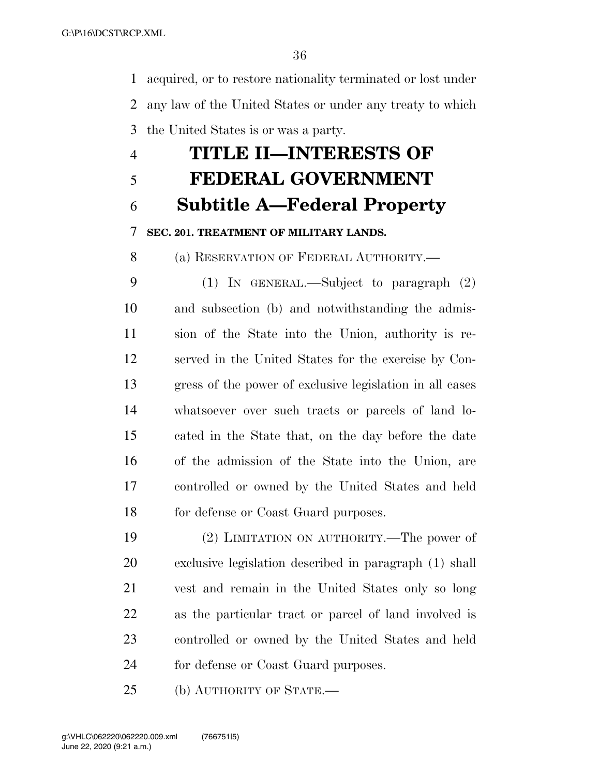acquired, or to restore nationality terminated or lost under any law of the United States or under any treaty to which the United States is or was a party.

## **TITLE II—INTERESTS OF FEDERAL GOVERNMENT**

**Subtitle A—Federal Property** 

## **SEC. 201. TREATMENT OF MILITARY LANDS.**

(a) RESERVATION OF FEDERAL AUTHORITY.—

 (1) IN GENERAL.—Subject to paragraph (2) and subsection (b) and notwithstanding the admis- sion of the State into the Union, authority is re- served in the United States for the exercise by Con- gress of the power of exclusive legislation in all cases whatsoever over such tracts or parcels of land lo- cated in the State that, on the day before the date of the admission of the State into the Union, are controlled or owned by the United States and held 18 for defense or Coast Guard purposes.

 (2) LIMITATION ON AUTHORITY.—The power of exclusive legislation described in paragraph (1) shall vest and remain in the United States only so long as the particular tract or parcel of land involved is controlled or owned by the United States and held for defense or Coast Guard purposes.

(b) AUTHORITY OF STATE.—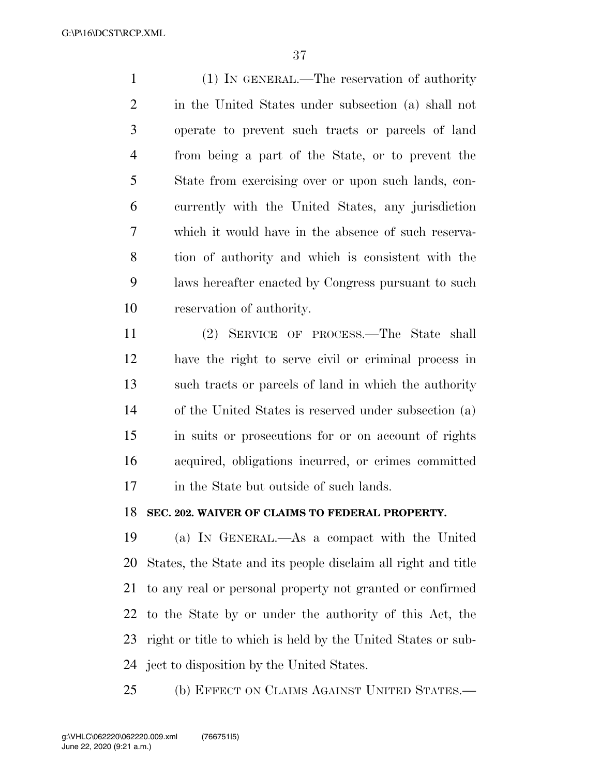(1) IN GENERAL.—The reservation of authority in the United States under subsection (a) shall not operate to prevent such tracts or parcels of land from being a part of the State, or to prevent the State from exercising over or upon such lands, con- currently with the United States, any jurisdiction which it would have in the absence of such reserva- tion of authority and which is consistent with the laws hereafter enacted by Congress pursuant to such reservation of authority.

 (2) SERVICE OF PROCESS.—The State shall have the right to serve civil or criminal process in such tracts or parcels of land in which the authority of the United States is reserved under subsection (a) in suits or prosecutions for or on account of rights acquired, obligations incurred, or crimes committed in the State but outside of such lands.

### **SEC. 202. WAIVER OF CLAIMS TO FEDERAL PROPERTY.**

 (a) IN GENERAL.—As a compact with the United States, the State and its people disclaim all right and title to any real or personal property not granted or confirmed to the State by or under the authority of this Act, the right or title to which is held by the United States or sub-ject to disposition by the United States.

(b) EFFECT ON CLAIMS AGAINST UNITED STATES.—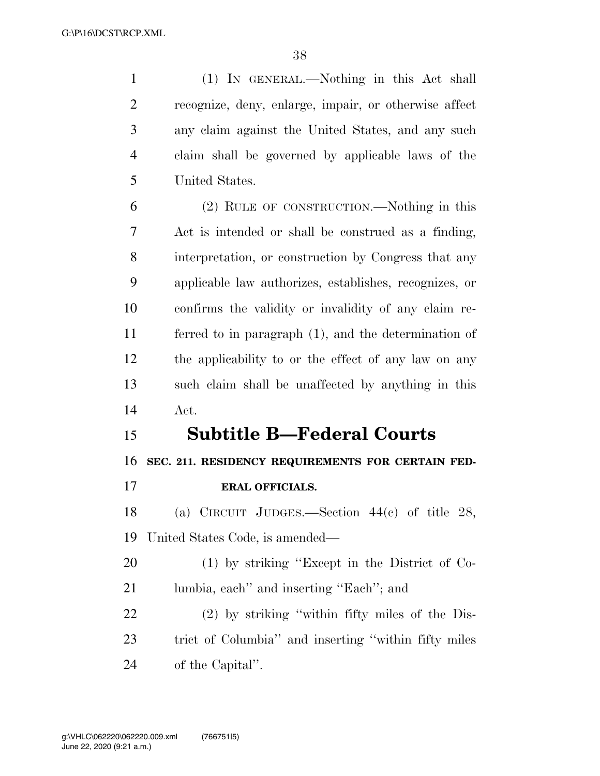(1) IN GENERAL.—Nothing in this Act shall recognize, deny, enlarge, impair, or otherwise affect any claim against the United States, and any such claim shall be governed by applicable laws of the United States.

 (2) RULE OF CONSTRUCTION.—Nothing in this Act is intended or shall be construed as a finding, interpretation, or construction by Congress that any applicable law authorizes, establishes, recognizes, or confirms the validity or invalidity of any claim re- ferred to in paragraph (1), and the determination of the applicability to or the effect of any law on any such claim shall be unaffected by anything in this Act.

## **Subtitle B—Federal Courts**

**SEC. 211. RESIDENCY REQUIREMENTS FOR CERTAIN FED-**

**ERAL OFFICIALS.** 

 (a) CIRCUIT JUDGES.—Section 44(c) of title 28, United States Code, is amended—

 (1) by striking ''Except in the District of Co-lumbia, each'' and inserting ''Each''; and

 (2) by striking ''within fifty miles of the Dis- trict of Columbia'' and inserting ''within fifty miles of the Capital''.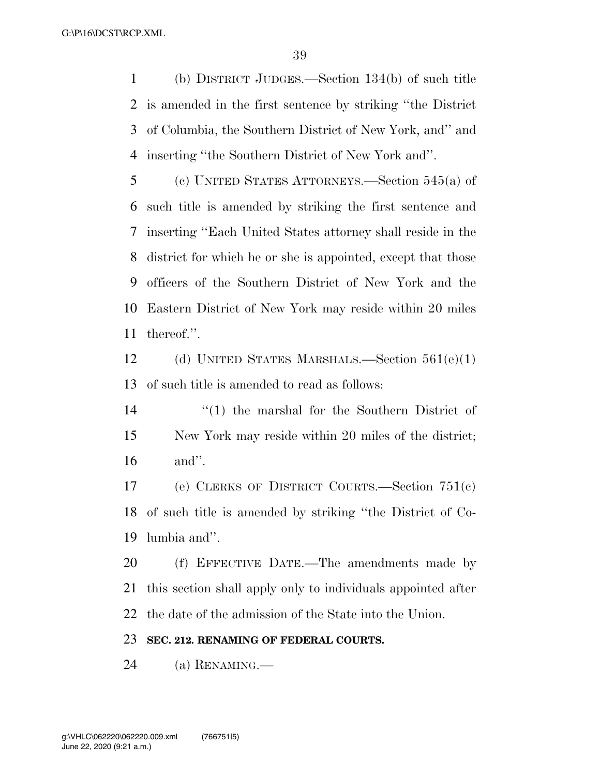(b) DISTRICT JUDGES.—Section 134(b) of such title is amended in the first sentence by striking ''the District of Columbia, the Southern District of New York, and'' and inserting ''the Southern District of New York and''.

 (c) UNITED STATES ATTORNEYS.—Section 545(a) of such title is amended by striking the first sentence and inserting ''Each United States attorney shall reside in the district for which he or she is appointed, except that those officers of the Southern District of New York and the Eastern District of New York may reside within 20 miles thereof.''.

 (d) UNITED STATES MARSHALS.—Section 561(e)(1) of such title is amended to read as follows:

14 ''(1) the marshal for the Southern District of New York may reside within 20 miles of the district; and''.

 (e) CLERKS OF DISTRICT COURTS.—Section 751(c) of such title is amended by striking ''the District of Co-lumbia and''.

 (f) EFFECTIVE DATE.—The amendments made by this section shall apply only to individuals appointed after the date of the admission of the State into the Union.

### **SEC. 212. RENAMING OF FEDERAL COURTS.**

(a) RENAMING.—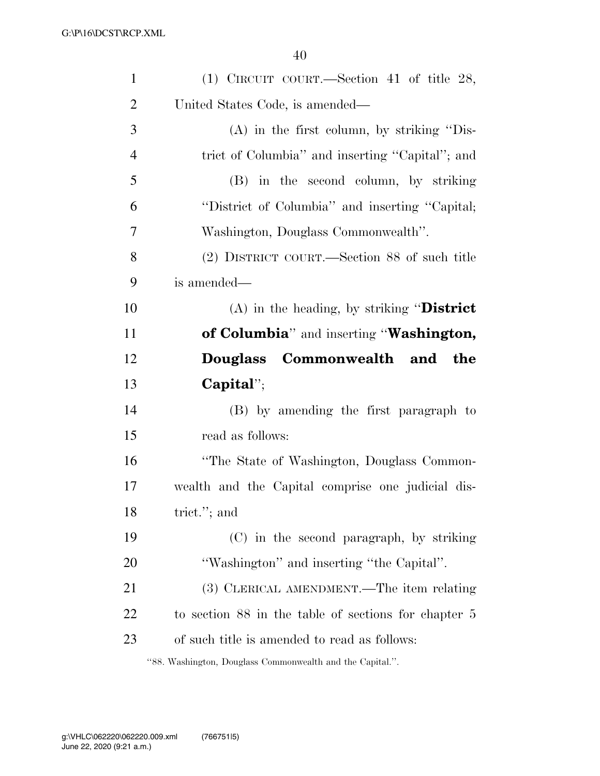| $\mathbf{1}$   | (1) CIRCUIT COURT.—Section 41 of title 28,           |
|----------------|------------------------------------------------------|
| $\overline{2}$ | United States Code, is amended—                      |
| 3              | $(A)$ in the first column, by striking "Dis-         |
| $\overline{4}$ | trict of Columbia" and inserting "Capital"; and      |
| 5              | (B) in the second column, by striking                |
| 6              | "District of Columbia" and inserting "Capital;       |
| 7              | Washington, Douglass Commonwealth".                  |
| 8              | (2) DISTRICT COURT.—Section 88 of such title         |
| 9              | is amended—                                          |
| 10             | (A) in the heading, by striking "District            |
| 11             | of Columbia" and inserting "Washington,              |
| 12             | Douglass Commonwealth and the                        |
|                |                                                      |
| 13             | $Capital$                                            |
| 14             | (B) by amending the first paragraph to               |
| 15             | read as follows:                                     |
| 16             | "The State of Washington, Douglass Common-           |
| 17             | wealth and the Capital comprise one judicial dis-    |
| 18             | trict."; and                                         |
| 19             | (C) in the second paragraph, by striking             |
| 20             | "Washington" and inserting "the Capital".            |
| 21             | (3) CLERICAL AMENDMENT.—The item relating            |
| 22             | to section 88 in the table of sections for chapter 5 |
| 23             | of such title is amended to read as follows:         |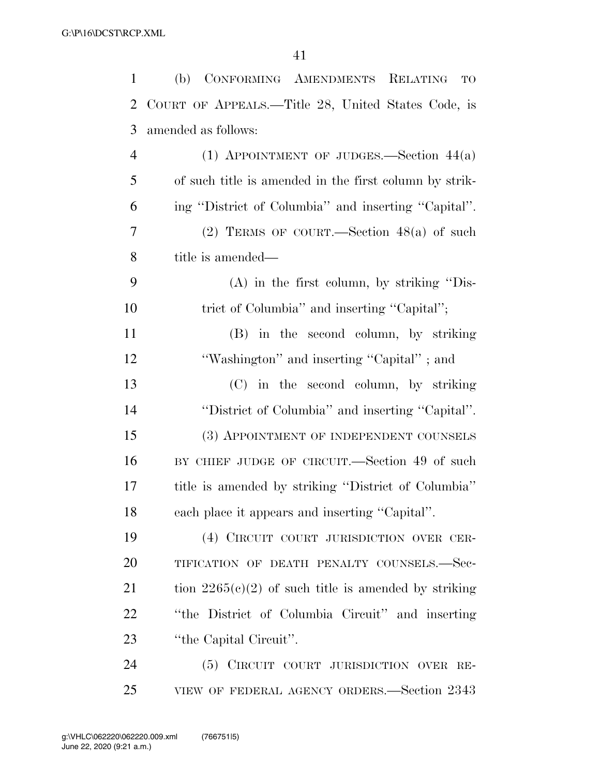| $\mathbf{1}$ | (b) CONFORMING AMENDMENTS RELATING<br><b>TO</b>        |
|--------------|--------------------------------------------------------|
| 2            | COURT OF APPEALS.—Title 28, United States Code, is     |
| 3            | amended as follows:                                    |
| 4            | (1) APPOINTMENT OF JUDGES.—Section $44(a)$             |
| 5            | of such title is amended in the first column by strik- |
| 6            | ing "District of Columbia" and inserting "Capital".    |
| 7            | (2) TERMS OF COURT.—Section $48(a)$ of such            |
| 8            | title is amended—                                      |
| 9            | (A) in the first column, by striking "Dis-             |
| 10           | trict of Columbia" and inserting "Capital";            |
| 11           | (B) in the second column, by striking                  |
| 12           | "Washington" and inserting "Capital"; and              |
| 13           | (C) in the second column, by striking                  |
| 14           | "District of Columbia" and inserting "Capital".        |
| 15           | (3) APPOINTMENT OF INDEPENDENT COUNSELS                |
| 16           | BY CHIEF JUDGE OF CIRCUIT.—Section 49 of such          |
| 17           | title is amended by striking "District of Columbia"    |
| 18           | each place it appears and inserting "Capital".         |
| 19           | (4) CIRCUIT COURT JURISDICTION OVER CER-               |
| 20           | TIFICATION OF DEATH PENALTY COUNSELS.-Sec-             |
| 21           | tion $2265(c)(2)$ of such title is amended by striking |
| 22           | "the District of Columbia Circuit" and inserting       |
| 23           | "the Capital Circuit".                                 |
| 24           | (5) CIRCUIT COURT JURISDICTION OVER RE-                |
| 25           | VIEW OF FEDERAL AGENCY ORDERS.—Section 2343            |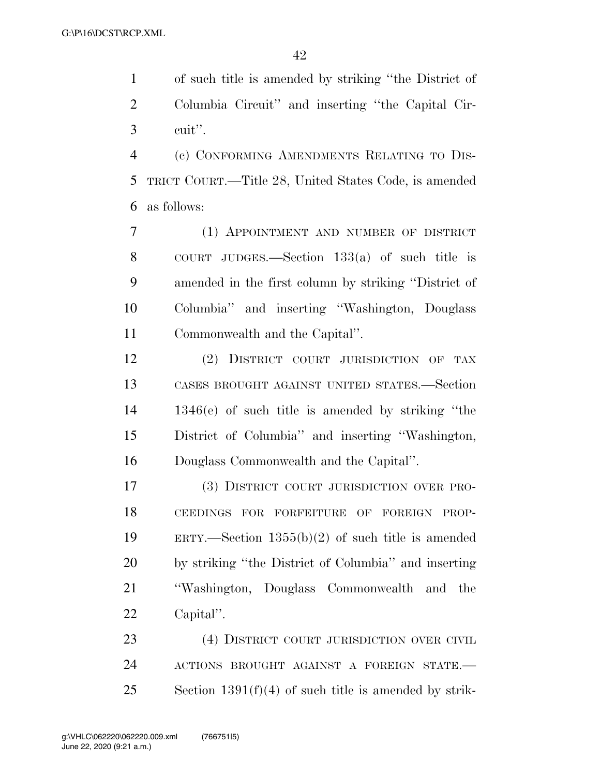of such title is amended by striking ''the District of Columbia Circuit'' and inserting ''the Capital Cir-cuit''.

 (c) CONFORMING AMENDMENTS RELATING TO DIS- TRICT COURT.—Title 28, United States Code, is amended as follows:

 (1) APPOINTMENT AND NUMBER OF DISTRICT COURT JUDGES.—Section 133(a) of such title is amended in the first column by striking ''District of Columbia'' and inserting ''Washington, Douglass Commonwealth and the Capital''.

 (2) DISTRICT COURT JURISDICTION OF TAX CASES BROUGHT AGAINST UNITED STATES.—Section 1346(e) of such title is amended by striking ''the District of Columbia'' and inserting ''Washington, Douglass Commonwealth and the Capital''.

 (3) DISTRICT COURT JURISDICTION OVER PRO- CEEDINGS FOR FORFEITURE OF FOREIGN PROP- ERTY.—Section 1355(b)(2) of such title is amended by striking ''the District of Columbia'' and inserting ''Washington, Douglass Commonwealth and the Capital''.

23 (4) DISTRICT COURT JURISDICTION OVER CIVIL ACTIONS BROUGHT AGAINST A FOREIGN STATE.— Section 1391(f)(4) of such title is amended by strik-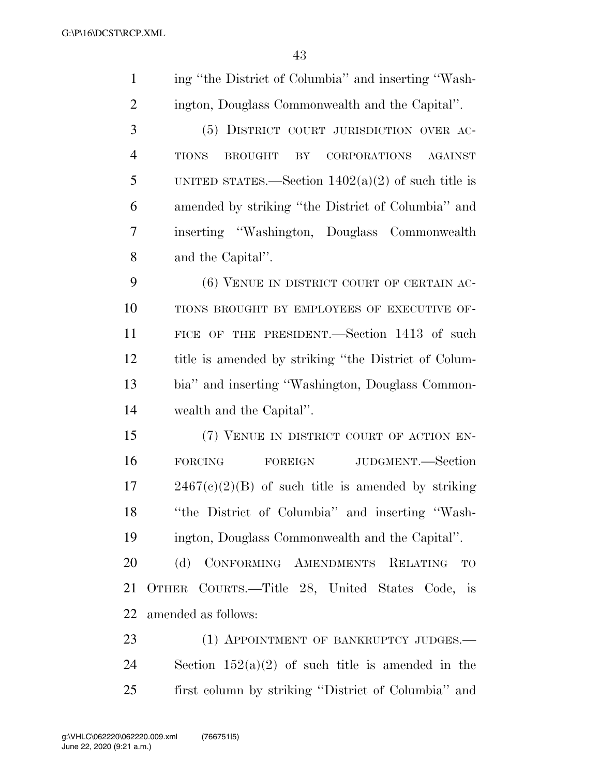| $\mathbf{1}$   | ing "the District of Columbia" and inserting "Wash-                    |
|----------------|------------------------------------------------------------------------|
| $\overline{2}$ | ington, Douglass Commonwealth and the Capital".                        |
| 3              | (5) DISTRICT COURT JURISDICTION OVER AC-                               |
| $\overline{4}$ | CORPORATIONS<br><b>TIONS</b><br><b>BROUGHT</b><br>BY<br><b>AGAINST</b> |
| 5              | UNITED STATES.—Section $1402(a)(2)$ of such title is                   |
| 6              | amended by striking "the District of Columbia" and                     |
| 7              | inserting "Washington, Douglass Commonwealth                           |
| 8              | and the Capital".                                                      |
| 9              | (6) VENUE IN DISTRICT COURT OF CERTAIN AC-                             |
| 10             | TIONS BROUGHT BY EMPLOYEES OF EXECUTIVE OF-                            |
| 11             | FICE OF THE PRESIDENT. Section 1413 of such                            |
| 12             | title is amended by striking "the District of Colum-                   |
| 13             | bia" and inserting "Washington, Douglass Common-                       |
| 14             | wealth and the Capital".                                               |
| 15             | (7) VENUE IN DISTRICT COURT OF ACTION EN-                              |
| 16             | JUDGMENT.—Section<br><b>FORCING</b><br>FOREIGN                         |
| 17             | $2467(c)(2)(B)$ of such title is amended by striking                   |
| 18             | "the District of Columbia" and inserting "Wash-                        |
| 19             | ington, Douglass Commonwealth and the Capital".                        |
| 20             | (d) CONFORMING AMENDMENTS RELATING<br><b>TO</b>                        |
| 21             | OTHER COURTS.—Title 28, United States Code, is                         |
| 22             | amended as follows:                                                    |
| 23             | (1) APPOINTMENT OF BANKRUPTCY JUDGES.                                  |
| 24             | Section $152(a)(2)$ of such title is amended in the                    |
| 25             | first column by striking "District of Columbia" and                    |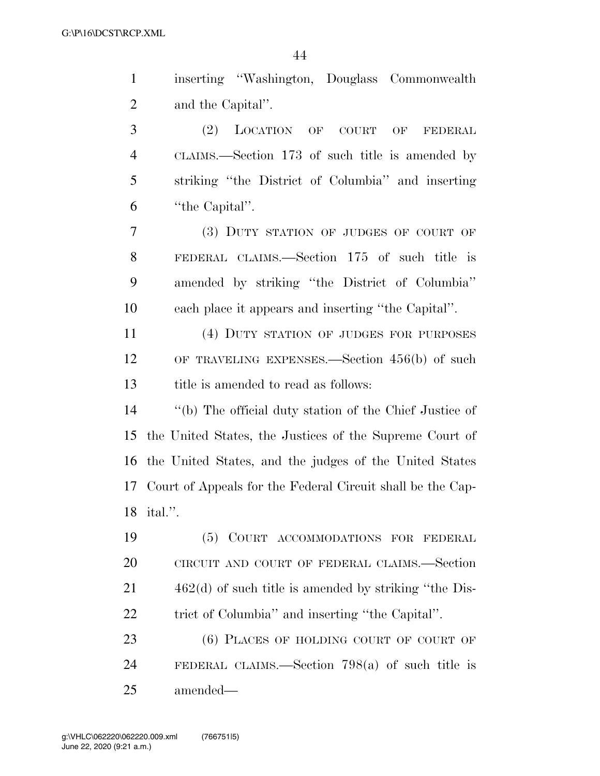| $\mathbf{1}$   | inserting "Washington, Douglass Commonwealth               |
|----------------|------------------------------------------------------------|
| $\overline{2}$ | and the Capital".                                          |
| 3              | (2)<br>LOCATION OF COURT<br>OF<br>FEDERAL                  |
| $\overline{4}$ | CLAIMS.—Section 173 of such title is amended by            |
| 5              | striking "the District of Columbia" and inserting          |
| 6              | "the Capital".                                             |
| $\tau$         | (3) DUTY STATION OF JUDGES OF COURT OF                     |
| 8              | FEDERAL CLAIMS.—Section 175 of such title is               |
| 9              | amended by striking "the District of Columbia"             |
| 10             | each place it appears and inserting "the Capital".         |
| 11             | (4) DUTY STATION OF JUDGES FOR PURPOSES                    |
| 12             | OF TRAVELING EXPENSES.—Section $456(b)$ of such            |
| 13             | title is amended to read as follows:                       |
| 14             | "(b) The official duty station of the Chief Justice of     |
| 15             | the United States, the Justices of the Supreme Court of    |
|                | 16 the United States, and the judges of the United States  |
| 17             | Court of Appeals for the Federal Circuit shall be the Cap- |
|                | 18 ital.".                                                 |
| 19             | (5) COURT ACCOMMODATIONS FOR FEDERAL                       |
| 20             | CIRCUIT AND COURT OF FEDERAL CLAIMS.-Section               |
| 21             | $462(d)$ of such title is amended by striking "the Dis-    |
| 22             | trict of Columbia" and inserting "the Capital".            |
| 23             | (6) PLACES OF HOLDING COURT OF COURT OF                    |
| 24             | FEDERAL CLAIMS.—Section 798(a) of such title is            |
| 25             | amended—                                                   |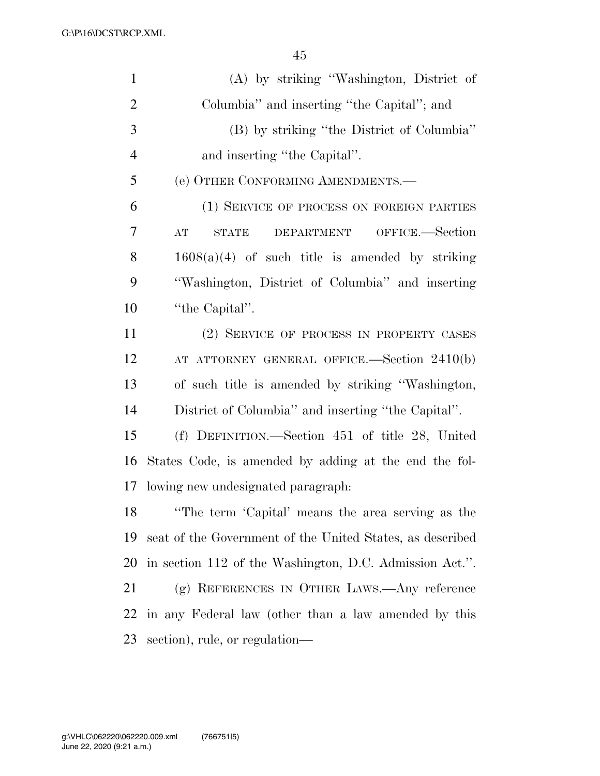| $\mathbf{1}$   | (A) by striking "Washington, District of                  |
|----------------|-----------------------------------------------------------|
| $\overline{2}$ | Columbia" and inserting "the Capital"; and                |
| 3              | (B) by striking "the District of Columbia"                |
| $\overline{4}$ | and inserting "the Capital".                              |
| 5              | (e) OTHER CONFORMING AMENDMENTS.                          |
| 6              | (1) SERVICE OF PROCESS ON FOREIGN PARTIES                 |
| 7              | DEPARTMENT OFFICE.-Section<br>AT<br>STATE                 |
| 8              | $1608(a)(4)$ of such title is amended by striking         |
| 9              | "Washington, District of Columbia" and inserting          |
| 10             | "the Capital".                                            |
| 11             | (2) SERVICE OF PROCESS IN PROPERTY CASES                  |
| 12             | AT ATTORNEY GENERAL OFFICE.—Section 2410(b)               |
| 13             | of such title is amended by striking "Washington,         |
| 14             | District of Columbia" and inserting "the Capital".        |
| 15             | (f) DEFINITION.—Section 451 of title 28, United           |
| 16             | States Code, is amended by adding at the end the fol-     |
| 17             | lowing new undesignated paragraph.                        |
| 18             | "The term 'Capital' means the area serving as the         |
| 19             | seat of the Government of the United States, as described |
| 20             | in section 112 of the Washington, D.C. Admission Act.".   |
| 21             | (g) REFERENCES IN OTHER LAWS.—Any reference               |
| 22             | in any Federal law (other than a law amended by this      |
| 23             | section), rule, or regulation—                            |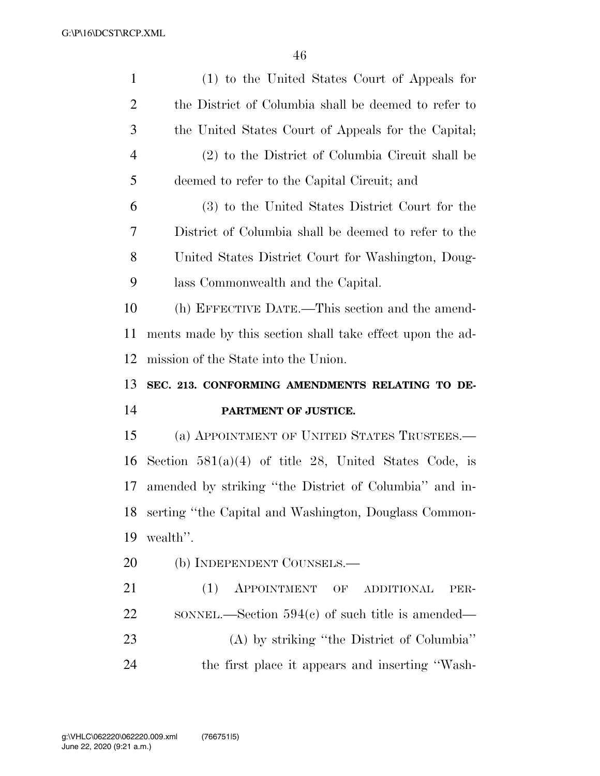| $\mathbf{1}$   | (1) to the United States Court of Appeals for             |
|----------------|-----------------------------------------------------------|
| 2              | the District of Columbia shall be deemed to refer to      |
| 3              | the United States Court of Appeals for the Capital;       |
| $\overline{4}$ | (2) to the District of Columbia Circuit shall be          |
| 5              | deemed to refer to the Capital Circuit; and               |
| 6              | (3) to the United States District Court for the           |
| 7              | District of Columbia shall be deemed to refer to the      |
| 8              | United States District Court for Washington, Doug-        |
| 9              | lass Commonwealth and the Capital.                        |
| 10             | (h) EFFECTIVE DATE.—This section and the amend-           |
| 11             | ments made by this section shall take effect upon the ad- |
| 12             | mission of the State into the Union.                      |
|                |                                                           |
| 13             | SEC. 213. CONFORMING AMENDMENTS RELATING TO DE-           |
| 14             | PARTMENT OF JUSTICE.                                      |
| 15             | (a) APPOINTMENT OF UNITED STATES TRUSTEES.—               |
| 16             | Section $581(a)(4)$ of title 28, United States Code, is   |
| 17             | amended by striking "the District of Columbia" and in-    |
| 18             | serting "the Capital and Washington, Douglass Common-     |
| 19             | wealth".                                                  |
| 20             | (b) INDEPENDENT COUNSELS.-                                |
| 21             | (1)<br>APPOINTMENT OF<br><b>ADDITIONAL</b><br>PER-        |
| 22             | SONNEL.—Section $594(c)$ of such title is amended—        |
| 23             | (A) by striking "the District of Columbia"                |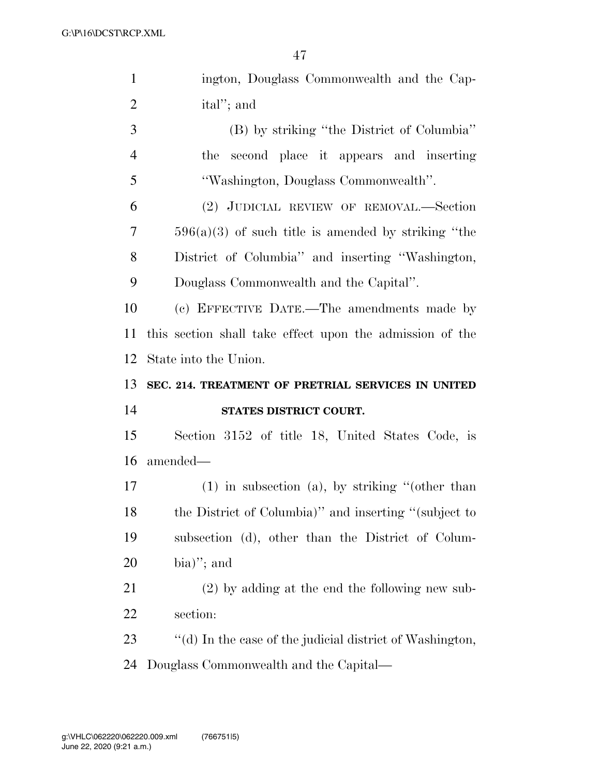| $\mathbf{1}$   | ington, Douglass Commonwealth and the Cap-               |
|----------------|----------------------------------------------------------|
| $\overline{2}$ | ital"; and                                               |
| 3              | (B) by striking "the District of Columbia"               |
| $\overline{4}$ | second place it appears and inserting<br>the             |
| 5              | "Washington, Douglass Commonwealth".                     |
| 6              | (2) JUDICIAL REVIEW OF REMOVAL.-Section                  |
| 7              | $596(a)(3)$ of such title is amended by striking "the    |
| 8              | District of Columbia" and inserting "Washington,         |
| 9              | Douglass Commonwealth and the Capital".                  |
| 10             | (c) EFFECTIVE DATE.—The amendments made by               |
| 11             | this section shall take effect upon the admission of the |
| 12             | State into the Union.                                    |
|                |                                                          |
| 13             | SEC. 214. TREATMENT OF PRETRIAL SERVICES IN UNITED       |
| 14             | STATES DISTRICT COURT.                                   |
| 15             | Section 3152 of title 18, United States Code, is         |
| 16             | amended—                                                 |
| 17             | $(1)$ in subsection (a), by striking "(other than        |
|                | the District of Columbia)" and inserting "(subject to    |
| 18<br>19       | subsection (d), other than the District of Colum-        |
| 20             | bia)"; and                                               |
| 21             | $(2)$ by adding at the end the following new sub-        |
| 22             | section:                                                 |
| 23             | "(d) In the case of the judicial district of Washington, |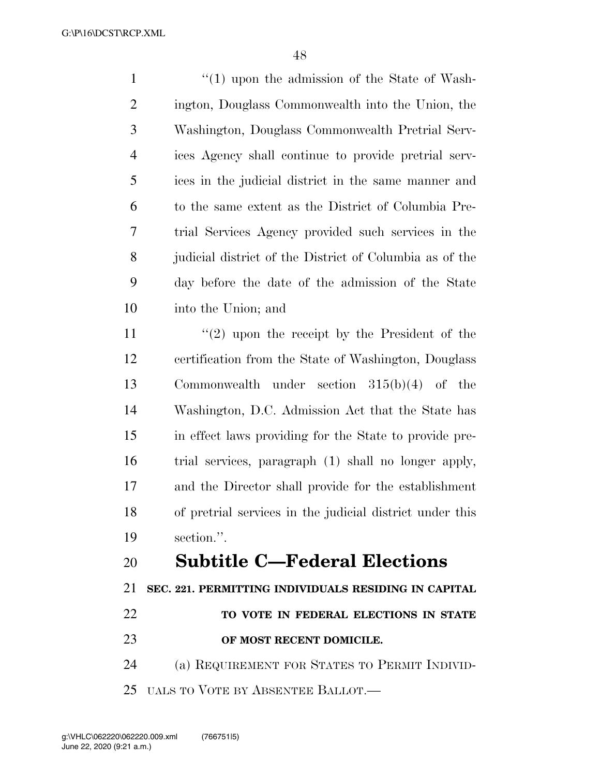1 ''(1) upon the admission of the State of Wash- ington, Douglass Commonwealth into the Union, the Washington, Douglass Commonwealth Pretrial Serv- ices Agency shall continue to provide pretrial serv- ices in the judicial district in the same manner and to the same extent as the District of Columbia Pre- trial Services Agency provided such services in the judicial district of the District of Columbia as of the day before the date of the admission of the State into the Union; and 11 ''(2) upon the receipt by the President of the

 certification from the State of Washington, Douglass Commonwealth under section 315(b)(4) of the Washington, D.C. Admission Act that the State has in effect laws providing for the State to provide pre- trial services, paragraph (1) shall no longer apply, and the Director shall provide for the establishment of pretrial services in the judicial district under this section.''.

## **Subtitle C—Federal Elections**

**SEC. 221. PERMITTING INDIVIDUALS RESIDING IN CAPITAL** 

**TO VOTE IN FEDERAL ELECTIONS IN STATE** 

### **OF MOST RECENT DOMICILE.**

 (a) REQUIREMENT FOR STATES TO PERMIT INDIVID-UALS TO VOTE BY ABSENTEE BALLOT.—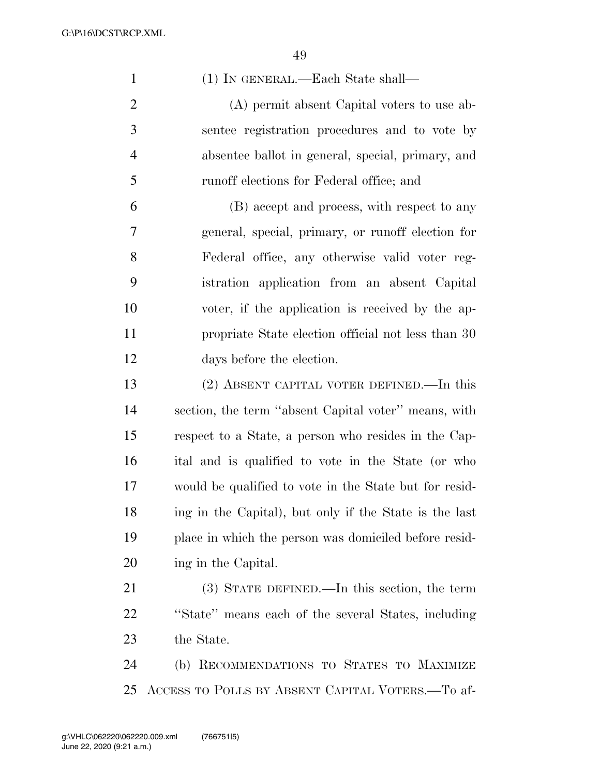(1) IN GENERAL.—Each State shall— (A) permit absent Capital voters to use ab- sentee registration procedures and to vote by absentee ballot in general, special, primary, and runoff elections for Federal office; and (B) accept and process, with respect to any general, special, primary, or runoff election for Federal office, any otherwise valid voter reg- istration application from an absent Capital voter, if the application is received by the ap- propriate State election official not less than 30 days before the election. (2) ABSENT CAPITAL VOTER DEFINED.—In this section, the term ''absent Capital voter'' means, with respect to a State, a person who resides in the Cap- ital and is qualified to vote in the State (or who would be qualified to vote in the State but for resid- ing in the Capital), but only if the State is the last place in which the person was domiciled before resid- ing in the Capital. (3) STATE DEFINED.—In this section, the term ''State'' means each of the several States, including the State. (b) RECOMMENDATIONS TO STATES TO MAXIMIZE ACCESS TO POLLS BY ABSENT CAPITAL VOTERS.—To af-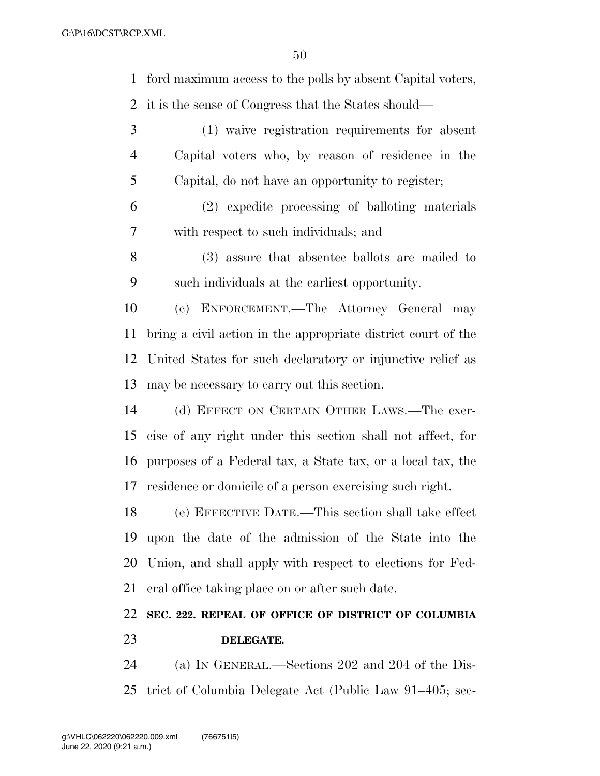ford maximum access to the polls by absent Capital voters,

it is the sense of Congress that the States should—

 (1) waive registration requirements for absent Capital voters who, by reason of residence in the Capital, do not have an opportunity to register;

 (2) expedite processing of balloting materials with respect to such individuals; and

 (3) assure that absentee ballots are mailed to such individuals at the earliest opportunity.

 (c) ENFORCEMENT.—The Attorney General may bring a civil action in the appropriate district court of the United States for such declaratory or injunctive relief as may be necessary to carry out this section.

 (d) EFFECT ON CERTAIN OTHER LAWS.—The exer- cise of any right under this section shall not affect, for purposes of a Federal tax, a State tax, or a local tax, the residence or domicile of a person exercising such right.

 (e) EFFECTIVE DATE.—This section shall take effect upon the date of the admission of the State into the Union, and shall apply with respect to elections for Fed-eral office taking place on or after such date.

## **SEC. 222. REPEAL OF OFFICE OF DISTRICT OF COLUMBIA DELEGATE.**

 (a) IN GENERAL.—Sections 202 and 204 of the Dis-trict of Columbia Delegate Act (Public Law 91–405; sec-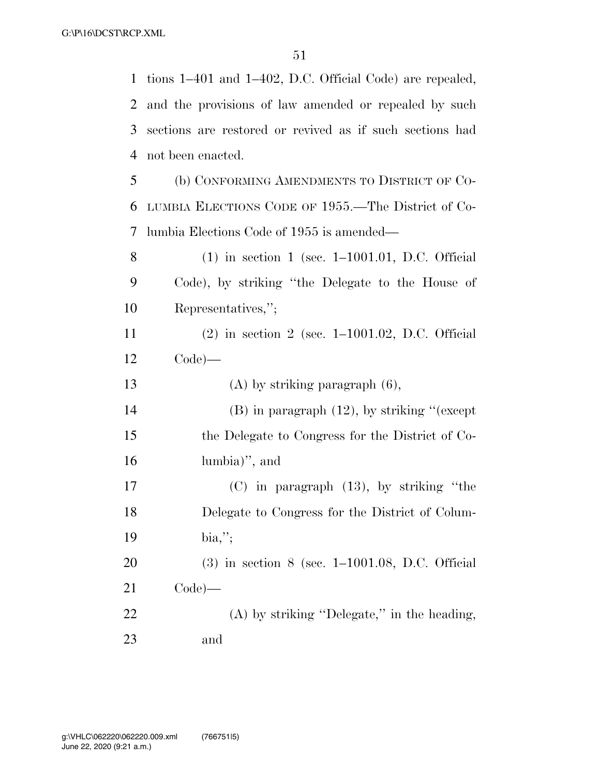tions 1–401 and 1–402, D.C. Official Code) are repealed, and the provisions of law amended or repealed by such sections are restored or revived as if such sections had not been enacted. (b) CONFORMING AMENDMENTS TO DISTRICT OF CO- LUMBIA ELECTIONS CODE OF 1955.—The District of Co- lumbia Elections Code of 1955 is amended— (1) in section 1 (sec. 1–1001.01, D.C. Official Code), by striking ''the Delegate to the House of Representatives,''; (2) in section 2 (sec. 1–1001.02, D.C. Official Code)— (A) by striking paragraph (6), (B) in paragraph (12), by striking ''(except the Delegate to Congress for the District of Co- lumbia)'', and (C) in paragraph (13), by striking ''the Delegate to Congress for the District of Colum- bia,''; (3) in section 8 (sec. 1–1001.08, D.C. Official Code)— (A) by striking ''Delegate,'' in the heading, and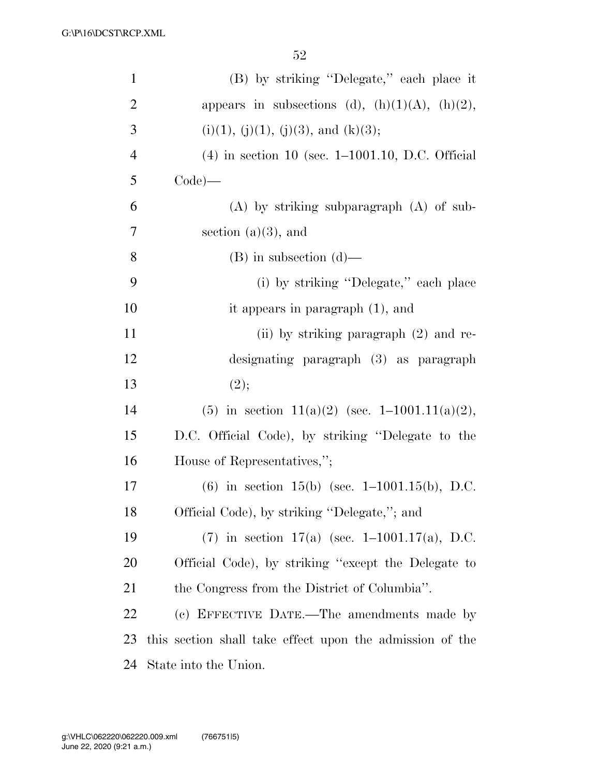| $\mathbf{1}$   | (B) by striking "Delegate," each place it                |
|----------------|----------------------------------------------------------|
| $\overline{2}$ | appears in subsections (d), $(h)(1)(A)$ , $(h)(2)$ ,     |
| 3              | $(i)(1), (j)(1), (j)(3),$ and $(k)(3);$                  |
| $\overline{4}$ | $(4)$ in section 10 (sec. 1–1001.10, D.C. Official       |
| 5              | $Code)$ —                                                |
| 6              | $(A)$ by striking subparagraph $(A)$ of sub-             |
| 7              | section $(a)(3)$ , and                                   |
| 8              | $(B)$ in subsection $(d)$ —                              |
| 9              | (i) by striking "Delegate," each place                   |
| 10             | it appears in paragraph $(1)$ , and                      |
| 11             | (ii) by striking paragraph (2) and re-                   |
| 12             | designating paragraph (3) as paragraph                   |
| 13             | (2);                                                     |
| 14             | (5) in section 11(a)(2) (sec. 1-1001.11(a)(2),           |
| 15             | D.C. Official Code), by striking "Delegate to the        |
| 16             | House of Representatives,";                              |
| 17             | (6) in section 15(b) (sec. $1-1001.15(b)$ , D.C.         |
| 18             | Official Code), by striking "Delegate,"; and             |
| 19             | (7) in section 17(a) (sec. $1-1001.17(a)$ , D.C.         |
| 20             | Official Code), by striking "except the Delegate to      |
| 21             | the Congress from the District of Columbia".             |
| 22             | (c) EFFECTIVE DATE.—The amendments made by               |
| 23             | this section shall take effect upon the admission of the |
| 24             | State into the Union.                                    |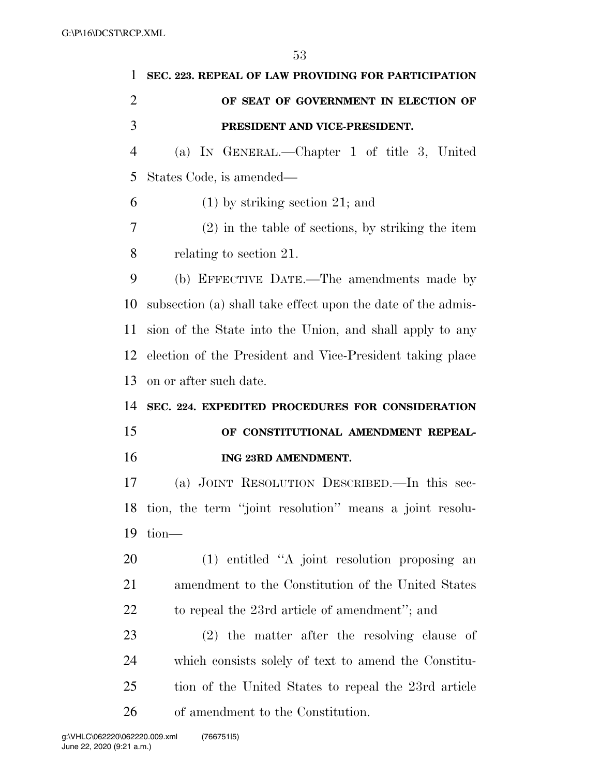| 1              | SEC. 223. REPEAL OF LAW PROVIDING FOR PARTICIPATION          |
|----------------|--------------------------------------------------------------|
| $\overline{2}$ | OF SEAT OF GOVERNMENT IN ELECTION OF                         |
| 3              | PRESIDENT AND VICE-PRESIDENT.                                |
| $\overline{4}$ | (a) IN GENERAL.—Chapter 1 of title 3, United                 |
| 5              | States Code, is amended—                                     |
| 6              | $(1)$ by striking section 21; and                            |
| 7              | $(2)$ in the table of sections, by striking the item         |
| 8              | relating to section 21.                                      |
| 9              | (b) EFFECTIVE DATE.—The amendments made by                   |
| 10             | subsection (a) shall take effect upon the date of the admis- |
| 11             | sion of the State into the Union, and shall apply to any     |
| 12             | election of the President and Vice-President taking place    |
| 13             | on or after such date.                                       |
|                |                                                              |
| 14             | SEC. 224. EXPEDITED PROCEDURES FOR CONSIDERATION             |
| 15             | OF CONSTITUTIONAL AMENDMENT REPEAL-                          |
| 16             | ING 23RD AMENDMENT.                                          |
| 17             | (a) JOINT RESOLUTION DESCRIBED.—In this sec-                 |
|                | 18 tion, the term "joint resolution" means a joint resolu-   |
| 19             | $tion$ —                                                     |
| 20             | (1) entitled "A joint resolution proposing an                |
| 21             | amendment to the Constitution of the United States           |
| 22             | to repeal the 23rd article of amendment"; and                |
| 23             | $(2)$ the matter after the resolving clause of               |
| 24             | which consists solely of text to amend the Constitu-         |
| 25             | tion of the United States to repeal the 23rd article         |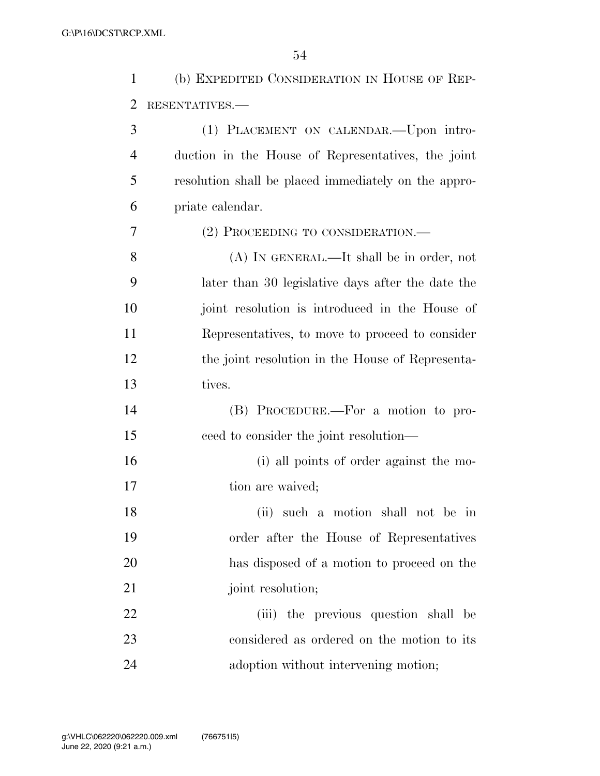| $\mathbf{1}$   | (b) EXPEDITED CONSIDERATION IN HOUSE OF REP-         |
|----------------|------------------------------------------------------|
| $\overline{2}$ | RESENTATIVES.-                                       |
| 3              | (1) PLACEMENT ON CALENDAR.—Upon intro-               |
| 4              | duction in the House of Representatives, the joint   |
| 5              | resolution shall be placed immediately on the appro- |
| 6              | priate calendar.                                     |
| 7              | (2) PROCEEDING TO CONSIDERATION.—                    |
| 8              | (A) IN GENERAL.—It shall be in order, not            |
| 9              | later than 30 legislative days after the date the    |
| 10             | joint resolution is introduced in the House of       |
| 11             | Representatives, to move to proceed to consider      |
| 12             | the joint resolution in the House of Representa-     |
| 13             | tives.                                               |
| 14             | (B) PROCEDURE.—For a motion to pro-                  |
| 15             | ceed to consider the joint resolution—               |
| 16             | (i) all points of order against the mo-              |
| 17             | tion are waived;                                     |
| 18             | (ii) such a motion shall not be in                   |
| 19             | order after the House of Representatives             |
| 20             | has disposed of a motion to proceed on the           |
| 21             | joint resolution;                                    |
| 22             | (iii) the previous question shall be                 |
| 23             | considered as ordered on the motion to its           |
| 24             | adoption without intervening motion;                 |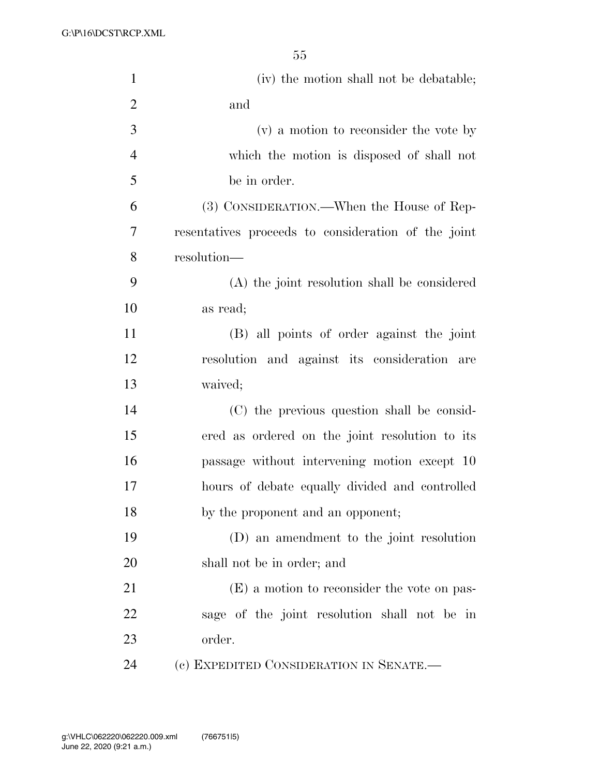| $\mathbf{1}$   | (iv) the motion shall not be debatable;             |
|----------------|-----------------------------------------------------|
| $\overline{2}$ | and                                                 |
| 3              | (v) a motion to reconsider the vote by              |
| $\overline{4}$ | which the motion is disposed of shall not           |
| 5              | be in order.                                        |
| 6              | (3) CONSIDERATION.—When the House of Rep-           |
| 7              | resentatives proceeds to consideration of the joint |
| 8              | resolution-                                         |
| 9              | (A) the joint resolution shall be considered        |
| 10             | as read;                                            |
| 11             | (B) all points of order against the joint           |
| 12             | resolution and against its consideration are        |
| 13             | waived;                                             |
| 14             | (C) the previous question shall be consid-          |
| 15             | ered as ordered on the joint resolution to its      |
| 16             | passage without intervening motion except 10        |
| 17             | hours of debate equally divided and controlled      |
| 18             | by the proponent and an opponent;                   |
| 19             | (D) an amendment to the joint resolution            |
| 20             | shall not be in order; and                          |
| 21             | (E) a motion to reconsider the vote on pas-         |
| 22             | sage of the joint resolution shall not be in        |
| 23             | order.                                              |
| 24             | (c) EXPEDITED CONSIDERATION IN SENATE.—             |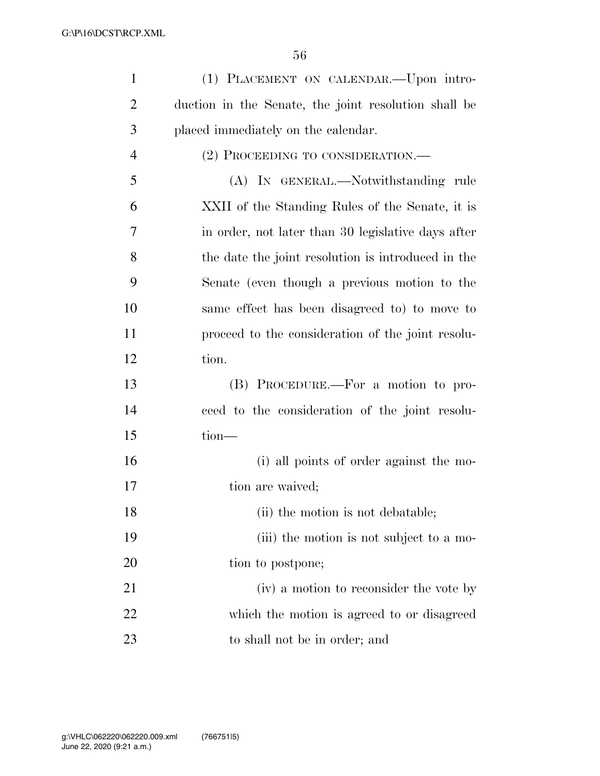| $\mathbf{1}$   | (1) PLACEMENT ON CALENDAR.—Upon intro-               |
|----------------|------------------------------------------------------|
| $\overline{2}$ | duction in the Senate, the joint resolution shall be |
| 3              | placed immediately on the calendar.                  |
| $\overline{4}$ | (2) PROCEEDING TO CONSIDERATION.—                    |
| 5              | (A) IN GENERAL.—Notwithstanding rule                 |
| 6              | XXII of the Standing Rules of the Senate, it is      |
| 7              | in order, not later than 30 legislative days after   |
| 8              | the date the joint resolution is introduced in the   |
| 9              | Senate (even though a previous motion to the         |
| 10             | same effect has been disagreed to to move to         |
| 11             | proceed to the consideration of the joint resolu-    |
| 12             | tion.                                                |
| 13             | (B) PROCEDURE.—For a motion to pro-                  |
| 14             | ceed to the consideration of the joint resolu-       |
| 15             | tion-                                                |
| 16             | (i) all points of order against the mo-              |
| 17             | tion are waived;                                     |
| 18             | (ii) the motion is not debatable;                    |
| 19             | (iii) the motion is not subject to a mo-             |
| 20             | tion to postpone;                                    |
| 21             | (iv) a motion to reconsider the vote by              |
| 22             | which the motion is agreed to or disagreed           |
| 23             | to shall not be in order; and                        |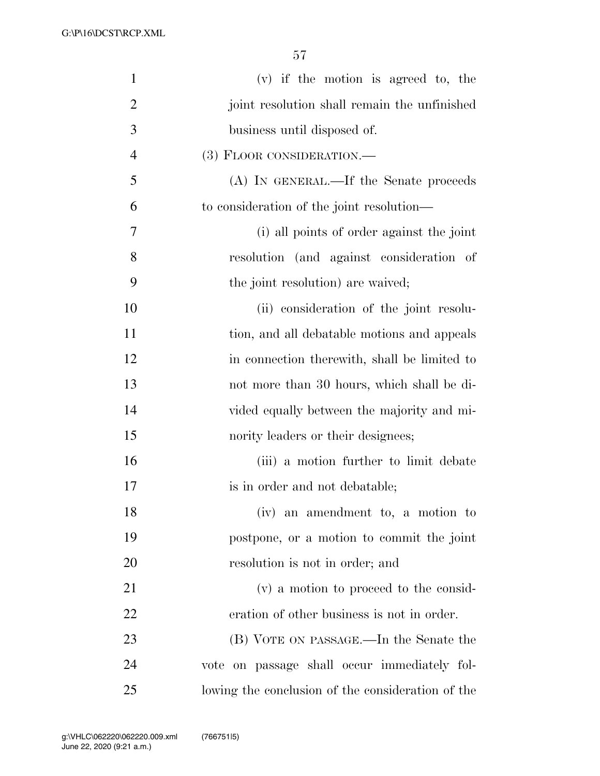| $\mathbf{1}$   | $(v)$ if the motion is agreed to, the             |
|----------------|---------------------------------------------------|
| $\overline{2}$ | joint resolution shall remain the unfinished      |
| 3              | business until disposed of.                       |
| $\overline{4}$ | (3) FLOOR CONSIDERATION.—                         |
| 5              | (A) IN GENERAL.—If the Senate proceeds            |
| 6              | to consideration of the joint resolution—         |
| 7              | (i) all points of order against the joint         |
| 8              | resolution (and against consideration of          |
| 9              | the joint resolution) are waived;                 |
| 10             | (ii) consideration of the joint resolu-           |
| 11             | tion, and all debatable motions and appeals       |
| 12             | in connection therewith, shall be limited to      |
| 13             | not more than 30 hours, which shall be di-        |
| 14             | vided equally between the majority and mi-        |
| 15             | nority leaders or their designees;                |
| 16             | (iii) a motion further to limit debate            |
| 17             | is in order and not debatable;                    |
| 18             | (iv) an amendment to, a motion to                 |
| 19             | postpone, or a motion to commit the joint         |
| 20             | resolution is not in order; and                   |
| 21             | (v) a motion to proceed to the consid-            |
| 22             | eration of other business is not in order.        |
| 23             | (B) VOTE ON PASSAGE.—In the Senate the            |
| 24             | vote on passage shall occur immediately fol-      |
| 25             | lowing the conclusion of the consideration of the |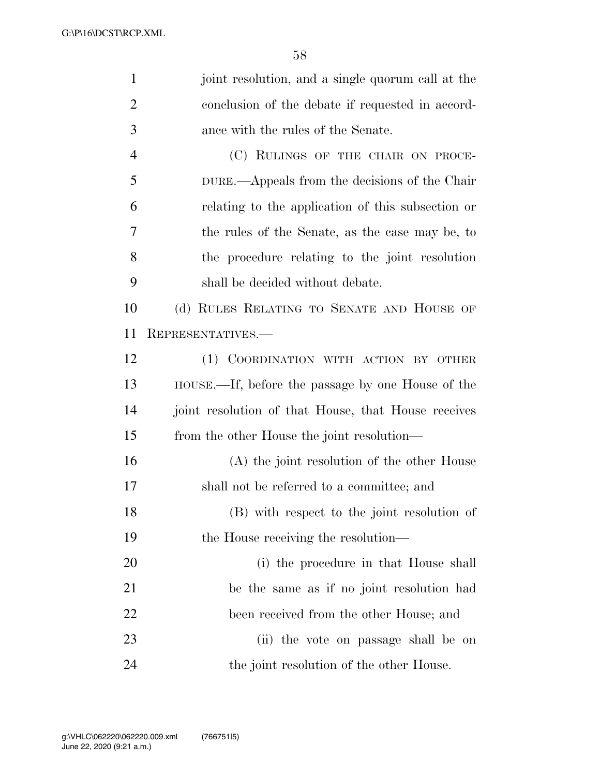| $\mathbf{1}$   | joint resolution, and a single quorum call at the   |
|----------------|-----------------------------------------------------|
| $\overline{2}$ | conclusion of the debate if requested in accord-    |
| 3              | ance with the rules of the Senate.                  |
| $\overline{4}$ | (C) RULINGS OF THE CHAIR ON PROCE-                  |
| 5              | DURE.—Appeals from the decisions of the Chair       |
| 6              | relating to the application of this subsection or   |
| 7              | the rules of the Senate, as the case may be, to     |
| 8              | the procedure relating to the joint resolution      |
| 9              | shall be decided without debate.                    |
| 10             | (d) RULES RELATING TO SENATE AND HOUSE OF           |
| 11             | REPRESENTATIVES.-                                   |
| 12             | (1) COORDINATION WITH ACTION BY OTHER               |
| 13             | HOUSE.—If, before the passage by one House of the   |
| 14             | joint resolution of that House, that House receives |
| 15             | from the other House the joint resolution—          |
| 16             | (A) the joint resolution of the other House         |
| 17             | shall not be referred to a committee; and           |
| 18             | (B) with respect to the joint resolution of         |
| 19             | the House receiving the resolution—                 |
| 20             | (i) the procedure in that House shall               |
| 21             | be the same as if no joint resolution had           |
| 22             | been received from the other House; and             |
| 23             | (ii) the vote on passage shall be on                |
| 24             | the joint resolution of the other House.            |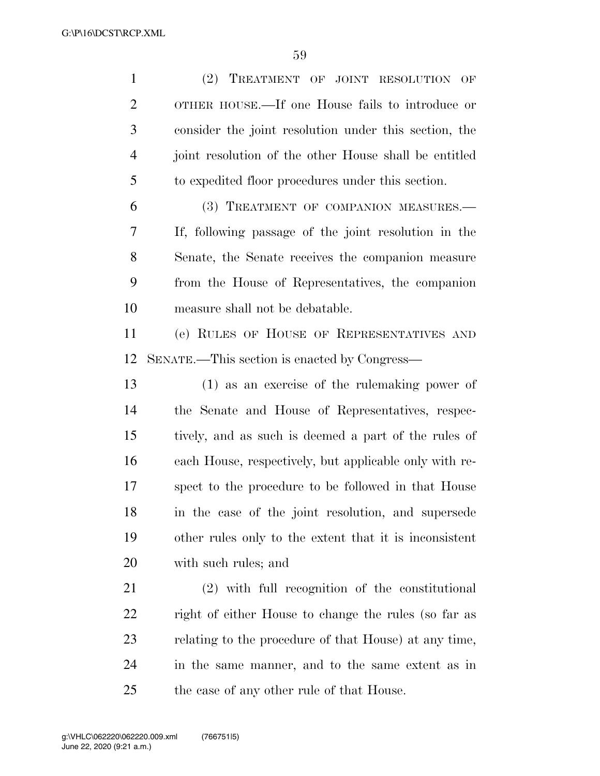(2) TREATMENT OF JOINT RESOLUTION OF OTHER HOUSE.—If one House fails to introduce or consider the joint resolution under this section, the joint resolution of the other House shall be entitled to expedited floor procedures under this section. (3) TREATMENT OF COMPANION MEASURES.— If, following passage of the joint resolution in the Senate, the Senate receives the companion measure from the House of Representatives, the companion measure shall not be debatable. (e) RULES OF HOUSE OF REPRESENTATIVES AND SENATE.—This section is enacted by Congress— (1) as an exercise of the rulemaking power of the Senate and House of Representatives, respec- tively, and as such is deemed a part of the rules of each House, respectively, but applicable only with re- spect to the procedure to be followed in that House in the case of the joint resolution, and supersede other rules only to the extent that it is inconsistent with such rules; and (2) with full recognition of the constitutional right of either House to change the rules (so far as relating to the procedure of that House) at any time, in the same manner, and to the same extent as in

the case of any other rule of that House.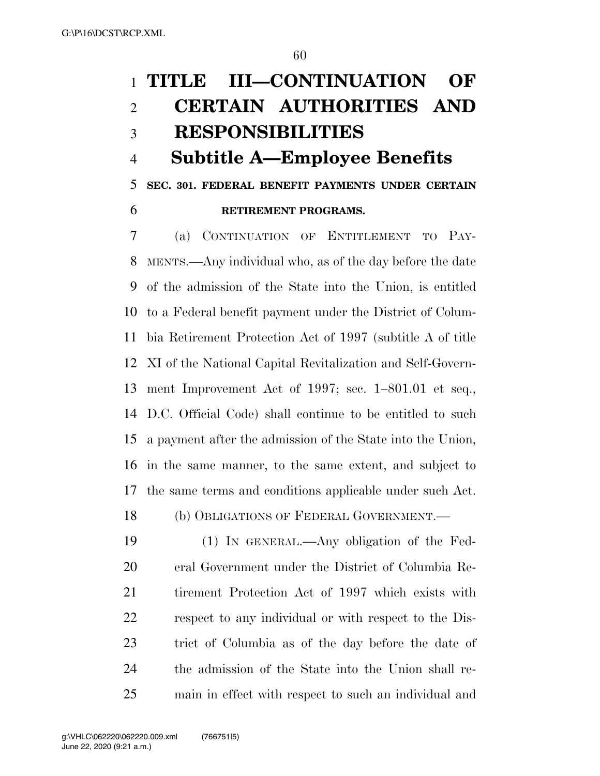# **TITLE III—CONTINUATION OF CERTAIN AUTHORITIES AND RESPONSIBILITIES**

# **Subtitle A—Employee Benefits**

**SEC. 301. FEDERAL BENEFIT PAYMENTS UNDER CERTAIN** 

**RETIREMENT PROGRAMS.** 

 (a) CONTINUATION OF ENTITLEMENT TO PAY- MENTS.—Any individual who, as of the day before the date of the admission of the State into the Union, is entitled to a Federal benefit payment under the District of Colum- bia Retirement Protection Act of 1997 (subtitle A of title XI of the National Capital Revitalization and Self-Govern- ment Improvement Act of 1997; sec. 1–801.01 et seq., D.C. Official Code) shall continue to be entitled to such a payment after the admission of the State into the Union, in the same manner, to the same extent, and subject to the same terms and conditions applicable under such Act.

(b) OBLIGATIONS OF FEDERAL GOVERNMENT.—

 (1) IN GENERAL.—Any obligation of the Fed- eral Government under the District of Columbia Re- tirement Protection Act of 1997 which exists with respect to any individual or with respect to the Dis- trict of Columbia as of the day before the date of the admission of the State into the Union shall re-main in effect with respect to such an individual and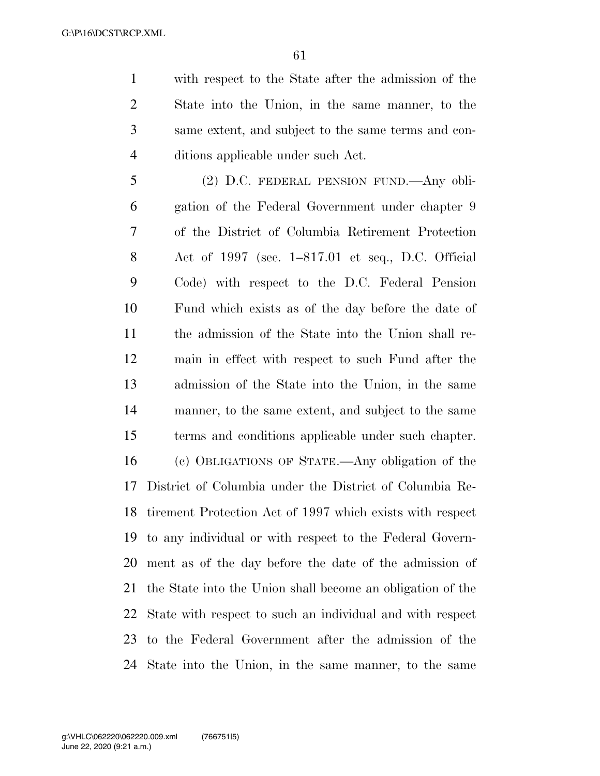with respect to the State after the admission of the State into the Union, in the same manner, to the same extent, and subject to the same terms and con-ditions applicable under such Act.

 (2) D.C. FEDERAL PENSION FUND.—Any obli- gation of the Federal Government under chapter 9 of the District of Columbia Retirement Protection Act of 1997 (sec. 1–817.01 et seq., D.C. Official Code) with respect to the D.C. Federal Pension Fund which exists as of the day before the date of the admission of the State into the Union shall re- main in effect with respect to such Fund after the admission of the State into the Union, in the same manner, to the same extent, and subject to the same terms and conditions applicable under such chapter. (c) OBLIGATIONS OF STATE.—Any obligation of the District of Columbia under the District of Columbia Re- tirement Protection Act of 1997 which exists with respect to any individual or with respect to the Federal Govern- ment as of the day before the date of the admission of the State into the Union shall become an obligation of the State with respect to such an individual and with respect to the Federal Government after the admission of the State into the Union, in the same manner, to the same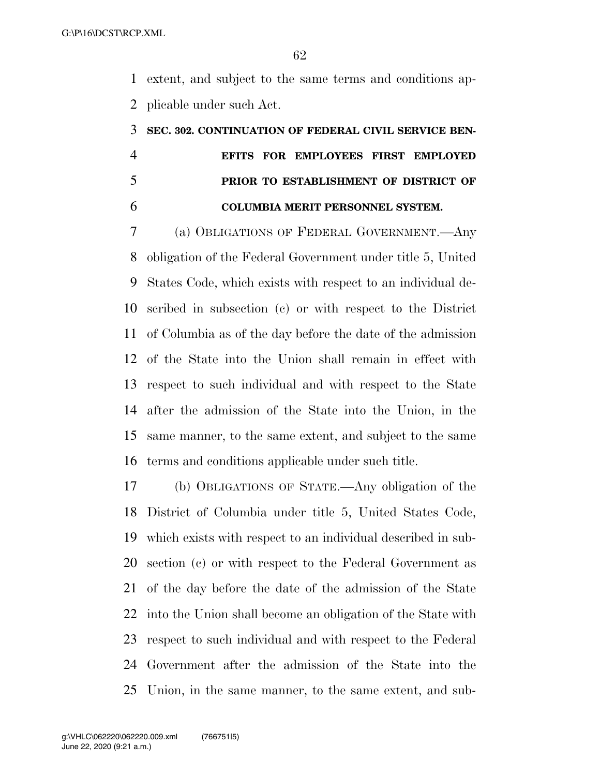extent, and subject to the same terms and conditions ap-plicable under such Act.

# **SEC. 302. CONTINUATION OF FEDERAL CIVIL SERVICE BEN- EFITS FOR EMPLOYEES FIRST EMPLOYED PRIOR TO ESTABLISHMENT OF DISTRICT OF COLUMBIA MERIT PERSONNEL SYSTEM.**

 (a) OBLIGATIONS OF FEDERAL GOVERNMENT.—Any obligation of the Federal Government under title 5, United States Code, which exists with respect to an individual de- scribed in subsection (c) or with respect to the District of Columbia as of the day before the date of the admission of the State into the Union shall remain in effect with respect to such individual and with respect to the State after the admission of the State into the Union, in the same manner, to the same extent, and subject to the same terms and conditions applicable under such title.

 (b) OBLIGATIONS OF STATE.—Any obligation of the District of Columbia under title 5, United States Code, which exists with respect to an individual described in sub- section (c) or with respect to the Federal Government as of the day before the date of the admission of the State into the Union shall become an obligation of the State with respect to such individual and with respect to the Federal Government after the admission of the State into the Union, in the same manner, to the same extent, and sub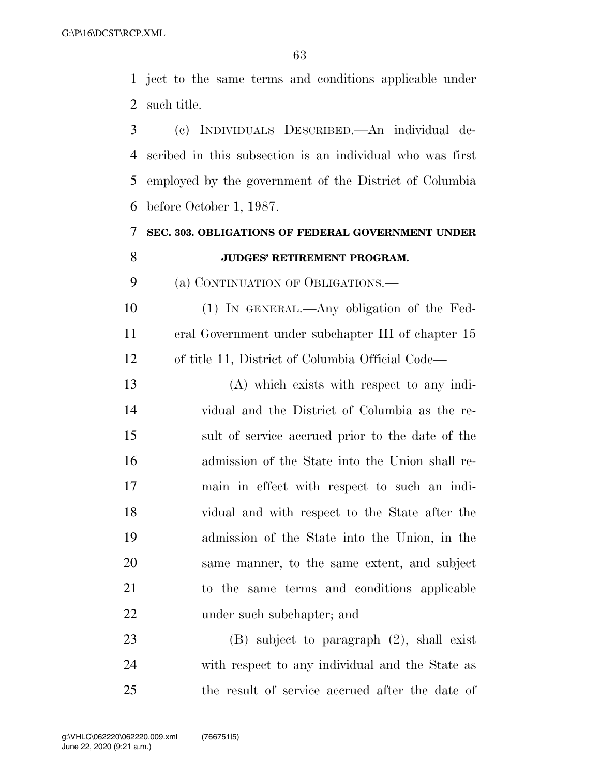ject to the same terms and conditions applicable under such title.

 (c) INDIVIDUALS DESCRIBED.—An individual de- scribed in this subsection is an individual who was first employed by the government of the District of Columbia before October 1, 1987.

# **SEC. 303. OBLIGATIONS OF FEDERAL GOVERNMENT UNDER JUDGES' RETIREMENT PROGRAM.**

(a) CONTINUATION OF OBLIGATIONS.—

 (1) IN GENERAL.—Any obligation of the Fed- eral Government under subchapter III of chapter 15 of title 11, District of Columbia Official Code—

 (A) which exists with respect to any indi- vidual and the District of Columbia as the re- sult of service accrued prior to the date of the admission of the State into the Union shall re- main in effect with respect to such an indi- vidual and with respect to the State after the admission of the State into the Union, in the same manner, to the same extent, and subject to the same terms and conditions applicable under such subchapter; and

 (B) subject to paragraph (2), shall exist with respect to any individual and the State as the result of service accrued after the date of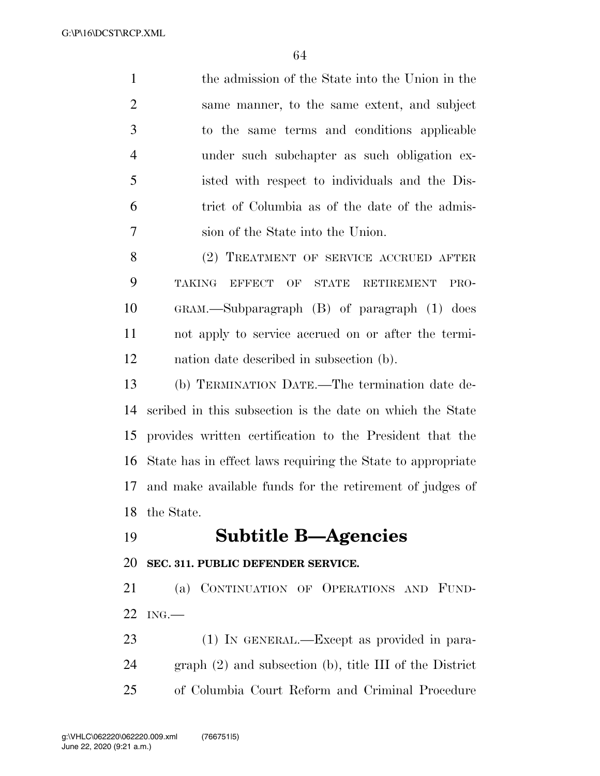the admission of the State into the Union in the same manner, to the same extent, and subject to the same terms and conditions applicable under such subchapter as such obligation ex- isted with respect to individuals and the Dis- trict of Columbia as of the date of the admis-sion of the State into the Union.

 (2) TREATMENT OF SERVICE ACCRUED AFTER TAKING EFFECT OF STATE RETIREMENT PRO- GRAM.—Subparagraph (B) of paragraph (1) does not apply to service accrued on or after the termi-nation date described in subsection (b).

 (b) TERMINATION DATE.—The termination date de- scribed in this subsection is the date on which the State provides written certification to the President that the State has in effect laws requiring the State to appropriate and make available funds for the retirement of judges of the State.

### **Subtitle B—Agencies**

**SEC. 311. PUBLIC DEFENDER SERVICE.** 

 (a) CONTINUATION OF OPERATIONS AND FUND-ING.—

 (1) IN GENERAL.—Except as provided in para- graph (2) and subsection (b), title III of the District of Columbia Court Reform and Criminal Procedure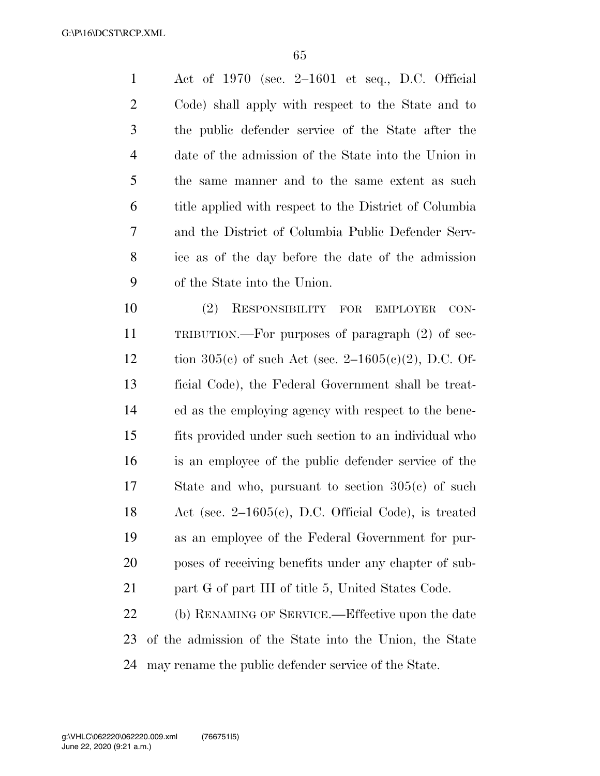Act of 1970 (sec. 2–1601 et seq., D.C. Official Code) shall apply with respect to the State and to the public defender service of the State after the date of the admission of the State into the Union in the same manner and to the same extent as such title applied with respect to the District of Columbia and the District of Columbia Public Defender Serv- ice as of the day before the date of the admission of the State into the Union.

 (2) RESPONSIBILITY FOR EMPLOYER CON- TRIBUTION.—For purposes of paragraph (2) of sec-12 tion  $305(c)$  of such Act (sec. 2–1605(c)(2), D.C. Of- ficial Code), the Federal Government shall be treat- ed as the employing agency with respect to the bene- fits provided under such section to an individual who is an employee of the public defender service of the State and who, pursuant to section 305(c) of such Act (sec. 2–1605(c), D.C. Official Code), is treated as an employee of the Federal Government for pur- poses of receiving benefits under any chapter of sub-21 part G of part III of title 5, United States Code.

 (b) RENAMING OF SERVICE.—Effective upon the date of the admission of the State into the Union, the State may rename the public defender service of the State.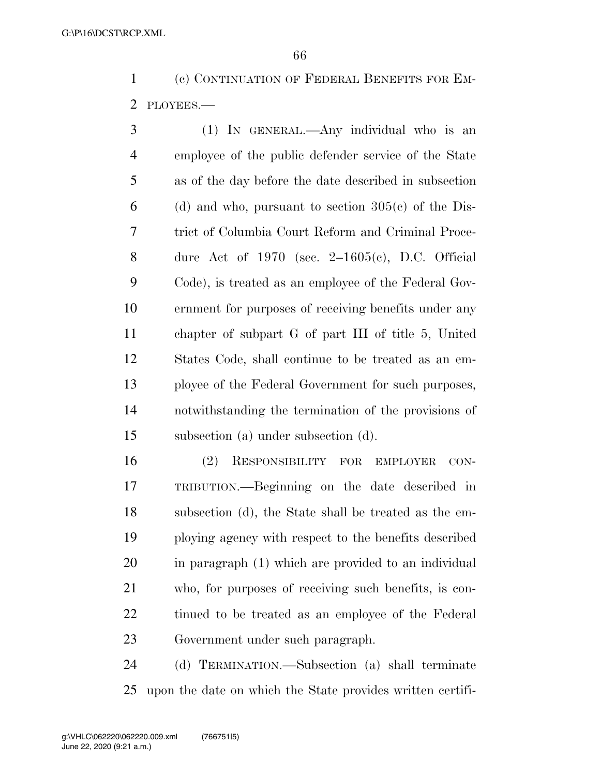(c) CONTINUATION OF FEDERAL BENEFITS FOR EM-PLOYEES.—

 (1) IN GENERAL.—Any individual who is an employee of the public defender service of the State as of the day before the date described in subsection 6 (d) and who, pursuant to section  $305(c)$  of the Dis- trict of Columbia Court Reform and Criminal Proce-8 dure Act of 1970 (sec.  $2{\text -}1605(c)$ , D.C. Official Code), is treated as an employee of the Federal Gov- ernment for purposes of receiving benefits under any chapter of subpart G of part III of title 5, United States Code, shall continue to be treated as an em- ployee of the Federal Government for such purposes, notwithstanding the termination of the provisions of subsection (a) under subsection (d).

 (2) RESPONSIBILITY FOR EMPLOYER CON- TRIBUTION.—Beginning on the date described in subsection (d), the State shall be treated as the em- ploying agency with respect to the benefits described in paragraph (1) which are provided to an individual who, for purposes of receiving such benefits, is con- tinued to be treated as an employee of the Federal Government under such paragraph.

 (d) TERMINATION.—Subsection (a) shall terminate upon the date on which the State provides written certifi-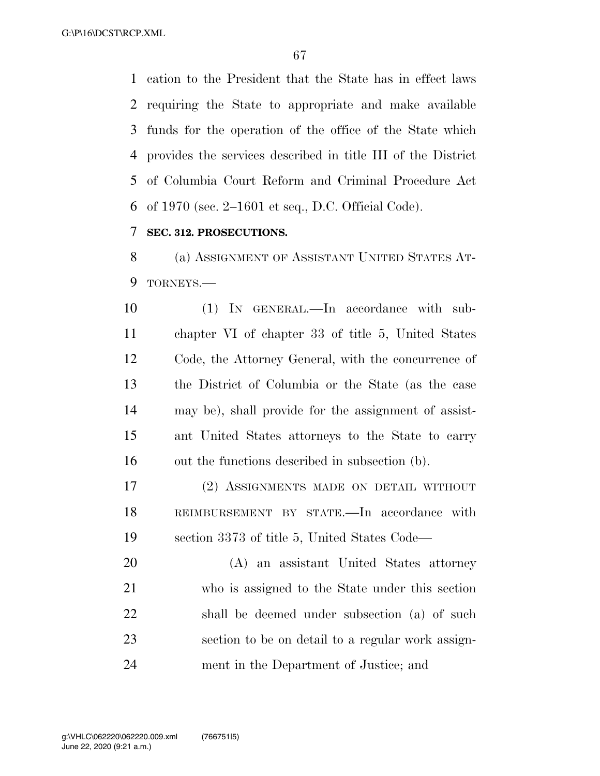cation to the President that the State has in effect laws requiring the State to appropriate and make available funds for the operation of the office of the State which provides the services described in title III of the District of Columbia Court Reform and Criminal Procedure Act of 1970 (sec. 2–1601 et seq., D.C. Official Code).

### **SEC. 312. PROSECUTIONS.**

 (a) ASSIGNMENT OF ASSISTANT UNITED STATES AT-TORNEYS.—

 (1) IN GENERAL.—In accordance with sub- chapter VI of chapter 33 of title 5, United States Code, the Attorney General, with the concurrence of the District of Columbia or the State (as the case may be), shall provide for the assignment of assist- ant United States attorneys to the State to carry out the functions described in subsection (b).

 (2) ASSIGNMENTS MADE ON DETAIL WITHOUT REIMBURSEMENT BY STATE.—In accordance with section 3373 of title 5, United States Code—

 (A) an assistant United States attorney who is assigned to the State under this section shall be deemed under subsection (a) of such section to be on detail to a regular work assign-ment in the Department of Justice; and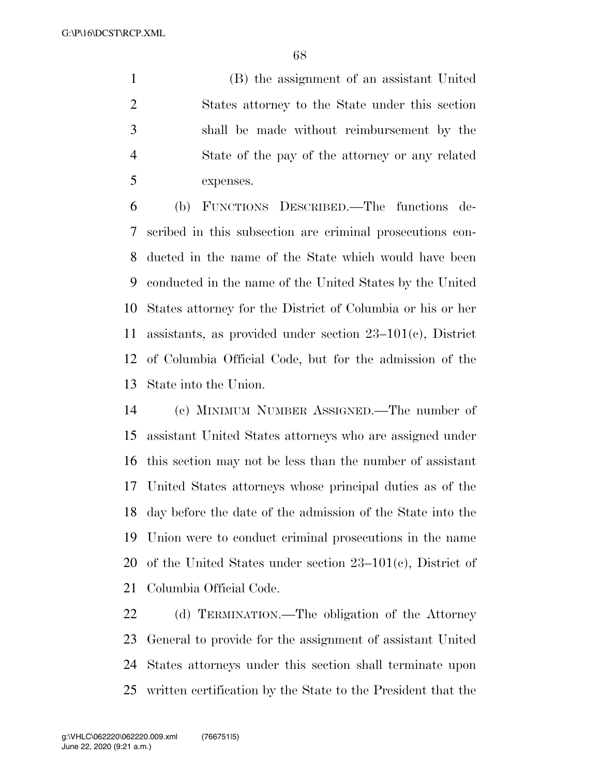(B) the assignment of an assistant United States attorney to the State under this section shall be made without reimbursement by the State of the pay of the attorney or any related expenses.

 (b) FUNCTIONS DESCRIBED.—The functions de- scribed in this subsection are criminal prosecutions con- ducted in the name of the State which would have been conducted in the name of the United States by the United States attorney for the District of Columbia or his or her assistants, as provided under section 23–101(c), District of Columbia Official Code, but for the admission of the State into the Union.

 (c) MINIMUM NUMBER ASSIGNED.—The number of assistant United States attorneys who are assigned under this section may not be less than the number of assistant United States attorneys whose principal duties as of the day before the date of the admission of the State into the Union were to conduct criminal prosecutions in the name of the United States under section 23–101(c), District of Columbia Official Code.

 (d) TERMINATION.—The obligation of the Attorney General to provide for the assignment of assistant United States attorneys under this section shall terminate upon written certification by the State to the President that the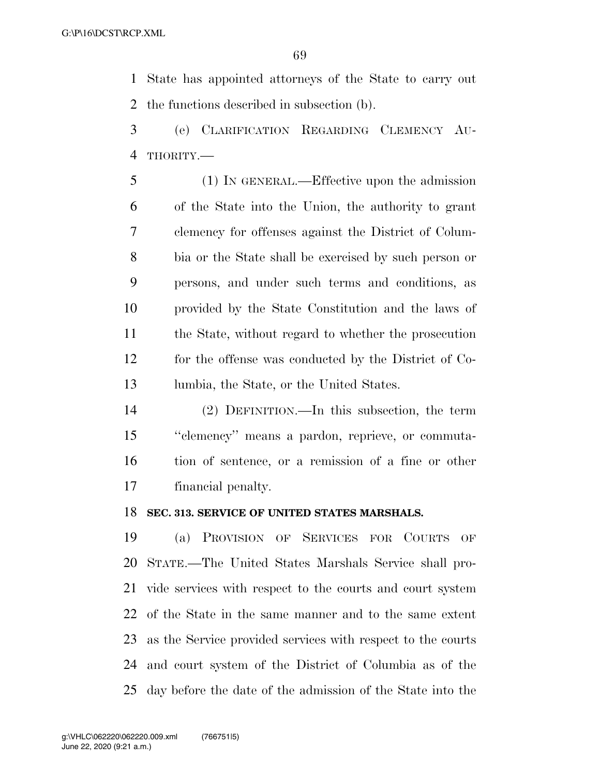State has appointed attorneys of the State to carry out the functions described in subsection (b).

- (e) CLARIFICATION REGARDING CLEMENCY AU-THORITY.—
- (1) IN GENERAL.—Effective upon the admission of the State into the Union, the authority to grant clemency for offenses against the District of Colum- bia or the State shall be exercised by such person or persons, and under such terms and conditions, as provided by the State Constitution and the laws of the State, without regard to whether the prosecution for the offense was conducted by the District of Co-lumbia, the State, or the United States.
- (2) DEFINITION.—In this subsection, the term ''clemency'' means a pardon, reprieve, or commuta- tion of sentence, or a remission of a fine or other financial penalty.

#### **SEC. 313. SERVICE OF UNITED STATES MARSHALS.**

 (a) PROVISION OF SERVICES FOR COURTS OF STATE.—The United States Marshals Service shall pro- vide services with respect to the courts and court system of the State in the same manner and to the same extent as the Service provided services with respect to the courts and court system of the District of Columbia as of the day before the date of the admission of the State into the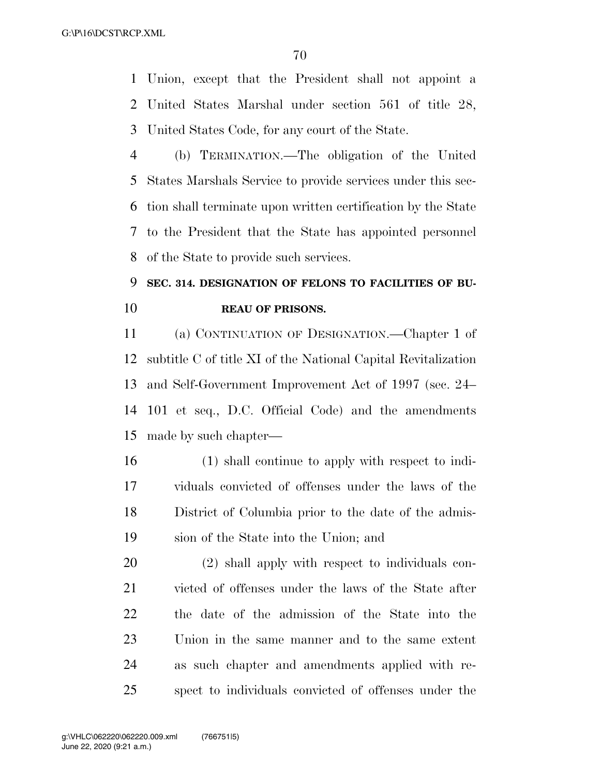Union, except that the President shall not appoint a United States Marshal under section 561 of title 28, United States Code, for any court of the State.

 (b) TERMINATION.—The obligation of the United States Marshals Service to provide services under this sec- tion shall terminate upon written certification by the State to the President that the State has appointed personnel of the State to provide such services.

# **SEC. 314. DESIGNATION OF FELONS TO FACILITIES OF BU-REAU OF PRISONS.**

 (a) CONTINUATION OF DESIGNATION.—Chapter 1 of subtitle C of title XI of the National Capital Revitalization and Self-Government Improvement Act of 1997 (sec. 24– 101 et seq., D.C. Official Code) and the amendments made by such chapter—

 (1) shall continue to apply with respect to indi- viduals convicted of offenses under the laws of the District of Columbia prior to the date of the admis-sion of the State into the Union; and

 (2) shall apply with respect to individuals con- victed of offenses under the laws of the State after the date of the admission of the State into the Union in the same manner and to the same extent as such chapter and amendments applied with re-spect to individuals convicted of offenses under the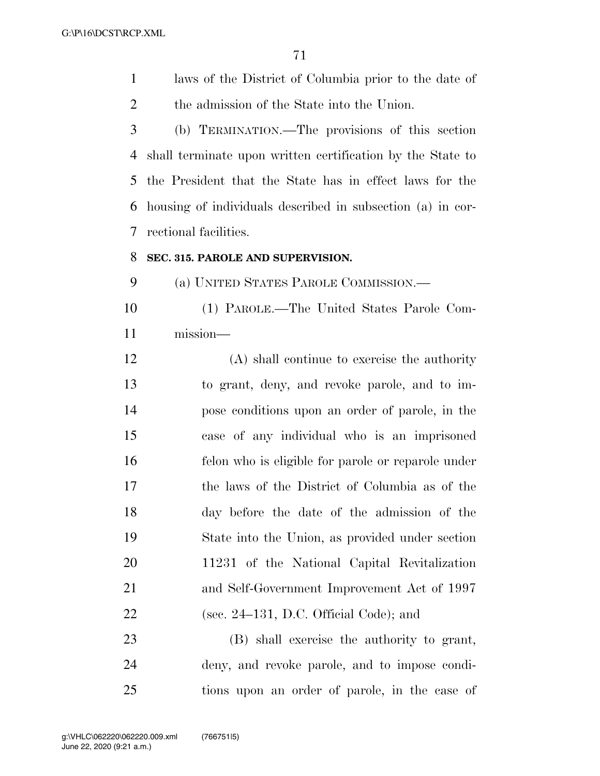laws of the District of Columbia prior to the date of the admission of the State into the Union.

 (b) TERMINATION.—The provisions of this section shall terminate upon written certification by the State to the President that the State has in effect laws for the housing of individuals described in subsection (a) in cor-rectional facilities.

#### **SEC. 315. PAROLE AND SUPERVISION.**

(a) UNITED STATES PAROLE COMMISSION.—

 (1) PAROLE.—The United States Parole Com-mission—

 (A) shall continue to exercise the authority to grant, deny, and revoke parole, and to im- pose conditions upon an order of parole, in the case of any individual who is an imprisoned felon who is eligible for parole or reparole under the laws of the District of Columbia as of the day before the date of the admission of the State into the Union, as provided under section 11231 of the National Capital Revitalization and Self-Government Improvement Act of 1997 (sec. 24–131, D.C. Official Code); and

 (B) shall exercise the authority to grant, deny, and revoke parole, and to impose condi-tions upon an order of parole, in the case of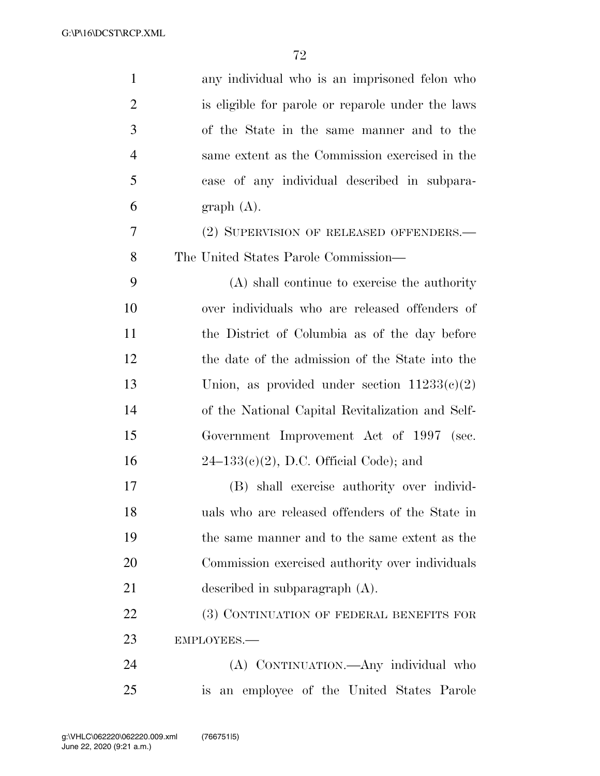| 1              | any individual who is an imprisoned felon who     |
|----------------|---------------------------------------------------|
| $\overline{2}$ | is eligible for parole or reparole under the laws |
| 3              | of the State in the same manner and to the        |
| $\overline{4}$ | same extent as the Commission exercised in the    |
| 5              | case of any individual described in subpara-      |
| 6              | graph(A).                                         |
| 7              | (2) SUPERVISION OF RELEASED OFFENDERS.—           |
| 8              | The United States Parole Commission—              |
| 9              | (A) shall continue to exercise the authority      |
| 10             | over individuals who are released offenders of    |
| 11             | the District of Columbia as of the day before     |
| 12             | the date of the admission of the State into the   |
| 13             | Union, as provided under section $11233(c)(2)$    |
| 14             | of the National Capital Revitalization and Self-  |
| 15             | Government Improvement Act of 1997 (sec.          |
| 16             | $24-133(e)(2)$ , D.C. Official Code); and         |
| 17             | (B) shall exercise authority over individ-        |
| 18             | uals who are released offenders of the State in   |
| 19             | the same manner and to the same extent as the     |
| 20             | Commission exercised authority over individuals   |
| 21             | described in subparagraph $(A)$ .                 |
| 22             | (3) CONTINUATION OF FEDERAL BENEFITS FOR          |
| 23             | EMPLOYEES.-                                       |
| 24             | (A) CONTINUATION.—Any individual who              |
| 25             | is an employee of the United States Parole        |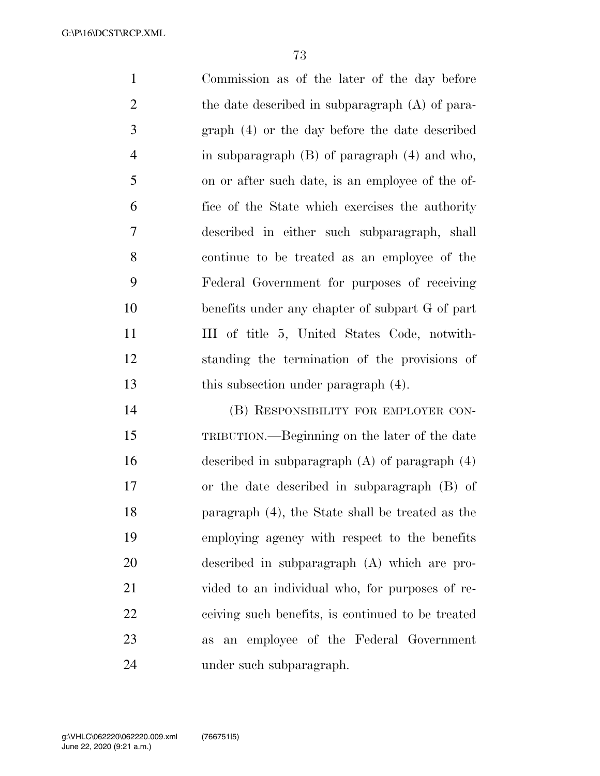Commission as of the later of the day before the date described in subparagraph (A) of para- graph (4) or the day before the date described in subparagraph (B) of paragraph (4) and who, on or after such date, is an employee of the of- fice of the State which exercises the authority described in either such subparagraph, shall continue to be treated as an employee of the Federal Government for purposes of receiving benefits under any chapter of subpart G of part 11 III of title 5, United States Code, notwith- standing the termination of the provisions of this subsection under paragraph (4).

 (B) RESPONSIBILITY FOR EMPLOYER CON- TRIBUTION.—Beginning on the later of the date described in subparagraph (A) of paragraph (4) or the date described in subparagraph (B) of paragraph (4), the State shall be treated as the employing agency with respect to the benefits described in subparagraph (A) which are pro- vided to an individual who, for purposes of re- ceiving such benefits, is continued to be treated as an employee of the Federal Government under such subparagraph.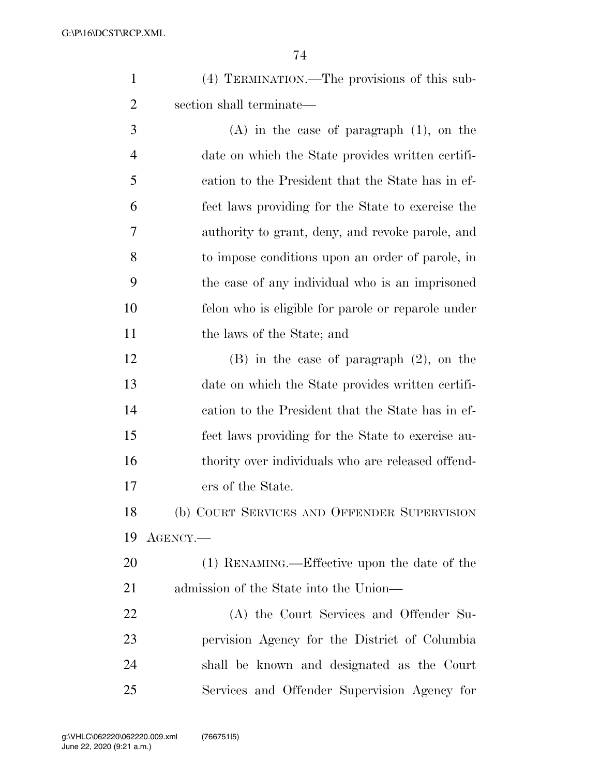| (4) TERMINATION.—The provisions of this sub- |
|----------------------------------------------|
| section shall terminate—                     |

 (A) in the case of paragraph (1), on the date on which the State provides written certifi- cation to the President that the State has in ef- fect laws providing for the State to exercise the authority to grant, deny, and revoke parole, and to impose conditions upon an order of parole, in the case of any individual who is an imprisoned felon who is eligible for parole or reparole under the laws of the State; and

 (B) in the case of paragraph (2), on the date on which the State provides written certifi- cation to the President that the State has in ef- fect laws providing for the State to exercise au- thority over individuals who are released offend-ers of the State.

 (b) COURT SERVICES AND OFFENDER SUPERVISION AGENCY.—

 (1) RENAMING.—Effective upon the date of the admission of the State into the Union—

 (A) the Court Services and Offender Su- pervision Agency for the District of Columbia shall be known and designated as the Court Services and Offender Supervision Agency for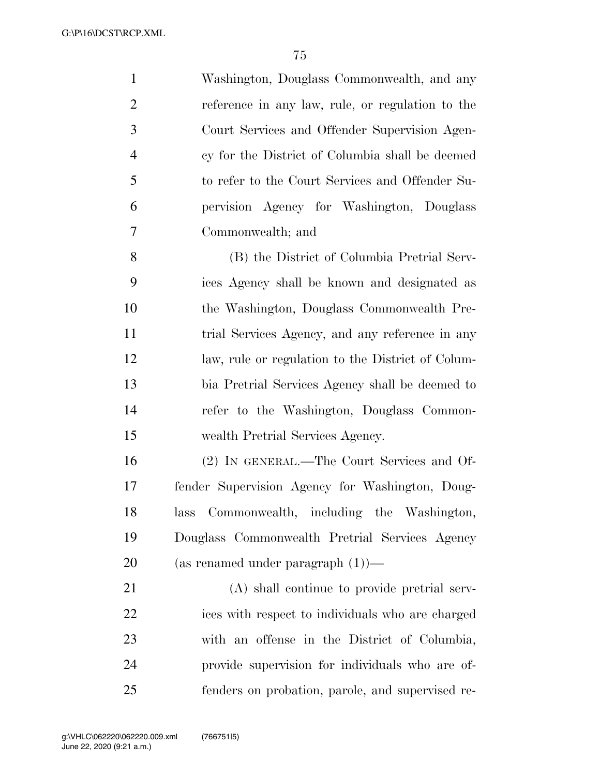Washington, Douglass Commonwealth, and any reference in any law, rule, or regulation to the Court Services and Offender Supervision Agen- cy for the District of Columbia shall be deemed to refer to the Court Services and Offender Su- pervision Agency for Washington, Douglass Commonwealth; and (B) the District of Columbia Pretrial Serv-ices Agency shall be known and designated as

 the Washington, Douglass Commonwealth Pre-11 trial Services Agency, and any reference in any law, rule or regulation to the District of Colum- bia Pretrial Services Agency shall be deemed to refer to the Washington, Douglass Common-wealth Pretrial Services Agency.

 (2) IN GENERAL.—The Court Services and Of- fender Supervision Agency for Washington, Doug- lass Commonwealth, including the Washington, Douglass Commonwealth Pretrial Services Agency (as renamed under paragraph (1))—

 (A) shall continue to provide pretrial serv- ices with respect to individuals who are charged with an offense in the District of Columbia, provide supervision for individuals who are of-fenders on probation, parole, and supervised re-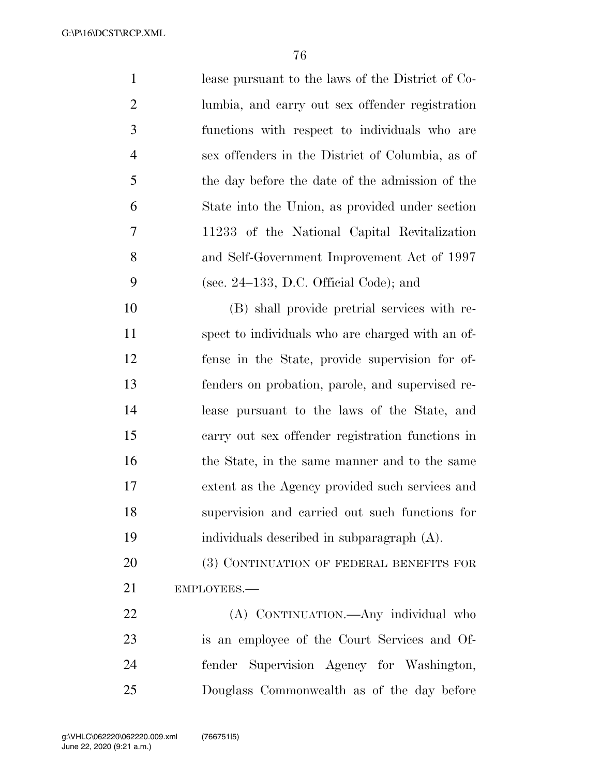lease pursuant to the laws of the District of Co- lumbia, and carry out sex offender registration functions with respect to individuals who are sex offenders in the District of Columbia, as of the day before the date of the admission of the State into the Union, as provided under section 11233 of the National Capital Revitalization and Self-Government Improvement Act of 1997 (sec. 24–133, D.C. Official Code); and (B) shall provide pretrial services with re- spect to individuals who are charged with an of- fense in the State, provide supervision for of- fenders on probation, parole, and supervised re- lease pursuant to the laws of the State, and carry out sex offender registration functions in 16 the State, in the same manner and to the same extent as the Agency provided such services and supervision and carried out such functions for individuals described in subparagraph (A). 20 (3) CONTINUATION OF FEDERAL BENEFITS FOR EMPLOYEES.— (A) CONTINUATION.—Any individual who

 is an employee of the Court Services and Of- fender Supervision Agency for Washington, Douglass Commonwealth as of the day before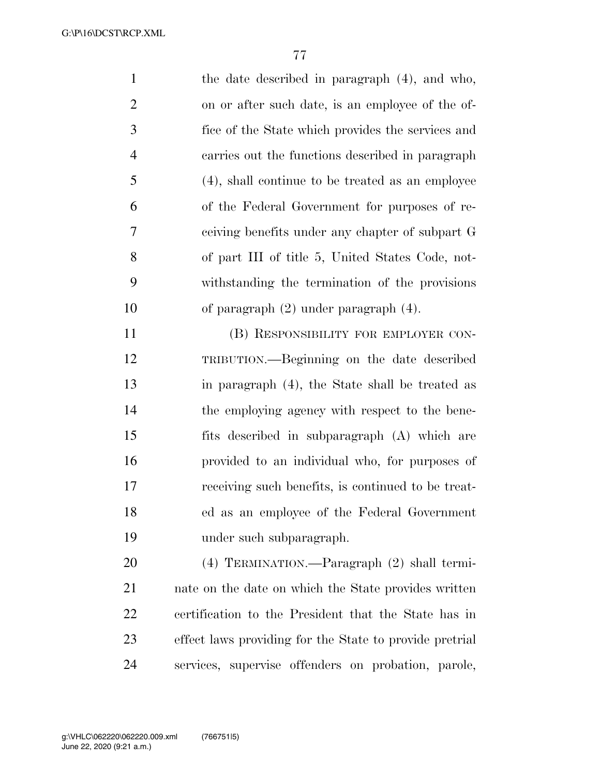the date described in paragraph (4), and who, on or after such date, is an employee of the of- fice of the State which provides the services and carries out the functions described in paragraph (4), shall continue to be treated as an employee of the Federal Government for purposes of re- ceiving benefits under any chapter of subpart G of part III of title 5, United States Code, not- withstanding the termination of the provisions of paragraph (2) under paragraph (4).

 (B) RESPONSIBILITY FOR EMPLOYER CON- TRIBUTION.—Beginning on the date described in paragraph (4), the State shall be treated as the employing agency with respect to the bene- fits described in subparagraph (A) which are provided to an individual who, for purposes of receiving such benefits, is continued to be treat- ed as an employee of the Federal Government under such subparagraph.

 (4) TERMINATION.—Paragraph (2) shall termi- nate on the date on which the State provides written certification to the President that the State has in effect laws providing for the State to provide pretrial services, supervise offenders on probation, parole,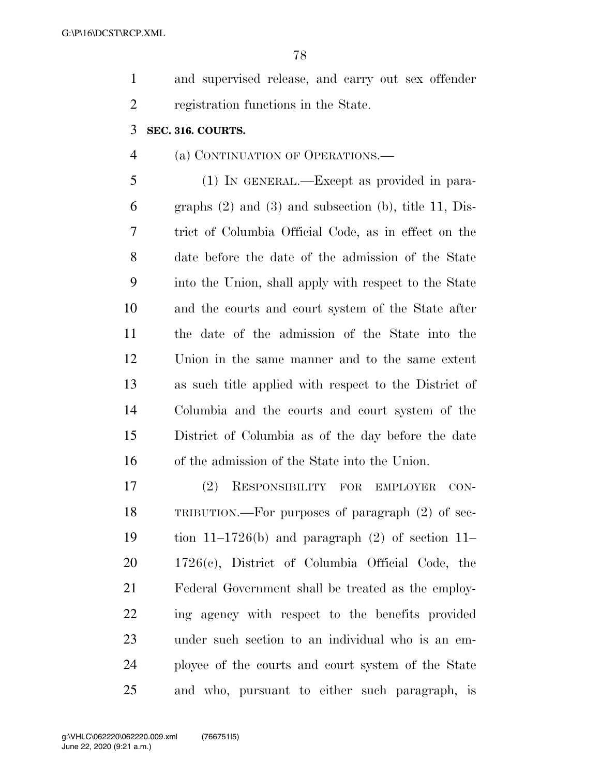and supervised release, and carry out sex offender registration functions in the State.

### **SEC. 316. COURTS.**

### (a) CONTINUATION OF OPERATIONS.—

 (1) IN GENERAL.—Except as provided in para- graphs (2) and (3) and subsection (b), title 11, Dis- trict of Columbia Official Code, as in effect on the date before the date of the admission of the State into the Union, shall apply with respect to the State and the courts and court system of the State after the date of the admission of the State into the Union in the same manner and to the same extent as such title applied with respect to the District of Columbia and the courts and court system of the District of Columbia as of the day before the date of the admission of the State into the Union.

 (2) RESPONSIBILITY FOR EMPLOYER CON- TRIBUTION.—For purposes of paragraph (2) of sec- tion 11–1726(b) and paragraph (2) of section 11– 1726(c), District of Columbia Official Code, the Federal Government shall be treated as the employ- ing agency with respect to the benefits provided under such section to an individual who is an em- ployee of the courts and court system of the State and who, pursuant to either such paragraph, is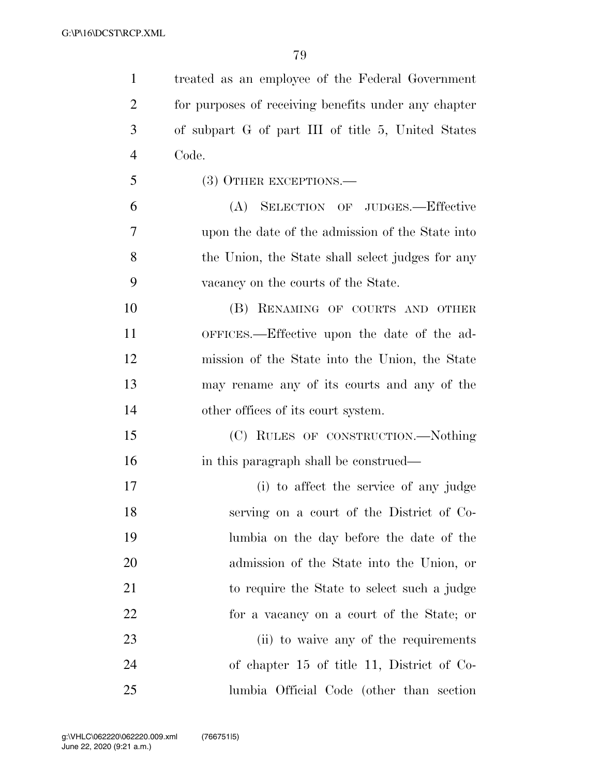| $\mathbf{1}$   | treated as an employee of the Federal Government     |
|----------------|------------------------------------------------------|
| $\overline{2}$ | for purposes of receiving benefits under any chapter |
| 3              | of subpart G of part III of title 5, United States   |
| $\overline{4}$ | Code.                                                |
| 5              | (3) OTHER EXCEPTIONS.—                               |
| 6              | SELECTION OF JUDGES.-Effective<br>(A)                |
| 7              | upon the date of the admission of the State into     |
| 8              | the Union, the State shall select judges for any     |
| 9              | vacancy on the courts of the State.                  |
| 10             | (B) RENAMING OF COURTS AND OTHER                     |
| 11             | OFFICES.—Effective upon the date of the ad-          |
| 12             | mission of the State into the Union, the State       |
| 13             | may rename any of its courts and any of the          |
| 14             | other offices of its court system.                   |
| 15             | (C) RULES OF CONSTRUCTION.—Nothing                   |
| 16             | in this paragraph shall be construed—                |
| 17             | (i) to affect the service of any judge               |
| 18             | serving on a court of the District of Co-            |
| 19             | lumbia on the day before the date of the             |
| 20             | admission of the State into the Union, or            |
| 21             | to require the State to select such a judge          |
| 22             | for a vacancy on a court of the State; or            |
| 23             | (ii) to waive any of the requirements                |
| 24             | of chapter 15 of title 11, District of Co-           |
| 25             | lumbia Official Code (other than section)            |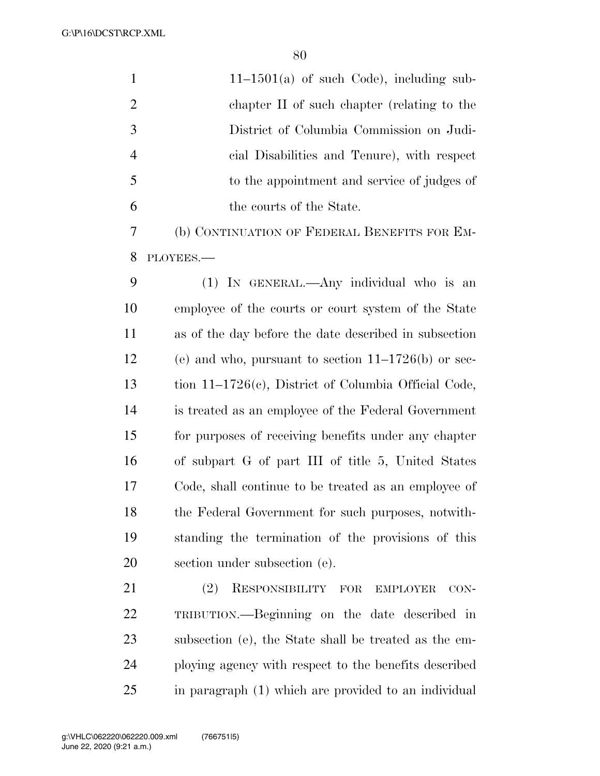| $\mathbf{1}$   | $11-1501(a)$ of such Code), including sub-              |
|----------------|---------------------------------------------------------|
| $\overline{2}$ | chapter II of such chapter (relating to the             |
| 3              | District of Columbia Commission on Judi-                |
| $\overline{4}$ | cial Disabilities and Tenure), with respect             |
| 5              | to the appointment and service of judges of             |
| 6              | the courts of the State.                                |
| 7              | (b) CONTINUATION OF FEDERAL BENEFITS FOR EM-            |
| 8              | PLOYEES.-                                               |
| 9              | (1) IN GENERAL.—Any individual who is an                |
| 10             | employee of the courts or court system of the State     |
| 11             | as of the day before the date described in subsection   |
| 12             | (e) and who, pursuant to section $11-1726(b)$ or sec-   |
| 13             | tion $11-1726(c)$ , District of Columbia Official Code, |
| 14             | is treated as an employee of the Federal Government     |
| 15             | for purposes of receiving benefits under any chapter    |
| 16             | of subpart G of part III of title 5, United States      |
| 17             | Code, shall continue to be treated as an employee of    |
| 18             | the Federal Government for such purposes, not with-     |
| 19             | standing the termination of the provisions of this      |
| 20             | section under subsection (e).                           |
| 21             | RESPONSIBILITY FOR<br>(2)<br><b>EMPLOYER</b><br>$CON-$  |
| 22             | TRIBUTION.—Beginning on the date described in           |
| 23             | subsection (e), the State shall be treated as the em-   |
| 24             | ploying agency with respect to the benefits described   |
| 25             | in paragraph (1) which are provided to an individual    |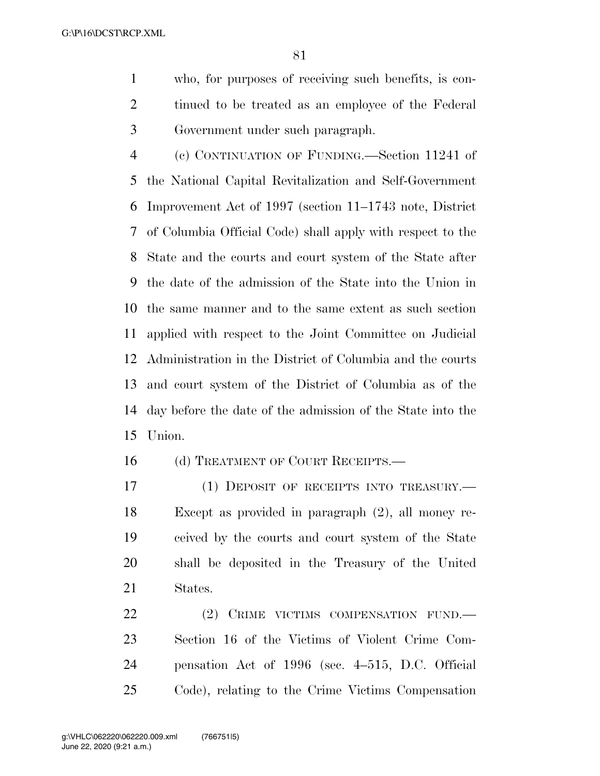who, for purposes of receiving such benefits, is con- tinued to be treated as an employee of the Federal Government under such paragraph.

 (c) CONTINUATION OF FUNDING.—Section 11241 of the National Capital Revitalization and Self-Government Improvement Act of 1997 (section 11–1743 note, District of Columbia Official Code) shall apply with respect to the State and the courts and court system of the State after the date of the admission of the State into the Union in the same manner and to the same extent as such section applied with respect to the Joint Committee on Judicial Administration in the District of Columbia and the courts and court system of the District of Columbia as of the day before the date of the admission of the State into the Union.

16 (d) TREATMENT OF COURT RECEIPTS.

17 (1) DEPOSIT OF RECEIPTS INTO TREASURY.— Except as provided in paragraph (2), all money re- ceived by the courts and court system of the State shall be deposited in the Treasury of the United States.

22 (2) CRIME VICTIMS COMPENSATION FUND. Section 16 of the Victims of Violent Crime Com- pensation Act of 1996 (sec. 4–515, D.C. Official Code), relating to the Crime Victims Compensation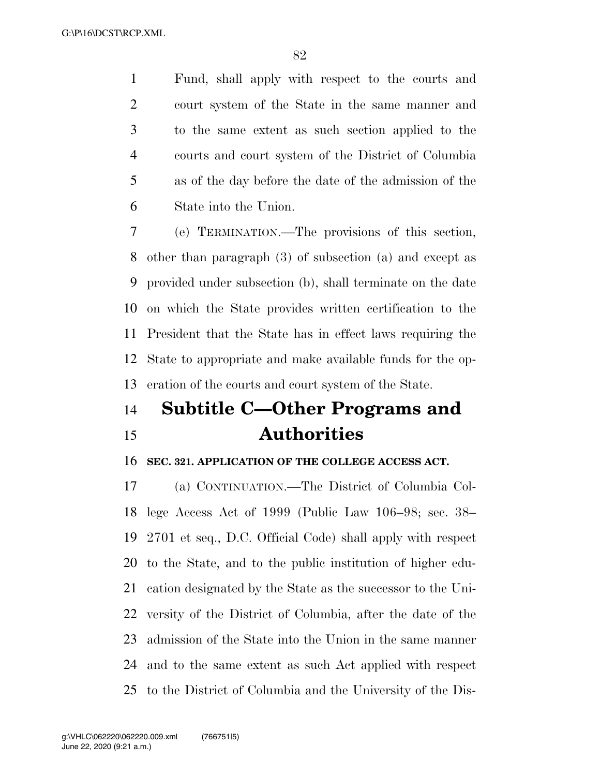Fund, shall apply with respect to the courts and court system of the State in the same manner and to the same extent as such section applied to the courts and court system of the District of Columbia as of the day before the date of the admission of the State into the Union.

 (e) TERMINATION.—The provisions of this section, other than paragraph (3) of subsection (a) and except as provided under subsection (b), shall terminate on the date on which the State provides written certification to the President that the State has in effect laws requiring the State to appropriate and make available funds for the op-eration of the courts and court system of the State.

# **Subtitle C—Other Programs and Authorities**

#### **SEC. 321. APPLICATION OF THE COLLEGE ACCESS ACT.**

 (a) CONTINUATION.—The District of Columbia Col- lege Access Act of 1999 (Public Law 106–98; sec. 38– 2701 et seq., D.C. Official Code) shall apply with respect to the State, and to the public institution of higher edu- cation designated by the State as the successor to the Uni- versity of the District of Columbia, after the date of the admission of the State into the Union in the same manner and to the same extent as such Act applied with respect to the District of Columbia and the University of the Dis-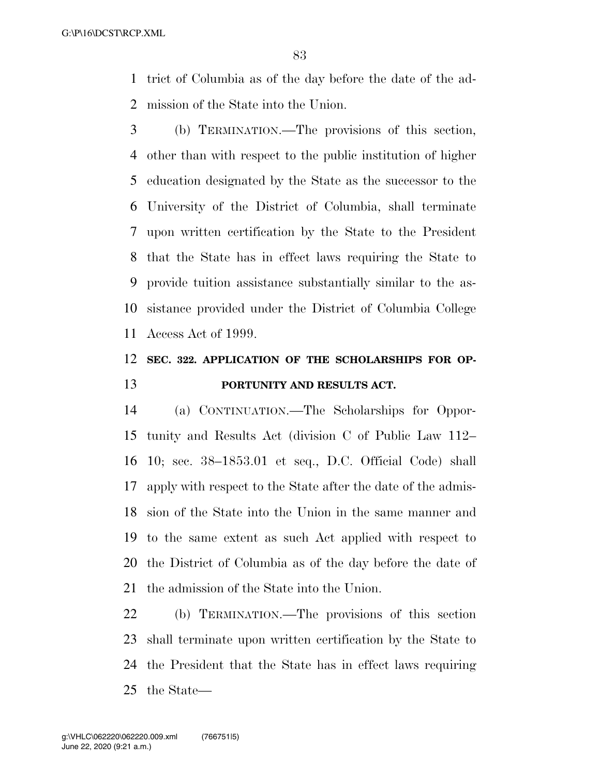trict of Columbia as of the day before the date of the ad-mission of the State into the Union.

 (b) TERMINATION.—The provisions of this section, other than with respect to the public institution of higher education designated by the State as the successor to the University of the District of Columbia, shall terminate upon written certification by the State to the President that the State has in effect laws requiring the State to provide tuition assistance substantially similar to the as- sistance provided under the District of Columbia College Access Act of 1999.

### **SEC. 322. APPLICATION OF THE SCHOLARSHIPS FOR OP-PORTUNITY AND RESULTS ACT.**

 (a) CONTINUATION.—The Scholarships for Oppor- tunity and Results Act (division C of Public Law 112– 10; sec. 38–1853.01 et seq., D.C. Official Code) shall apply with respect to the State after the date of the admis- sion of the State into the Union in the same manner and to the same extent as such Act applied with respect to the District of Columbia as of the day before the date of the admission of the State into the Union.

 (b) TERMINATION.—The provisions of this section shall terminate upon written certification by the State to the President that the State has in effect laws requiring the State—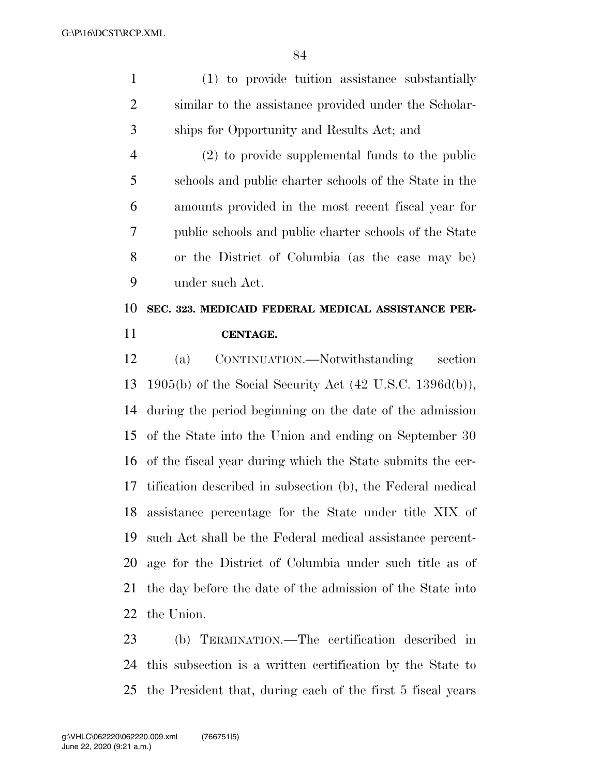| $\mathbf{1}$   | (1) to provide tuition assistance substantially             |
|----------------|-------------------------------------------------------------|
| $\overline{2}$ | similar to the assistance provided under the Scholar-       |
| 3              | ships for Opportunity and Results Act; and                  |
| $\overline{4}$ | $(2)$ to provide supplemental funds to the public           |
| 5              | schools and public charter schools of the State in the      |
| 6              | amounts provided in the most recent fiscal year for         |
| 7              | public schools and public charter schools of the State      |
| 8              | or the District of Columbia (as the case may be)            |
| 9              | under such Act.                                             |
| 10             | SEC. 323. MEDICAID FEDERAL MEDICAL ASSISTANCE PER-          |
| 11             | CENTAGE.                                                    |
| 12             | CONTINUATION.—Notwithstanding<br>section<br>(a)             |
| 13             | $1905(b)$ of the Social Security Act (42 U.S.C. 1396d(b)),  |
| 14             | during the period beginning on the date of the admission    |
| 15             | of the State into the Union and ending on September 30      |
| 16             | of the fiscal year during which the State submits the cer-  |
| 17             | tification described in subsection (b), the Federal medical |
|                | 18 assistance percentage for the State under title XIX of   |
| 19             | such Act shall be the Federal medical assistance percent-   |
| 20             | age for the District of Columbia under such title as of     |
| 21             | the day before the date of the admission of the State into  |
| 22             | the Union.                                                  |
| 23             |                                                             |

 this subsection is a written certification by the State to the President that, during each of the first 5 fiscal years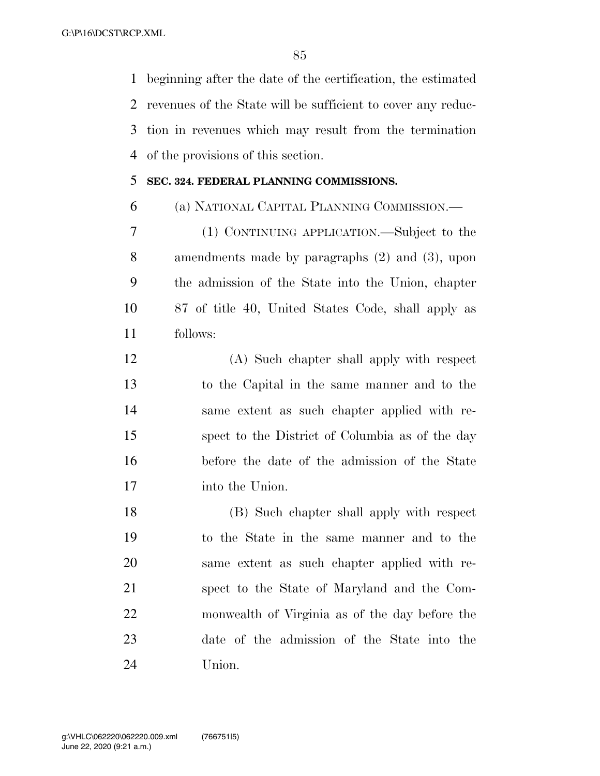beginning after the date of the certification, the estimated revenues of the State will be sufficient to cover any reduc- tion in revenues which may result from the termination of the provisions of this section.

### **SEC. 324. FEDERAL PLANNING COMMISSIONS.**

(a) NATIONAL CAPITAL PLANNING COMMISSION.—

 (1) CONTINUING APPLICATION.—Subject to the amendments made by paragraphs (2) and (3), upon the admission of the State into the Union, chapter 87 of title 40, United States Code, shall apply as follows:

 (A) Such chapter shall apply with respect to the Capital in the same manner and to the same extent as such chapter applied with re- spect to the District of Columbia as of the day before the date of the admission of the State into the Union.

 (B) Such chapter shall apply with respect to the State in the same manner and to the same extent as such chapter applied with re- spect to the State of Maryland and the Com- monwealth of Virginia as of the day before the date of the admission of the State into the Union.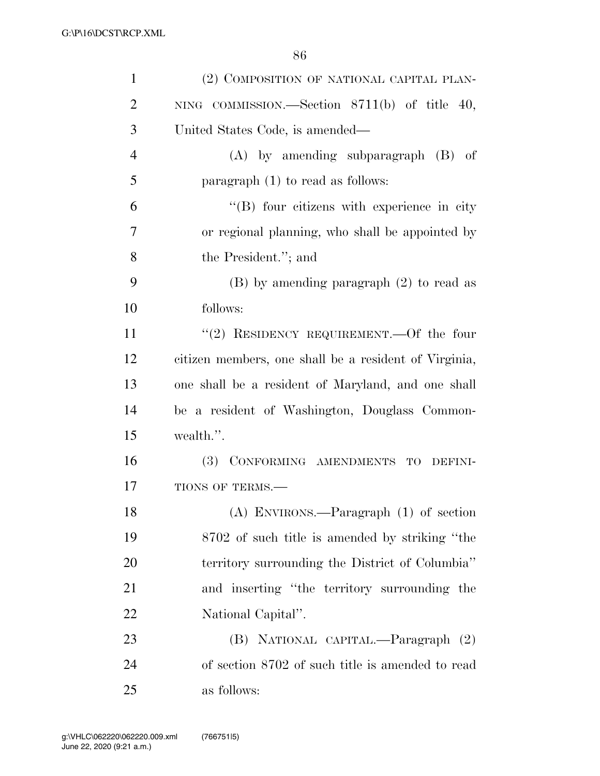| $\mathbf{1}$   | (2) COMPOSITION OF NATIONAL CAPITAL PLAN-             |
|----------------|-------------------------------------------------------|
| $\overline{2}$ | NING COMMISSION.—Section $8711(b)$ of title 40,       |
| 3              | United States Code, is amended—                       |
| $\overline{4}$ | $(A)$ by amending subparagraph $(B)$ of               |
| 5              | paragraph $(1)$ to read as follows:                   |
| 6              | $\lq\lq$ four citizens with experience in city        |
| 7              | or regional planning, who shall be appointed by       |
| 8              | the President."; and                                  |
| 9              | $(B)$ by amending paragraph $(2)$ to read as          |
| 10             | follows:                                              |
| 11             | "(2) RESIDENCY REQUIREMENT.—Of the four               |
| 12             | citizen members, one shall be a resident of Virginia, |
| 13             | one shall be a resident of Maryland, and one shall    |
| 14             | be a resident of Washington, Douglass Common-         |
| 15             | wealth.".                                             |
| 16             | (3) CONFORMING AMENDMENTS TO DEFINI-                  |
| 17             | TIONS OF TERMS.-                                      |
| 18             | $(A)$ ENVIRONS.—Paragraph $(1)$ of section            |
| 19             | 8702 of such title is amended by striking "the        |
| 20             | territory surrounding the District of Columbia"       |
| 21             | and inserting "the territory surrounding the          |
| 22             | National Capital".                                    |
| 23             | (B) NATIONAL CAPITAL.—Paragraph (2)                   |
| 24             | of section 8702 of such title is amended to read      |
| 25             | as follows:                                           |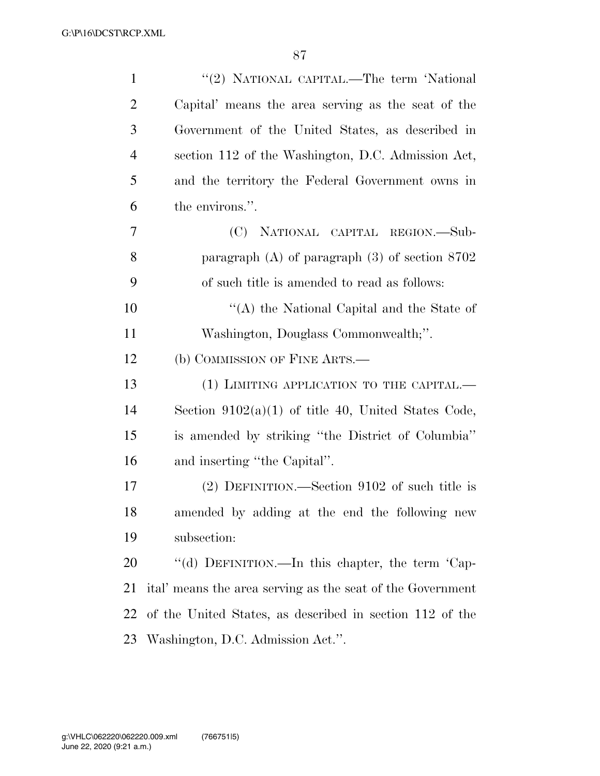| $\mathbf{1}$   | "(2) NATIONAL CAPITAL.—The term 'National                  |
|----------------|------------------------------------------------------------|
| $\overline{2}$ | Capital' means the area serving as the seat of the         |
| 3              | Government of the United States, as described in           |
| $\overline{4}$ | section 112 of the Washington, D.C. Admission Act,         |
| 5              | and the territory the Federal Government owns in           |
| 6              | the environs.".                                            |
| 7              | (C) NATIONAL CAPITAL REGION.—Sub-                          |
| 8              | paragraph $(A)$ of paragraph $(3)$ of section $8702$       |
| 9              | of such title is amended to read as follows:               |
| 10             | "(A) the National Capital and the State of                 |
| 11             | Washington, Douglass Commonwealth;".                       |
| 12             | (b) COMMISSION OF FINE ARTS.—                              |
| 13             | (1) LIMITING APPLICATION TO THE CAPITAL.—                  |
| 14             | Section $9102(a)(1)$ of title 40, United States Code,      |
| 15             | is amended by striking "the District of Columbia"          |
| 16             | and inserting "the Capital".                               |
| 17             | $(2)$ DEFINITION.—Section 9102 of such title is            |
| 18             | amended by adding at the end the following new             |
| 19             | subsection:                                                |
| 20             | "(d) DEFINITION.—In this chapter, the term 'Cap-           |
| 21             | ital' means the area serving as the seat of the Government |
| 22             | of the United States, as described in section 112 of the   |
| 23             | Washington, D.C. Admission Act.".                          |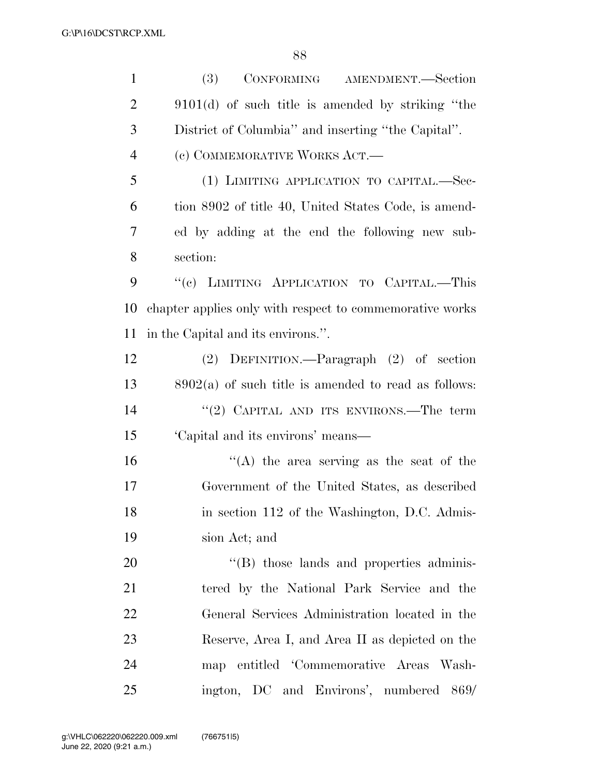| $\mathbf{1}$   | <b>(3)</b><br>CONFORMING AMENDMENT.-Section              |
|----------------|----------------------------------------------------------|
| $\overline{2}$ | $9101(d)$ of such title is amended by striking "the      |
| 3              | District of Columbia" and inserting "the Capital".       |
| $\overline{4}$ | (c) COMMEMORATIVE WORKS ACT.—                            |
| 5              | (1) LIMITING APPLICATION TO CAPITAL.-Sec-                |
| 6              | tion 8902 of title 40, United States Code, is amend-     |
| 7              | ed by adding at the end the following new sub-           |
| 8              | section:                                                 |
| 9              | "(c) LIMITING APPLICATION TO CAPITAL.-This               |
| 10             | chapter applies only with respect to commemorative works |
| 11             | in the Capital and its environs.".                       |
| 12             | (2) DEFINITION.—Paragraph (2) of section                 |
| 13             | $8902(a)$ of such title is amended to read as follows:   |
| 14             | "(2) CAPITAL AND ITS ENVIRONS.—The term                  |
| 15             | 'Capital and its environs' means—                        |
| 16             | "(A) the area serving as the seat of the                 |
| 17             | Government of the United States, as described            |
| 18             | in section 112 of the Washington, D.C. Admis-            |
| 19             | sion Act; and                                            |
| 20             | $\cdot$ (B) those lands and properties adminis-          |
| 21             | tered by the National Park Service and the               |
| 22             | General Services Administration located in the           |
| 23             | Reserve, Area I, and Area II as depicted on the          |
| 24             | map entitled 'Commemorative Areas Wash-                  |
| 25             | ington, DC and Environs', numbered 869/                  |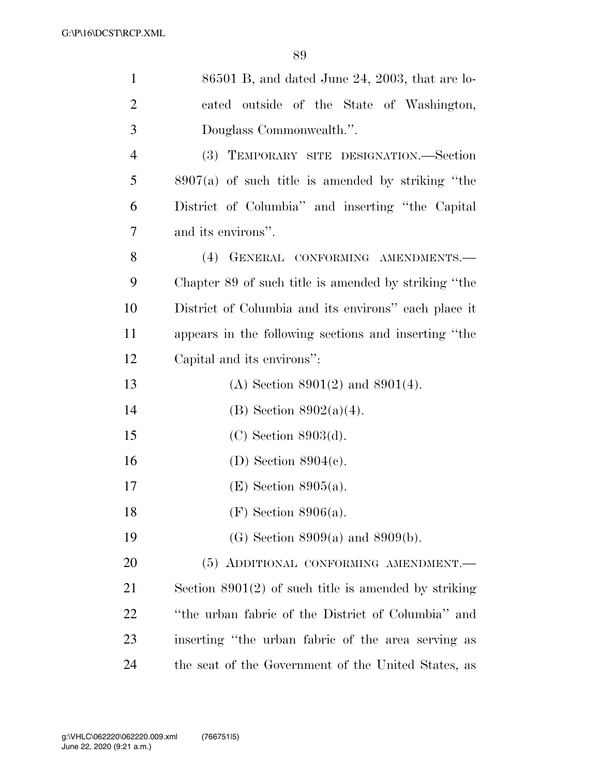| $\mathbf{1}$   | $86501$ B, and dated June 24, 2003, that are lo-       |
|----------------|--------------------------------------------------------|
| $\overline{2}$ | cated outside of the State of Washington,              |
| 3              | Douglass Commonwealth.".                               |
| $\overline{4}$ | (3) TEMPORARY SITE DESIGNATION.—Section                |
| 5              | $8907(a)$ of such title is amended by striking "the    |
| 6              | District of Columbia" and inserting "the Capital       |
| 7              | and its environs".                                     |
| 8              | (4) GENERAL CONFORMING AMENDMENTS.-                    |
| 9              | Chapter 89 of such title is amended by striking "the   |
| 10             | District of Columbia and its environs" each place it   |
| 11             | appears in the following sections and inserting "the   |
| 12             | Capital and its environs":                             |
| 13             | (A) Section $8901(2)$ and $8901(4)$ .                  |
| 14             | (B) Section $8902(a)(4)$ .                             |
| 15             | $(C)$ Section 8903 $(d)$ .                             |
| 16             | (D) Section $8904(c)$ .                                |
| 17             | $(E)$ Section 8905(a).                                 |
| 18             | $(F)$ Section 8906(a).                                 |
| 19             | (G) Section $8909(a)$ and $8909(b)$ .                  |
| 20             | (5) ADDITIONAL CONFORMING AMENDMENT.                   |
| 21             | Section $8901(2)$ of such title is amended by striking |
| 22             | "the urban fabric of the District of Columbia" and     |
| 23             | inserting "the urban fabric of the area serving as     |
| 24             | the seat of the Government of the United States, as    |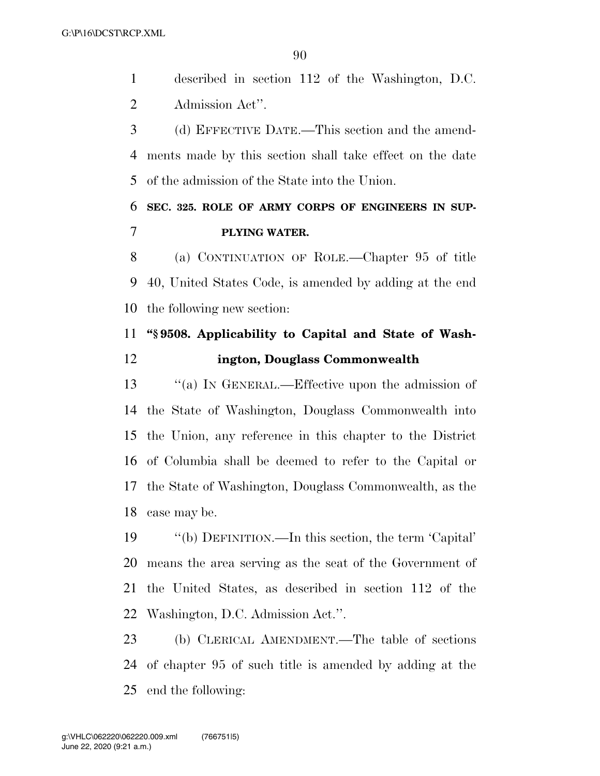described in section 112 of the Washington, D.C. Admission Act''.

 (d) EFFECTIVE DATE.—This section and the amend- ments made by this section shall take effect on the date of the admission of the State into the Union.

## **SEC. 325. ROLE OF ARMY CORPS OF ENGINEERS IN SUP-PLYING WATER.**

 (a) CONTINUATION OF ROLE.—Chapter 95 of title 40, United States Code, is amended by adding at the end the following new section:

## **''§ 9508. Applicability to Capital and State of Wash-ington, Douglass Commonwealth**

13 "(a) IN GENERAL.—Effective upon the admission of the State of Washington, Douglass Commonwealth into the Union, any reference in this chapter to the District of Columbia shall be deemed to refer to the Capital or the State of Washington, Douglass Commonwealth, as the case may be.

 ''(b) DEFINITION.—In this section, the term 'Capital' means the area serving as the seat of the Government of the United States, as described in section 112 of the Washington, D.C. Admission Act.''.

 (b) CLERICAL AMENDMENT.—The table of sections of chapter 95 of such title is amended by adding at the end the following: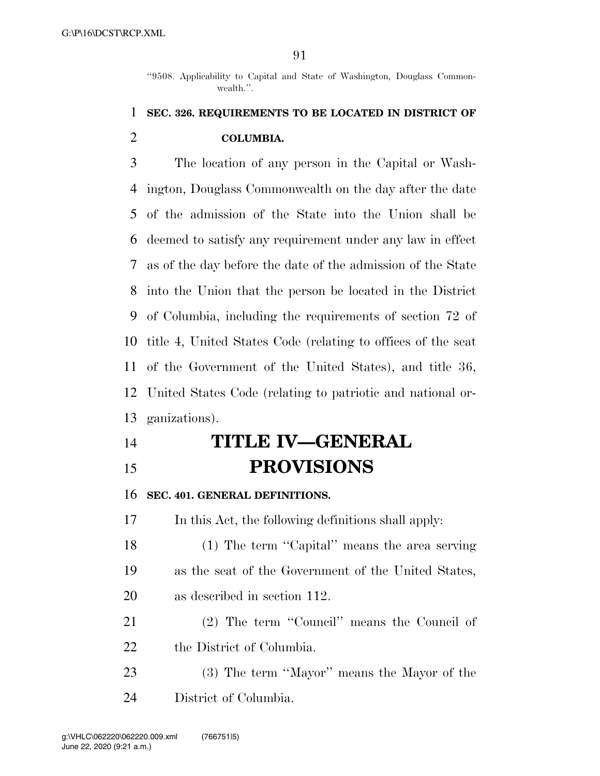''9508. Applicability to Capital and State of Washington, Douglass Commonwealth.''.

## **SEC. 326. REQUIREMENTS TO BE LOCATED IN DISTRICT OF COLUMBIA.**

 The location of any person in the Capital or Wash- ington, Douglass Commonwealth on the day after the date of the admission of the State into the Union shall be deemed to satisfy any requirement under any law in effect as of the day before the date of the admission of the State into the Union that the person be located in the District of Columbia, including the requirements of section 72 of title 4, United States Code (relating to offices of the seat of the Government of the United States), and title 36, United States Code (relating to patriotic and national or-ganizations).

# **TITLE IV—GENERAL PROVISIONS**

**SEC. 401. GENERAL DEFINITIONS.** 

In this Act, the following definitions shall apply:

18 (1) The term "Capital" means the area serving as the seat of the Government of the United States, as described in section 112.

 (2) The term ''Council'' means the Council of the District of Columbia.

 (3) The term ''Mayor'' means the Mayor of the District of Columbia.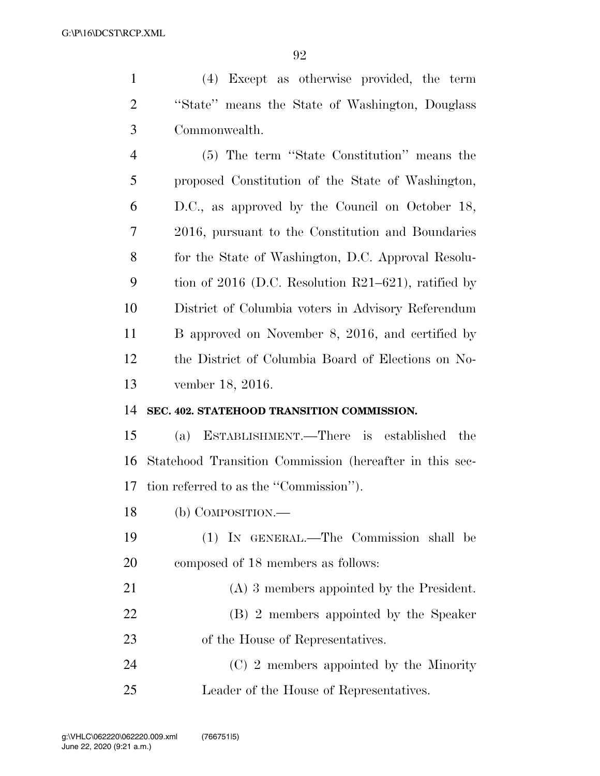| $\mathbf{1}$   | (4) Except as otherwise provided, the term              |
|----------------|---------------------------------------------------------|
| $\overline{2}$ | "State" means the State of Washington, Douglass         |
| 3              | Commonwealth.                                           |
| 4              | (5) The term "State Constitution" means the             |
| 5              | proposed Constitution of the State of Washington,       |
| 6              | D.C., as approved by the Council on October 18,         |
| 7              | 2016, pursuant to the Constitution and Boundaries       |
| 8              | for the State of Washington, D.C. Approval Resolu-      |
| 9              | tion of 2016 (D.C. Resolution $R21-621$ ), ratified by  |
| 10             | District of Columbia voters in Advisory Referendum      |
| 11             | B approved on November 8, 2016, and certified by        |
| 12             | the District of Columbia Board of Elections on No-      |
| 13             | vember 18, 2016.                                        |
| 14             | SEC. 402. STATEHOOD TRANSITION COMMISSION.              |
| 15             | ESTABLISHMENT.—There is established<br>the<br>(a)       |
| 16             | Statehood Transition Commission (hereafter in this sec- |
| 17             | tion referred to as the "Commission".                   |
| 18             | (b) COMPOSITION.                                        |
| 19             | (1) IN GENERAL.—The Commission shall be                 |
| 20             | composed of 18 members as follows:                      |
| 21             | $(A)$ 3 members appointed by the President.             |
| 22             | (B) 2 members appointed by the Speaker                  |
| 23             | of the House of Representatives.                        |
| 24             | (C) 2 members appointed by the Minority                 |
| 25             | Leader of the House of Representatives.                 |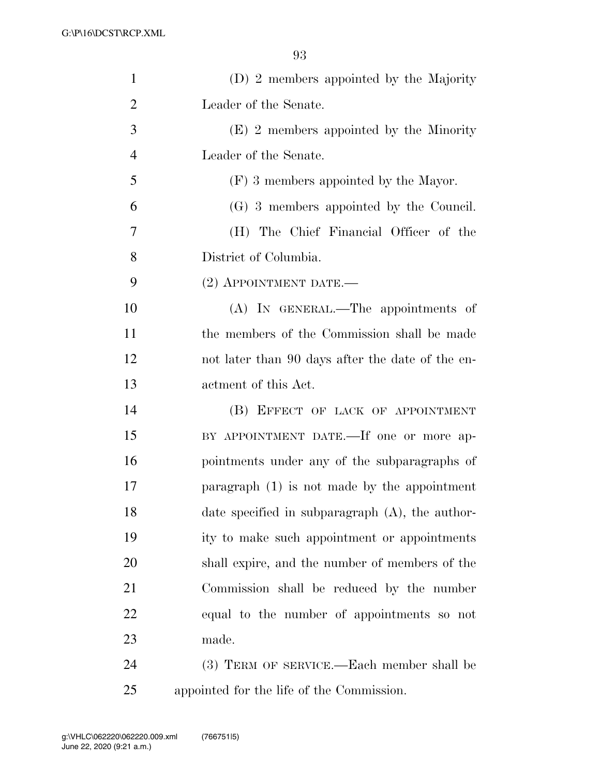| $\mathbf{1}$   | (D) 2 members appointed by the Majority            |
|----------------|----------------------------------------------------|
| $\overline{2}$ | Leader of the Senate.                              |
| 3              | $(E)$ 2 members appointed by the Minority          |
| $\overline{4}$ | Leader of the Senate.                              |
| 5              | (F) 3 members appointed by the Mayor.              |
| 6              | (G) 3 members appointed by the Council.            |
| 7              | (H) The Chief Financial Officer of the             |
| 8              | District of Columbia.                              |
| 9              | $(2)$ APPOINTMENT DATE.—                           |
| 10             | (A) IN GENERAL.—The appointments of                |
| 11             | the members of the Commission shall be made        |
| 12             | not later than 90 days after the date of the en-   |
| 13             | actment of this Act.                               |
| 14             | (B) EFFECT OF LACK OF APPOINTMENT                  |
| 15             | BY APPOINTMENT DATE.—If one or more ap-            |
| 16             | pointments under any of the subparagraphs of       |
| 17             | paragraph $(1)$ is not made by the appointment     |
| 18             | date specified in subparagraph $(A)$ , the author- |
| 19             | ity to make such appointment or appointments       |
| 20             | shall expire, and the number of members of the     |
| 21             | Commission shall be reduced by the number          |
| 22             | equal to the number of appointments so not         |
| 23             | made.                                              |
| 24             | (3) TERM OF SERVICE.—Each member shall be          |
|                |                                                    |

appointed for the life of the Commission.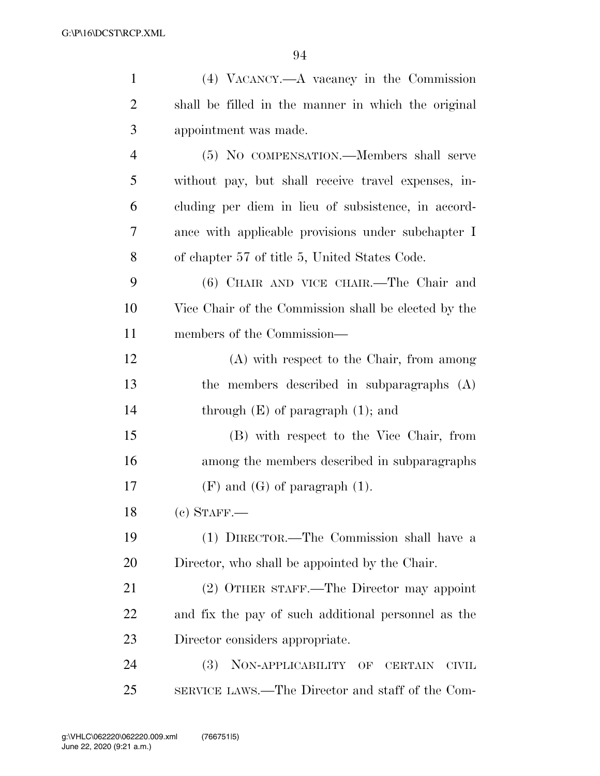| 1              | (4) VACANCY.—A vacancy in the Commission             |
|----------------|------------------------------------------------------|
| $\overline{2}$ | shall be filled in the manner in which the original  |
| 3              | appointment was made.                                |
| $\overline{4}$ | (5) NO COMPENSATION.—Members shall serve             |
| 5              | without pay, but shall receive travel expenses, in-  |
| 6              | cluding per diem in lieu of subsistence, in accord-  |
| 7              | ance with applicable provisions under subchapter I   |
| 8              | of chapter 57 of title 5, United States Code.        |
| 9              | (6) CHAIR AND VICE CHAIR.—The Chair and              |
| 10             | Vice Chair of the Commission shall be elected by the |
| 11             | members of the Commission—                           |
| 12             | (A) with respect to the Chair, from among            |
| 13             | the members described in subparagraphs (A)           |
| 14             | through $(E)$ of paragraph $(1)$ ; and               |
| 15             | (B) with respect to the Vice Chair, from             |
| 16             | among the members described in subparagraphs         |
| 17             | $(F)$ and $(G)$ of paragraph $(1)$ .                 |
| 18             | $(c)$ STAFF.—                                        |
| 19             | (1) DIRECTOR.—The Commission shall have a            |
| 20             | Director, who shall be appointed by the Chair.       |
| 21             | (2) OTHER STAFF.—The Director may appoint            |
| 22             | and fix the pay of such additional personnel as the  |
| 23             | Director considers appropriate.                      |
| 24             | (3) NON-APPLICABILITY OF CERTAIN<br><b>CIVIL</b>     |
| 25             | SERVICE LAWS.—The Director and staff of the Com-     |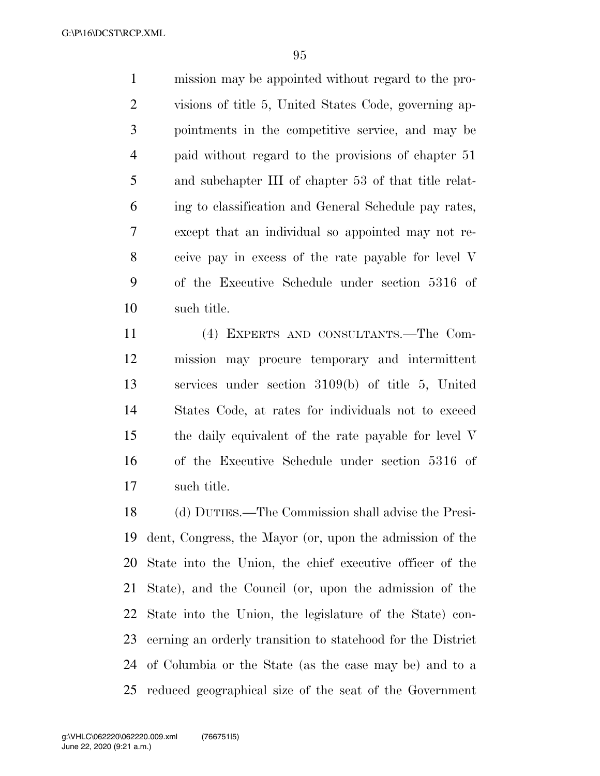mission may be appointed without regard to the pro- visions of title 5, United States Code, governing ap- pointments in the competitive service, and may be paid without regard to the provisions of chapter 51 and subchapter III of chapter 53 of that title relat- ing to classification and General Schedule pay rates, except that an individual so appointed may not re- ceive pay in excess of the rate payable for level V of the Executive Schedule under section 5316 of such title.

 (4) EXPERTS AND CONSULTANTS.—The Com- mission may procure temporary and intermittent services under section 3109(b) of title 5, United States Code, at rates for individuals not to exceed the daily equivalent of the rate payable for level V of the Executive Schedule under section 5316 of such title.

 (d) DUTIES.—The Commission shall advise the Presi- dent, Congress, the Mayor (or, upon the admission of the State into the Union, the chief executive officer of the State), and the Council (or, upon the admission of the State into the Union, the legislature of the State) con- cerning an orderly transition to statehood for the District of Columbia or the State (as the case may be) and to a reduced geographical size of the seat of the Government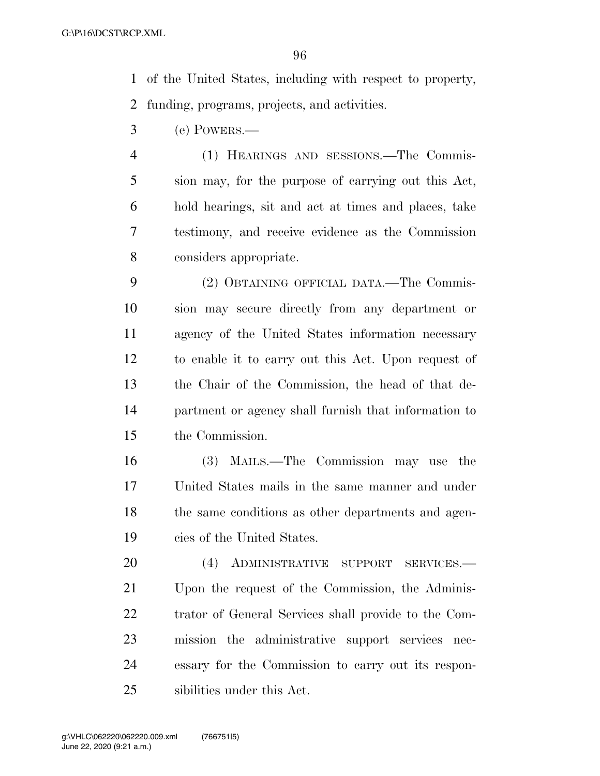of the United States, including with respect to property, funding, programs, projects, and activities.

(e) POWERS.—

 (1) HEARINGS AND SESSIONS.—The Commis- sion may, for the purpose of carrying out this Act, hold hearings, sit and act at times and places, take testimony, and receive evidence as the Commission considers appropriate.

 (2) OBTAINING OFFICIAL DATA.—The Commis- sion may secure directly from any department or agency of the United States information necessary to enable it to carry out this Act. Upon request of the Chair of the Commission, the head of that de- partment or agency shall furnish that information to the Commission.

 (3) MAILS.—The Commission may use the United States mails in the same manner and under the same conditions as other departments and agen-cies of the United States.

 (4) ADMINISTRATIVE SUPPORT SERVICES.— Upon the request of the Commission, the Adminis- trator of General Services shall provide to the Com- mission the administrative support services nec- essary for the Commission to carry out its respon-sibilities under this Act.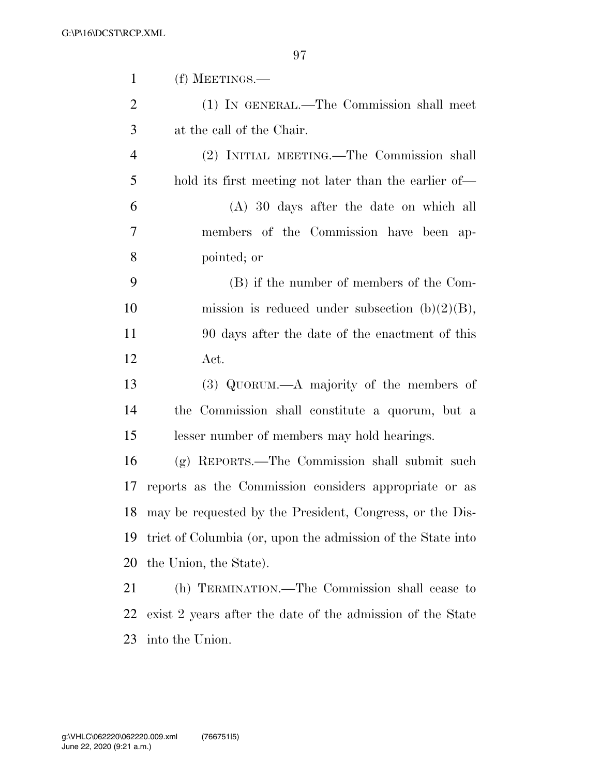| $\mathbf{1}$   | (f) MEETINGS.—                                              |
|----------------|-------------------------------------------------------------|
| $\overline{2}$ | (1) IN GENERAL.—The Commission shall meet                   |
| 3              | at the call of the Chair.                                   |
| $\overline{4}$ | (2) INITIAL MEETING.—The Commission shall                   |
| 5              | hold its first meeting not later than the earlier of—       |
| 6              | $(A)$ 30 days after the date on which all                   |
| 7              | members of the Commission have been ap-                     |
| 8              | pointed; or                                                 |
| 9              | (B) if the number of members of the Com-                    |
| 10             | mission is reduced under subsection $(b)(2)(B)$ ,           |
| 11             | 90 days after the date of the enactment of this             |
| 12             | Act.                                                        |
| 13             | $(3)$ QUORUM.—A majority of the members of                  |
| 14             | the Commission shall constitute a quorum, but a             |
| 15             | lesser number of members may hold hearings.                 |
| 16             | (g) REPORTS.—The Commission shall submit such               |
| 17             | reports as the Commission considers appropriate or as       |
| 18             | may be requested by the President, Congress, or the Dis-    |
| 19             | trict of Columbia (or, upon the admission of the State into |
| 20             | the Union, the State).                                      |
| 21             | (h) TERMINATION.—The Commission shall cease to              |
| 22             | exist 2 years after the date of the admission of the State  |
|                |                                                             |

into the Union.